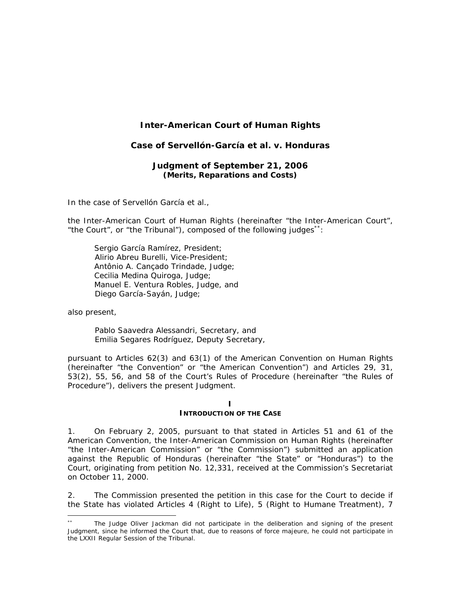# **Inter-American Court of Human Rights**

## **Case of Servellón-García** *et al***.** *v.* **Honduras**

#### **Judgment of September 21, 2006**  *(Merits, Reparations and Costs)*

In the case of *Servellón García et al.,*

the Inter-American Court of Human Rights (hereinafter "the Inter-American Court", "the Court", or "the Tribunal"), composed of the following judges\*\*:

 Sergio García Ramírez, President; Alirio Abreu Burelli, Vice-President; Antônio A. Cançado Trindade, Judge; Cecilia Medina Quiroga, Judge; Manuel E. Ventura Robles, Judge, and Diego García-Sayán, Judge;

also present,

 $\overline{a}$ 

Pablo Saavedra Alessandri, Secretary, and Emilia Segares Rodríguez, Deputy Secretary,

pursuant to Articles 62(3) and 63(1) of the American Convention on Human Rights (hereinafter "the Convention" or "the American Convention") and Articles 29, 31, 53(2), 55, 56, and 58 of the Court's Rules of Procedure (hereinafter "the Rules of Procedure"), delivers the present Judgment.

#### **I**

#### **INTRODUCTION OF THE CASE**

1. On February 2, 2005, pursuant to that stated in Articles 51 and 61 of the American Convention, the Inter-American Commission on Human Rights (hereinafter "the Inter-American Commission" or "the Commission") submitted an application against the Republic of Honduras (hereinafter "the State" or "Honduras") to the Court, originating from petition No. 12,331, received at the Commission's Secretariat on October 11, 2000.

2. The Commission presented the petition in this case for the Court to decide if the State has violated Articles 4 (Right to Life), 5 (Right to Humane Treatment), 7

The Judge Oliver Jackman did not participate in the deliberation and signing of the present Judgment, since he informed the Court that, due to reasons of force majeure, he could not participate in the LXXII Regular Session of the Tribunal.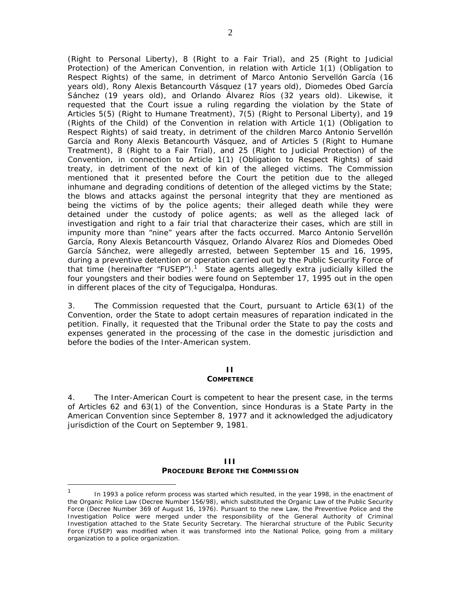(Right to Personal Liberty), 8 (Right to a Fair Trial), and 25 (Right to Judicial Protection) of the American Convention, in relation with Article 1(1) (Obligation to Respect Rights) of the same, in detriment of Marco Antonio Servellón García (16 years old), Rony Alexis Betancourth Vásquez (17 years old), Diomedes Obed García Sánchez (19 years old), and Orlando Álvarez Ríos (32 years old). Likewise, it requested that the Court issue a ruling regarding the violation by the State of Articles 5(5) (Right to Humane Treatment), 7(5) (Right to Personal Liberty), and 19 (Rights of the Child) of the Convention in relation with Article 1(1) (Obligation to Respect Rights) of said treaty, in detriment of the children Marco Antonio Servellón García and Rony Alexis Betancourth Vásquez, and of Articles 5 (Right to Humane Treatment), 8 (Right to a Fair Trial), and 25 (Right to Judicial Protection) of the Convention, in connection to Article 1(1) (Obligation to Respect Rights) of said treaty, in detriment of the next of kin of the alleged victims. The Commission mentioned that it presented before the Court the petition due to the alleged inhumane and degrading conditions of detention of the alleged victims by the State; the blows and attacks against the personal integrity that they are mentioned as being the victims of by the police agents; their alleged death while they were detained under the custody of police agents; as well as the alleged lack of investigation and right to a fair trial that characterize their cases, which are still in impunity more than "nine" years after the facts occurred. Marco Antonio Servellón García, Rony Alexis Betancourth Vásquez, Orlando Álvarez Ríos and Diomedes Obed García Sánchez, were allegedly arrested, between September 15 and 16, 1995, during a preventive detention or operation carried out by the Public Security Force of that time (hereinafter "FUSEP").<sup>1</sup> State agents allegedly extra judicially killed the four youngsters and their bodies were found on September 17, 1995 out in the open in different places of the city of Tegucigalpa, Honduras.

3. The Commission requested that the Court, pursuant to Article 63(1) of the Convention, order the State to adopt certain measures of reparation indicated in the petition. Finally, it requested that the Tribunal order the State to pay the costs and expenses generated in the processing of the case in the domestic jurisdiction and before the bodies of the Inter-American system.

## **II**

#### **COMPETENCE**

4. The Inter-American Court is competent to hear the present case, in the terms of Articles 62 and 63(1) of the Convention, since Honduras is a State Party in the American Convention since September 8, 1977 and it acknowledged the adjudicatory jurisdiction of the Court on September 9, 1981.

#### **III PROCEDURE BEFORE THE COMMISSION**

 $\overline{a}$ 

<sup>1</sup> In 1993 a police reform process was started which resulted, in the year 1998, in the enactment of the Organic Police Law (Decree Number 156/98), which substituted the Organic Law of the Public Security Force (Decree Number 369 of August 16, 1976). Pursuant to the new Law, the Preventive Police and the Investigation Police were merged under the responsibility of the General Authority of Criminal Investigation attached to the State Security Secretary. The hierarchal structure of the Public Security Force (FUSEP) was modified when it was transformed into the National Police, going from a military organization to a police organization.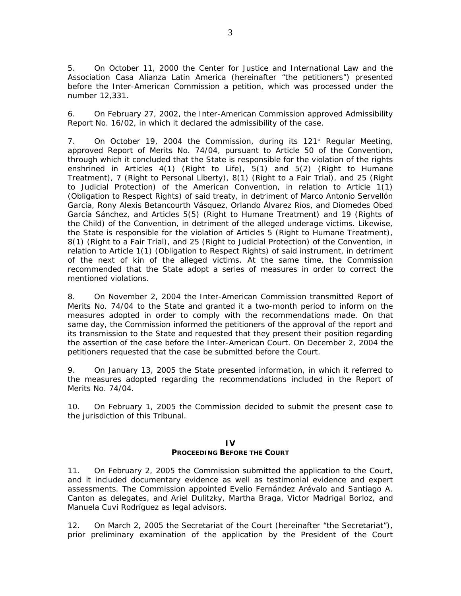5. On October 11, 2000 the Center for Justice and International Law and the Association Casa Alianza Latin America (hereinafter "the petitioners") presented before the Inter-American Commission a petition, which was processed under the number 12,331.

6. On February 27, 2002, the Inter-American Commission approved Admissibility Report No. 16/02, in which it declared the admissibility of the case.

7. On October 19, 2004 the Commission, during its 121° Regular Meeting, approved Report of Merits No. 74/04, pursuant to Article 50 of the Convention, through which it concluded that the State is responsible for the violation of the rights enshrined in Articles 4(1) (Right to Life), 5(1) and 5(2) (Right to Humane Treatment), 7 (Right to Personal Liberty), 8(1) (Right to a Fair Trial), and 25 (Right to Judicial Protection) of the American Convention, in relation to Article 1(1) (Obligation to Respect Rights) of said treaty, in detriment of Marco Antonio Servellón García, Rony Alexis Betancourth Vásquez, Orlando Álvarez Ríos, and Diomedes Obed García Sánchez, and Articles 5(5) (Right to Humane Treatment) and 19 (Rights of the Child) of the Convention, in detriment of the alleged underage victims. Likewise, the State is responsible for the violation of Articles 5 (Right to Humane Treatment), 8(1) (Right to a Fair Trial), and 25 (Right to Judicial Protection) of the Convention, in relation to Article 1(1) (Obligation to Respect Rights) of said instrument, in detriment of the next of kin of the alleged victims. At the same time, the Commission recommended that the State adopt a series of measures in order to correct the mentioned violations.

8. On November 2, 2004 the Inter-American Commission transmitted Report of Merits No. 74/04 to the State and granted it a two-month period to inform on the measures adopted in order to comply with the recommendations made. On that same day, the Commission informed the petitioners of the approval of the report and its transmission to the State and requested that they present their position regarding the assertion of the case before the Inter-American Court. On December 2, 2004 the petitioners requested that the case be submitted before the Court.

9. On January 13, 2005 the State presented information, in which it referred to the measures adopted regarding the recommendations included in the Report of Merits No. 74/04.

10. On February 1, 2005 the Commission decided to submit the present case to the jurisdiction of this Tribunal.

#### **IV**

#### **PROCEEDING BEFORE THE COURT**

11. On February 2, 2005 the Commission submitted the application to the Court, and it included documentary evidence as well as testimonial evidence and expert assessments. The Commission appointed Evelio Fernández Arévalo and Santiago A. Canton as delegates, and Ariel Dulitzky, Martha Braga, Victor Madrigal Borloz, and Manuela Cuvi Rodríguez as legal advisors.

12. On March 2, 2005 the Secretariat of the Court (hereinafter "the Secretariat"), prior preliminary examination of the application by the President of the Court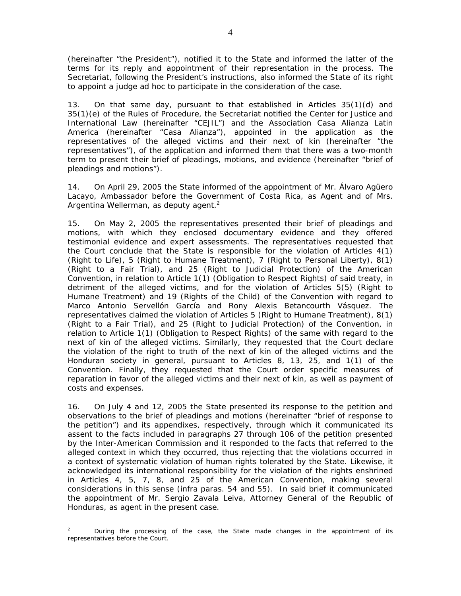(hereinafter "the President"), notified it to the State and informed the latter of the terms for its reply and appointment of their representation in the process. The Secretariat, following the President's instructions, also informed the State of its right to appoint a judge *ad hoc* to participate in the consideration of the case.

13. On that same day, pursuant to that established in Articles 35(1)(d) and 35(1)(e) of the Rules of Procedure, the Secretariat notified the Center for Justice and International Law (hereinafter "CEJIL") and the Association Casa Alianza Latin America (hereinafter "Casa Alianza"), appointed in the application as the representatives of the alleged victims and their next of kin (hereinafter "the representatives"), of the application and informed them that there was a two-month term to present their brief of pleadings, motions, and evidence (hereinafter "brief of pleadings and motions").

14. On April 29, 2005 the State informed of the appointment of Mr. Álvaro Agüero Lacayo, Ambassador before the Government of Costa Rica, as Agent and of Mrs. Argentina Wellerman, as deputy agent. $2$ 

15. On May 2, 2005 the representatives presented their brief of pleadings and motions, with which they enclosed documentary evidence and they offered testimonial evidence and expert assessments. The representatives requested that the Court conclude that the State is responsible for the violation of Articles 4(1) (Right to Life), 5 (Right to Humane Treatment), 7 (Right to Personal Liberty), 8(1) (Right to a Fair Trial), and 25 (Right to Judicial Protection) of the American Convention, in relation to Article 1(1) (Obligation to Respect Rights) of said treaty, in detriment of the alleged victims, and for the violation of Articles 5(5) (Right to Humane Treatment) and 19 (Rights of the Child) of the Convention with regard to Marco Antonio Servellón García and Rony Alexis Betancourth Vásquez. The representatives claimed the violation of Articles 5 (Right to Humane Treatment), 8(1) (Right to a Fair Trial), and 25 (Right to Judicial Protection) of the Convention, in relation to Article 1(1) (Obligation to Respect Rights) of the same with regard to the next of kin of the alleged victims. Similarly, they requested that the Court declare the violation of the right to truth of the next of kin of the alleged victims and the Honduran society in general, pursuant to Articles 8, 13, 25, and 1(1) of the Convention. Finally, they requested that the Court order specific measures of reparation in favor of the alleged victims and their next of kin, as well as payment of costs and expenses.

16. On July 4 and 12, 2005 the State presented its response to the petition and observations to the brief of pleadings and motions (hereinafter "brief of response to the petition") and its appendixes, respectively, through which it communicated its assent to the facts included in paragraphs 27 through 106 of the petition presented by the Inter-American Commission and it responded to the facts that referred to the alleged context in which they occurred, thus rejecting that the violations occurred in a context of systematic violation of human rights tolerated by the State. Likewise, it acknowledged its international responsibility for the violation of the rights enshrined in Articles 4, 5, 7, 8, and 25 of the American Convention, making several considerations in this sense (*infra* paras. 54 and 55). In said brief it communicated the appointment of Mr. Sergio Zavala Leiva, Attorney General of the Republic of Honduras, as agent in the present case.

 $\frac{1}{2}$  During the processing of the case, the State made changes in the appointment of its representatives before the Court.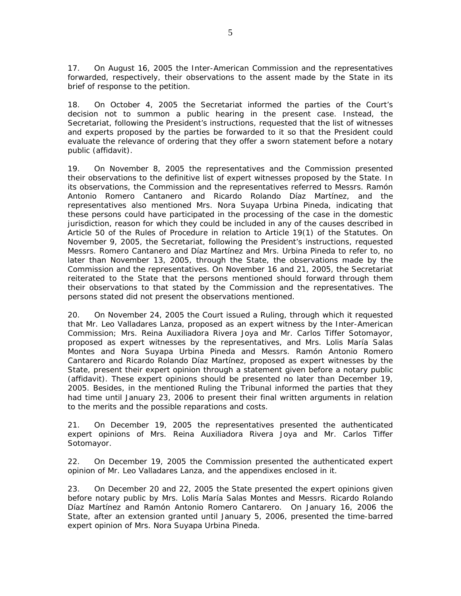17. On August 16, 2005 the Inter-American Commission and the representatives forwarded, respectively, their observations to the assent made by the State in its brief of response to the petition.

18. On October 4, 2005 the Secretariat informed the parties of the Court's decision not to summon a public hearing in the present case. Instead, the Secretariat, following the President's instructions, requested that the list of witnesses and experts proposed by the parties be forwarded to it so that the President could evaluate the relevance of ordering that they offer a sworn statement before a notary public (affidavit).

19. On November 8, 2005 the representatives and the Commission presented their observations to the definitive list of expert witnesses proposed by the State. In its observations, the Commission and the representatives referred to Messrs. Ramón Antonio Romero Cantanero and Ricardo Rolando Díaz Martínez, and the representatives also mentioned Mrs. Nora Suyapa Urbina Pineda, indicating that these persons could have participated in the processing of the case in the domestic jurisdiction, reason for which they could be included in any of the causes described in Article 50 of the Rules of Procedure in relation to Article 19(1) of the Statutes. On November 9, 2005, the Secretariat, following the President's instructions, requested Messrs. Romero Cantanero and Díaz Martínez and Mrs. Urbina Pineda to refer to, no later than November 13, 2005, through the State, the observations made by the Commission and the representatives. On November 16 and 21, 2005, the Secretariat reiterated to the State that the persons mentioned should forward through them their observations to that stated by the Commission and the representatives. The persons stated did not present the observations mentioned.

20. On November 24, 2005 the Court issued a Ruling, through which it requested that Mr. Leo Valladares Lanza, proposed as an expert witness by the Inter-American Commission; Mrs. Reina Auxiliadora Rivera Joya and Mr. Carlos Tiffer Sotomayor, proposed as expert witnesses by the representatives, and Mrs. Lolis María Salas Montes and Nora Suyapa Urbina Pineda and Messrs. Ramón Antonio Romero Cantarero and Ricardo Rolando Díaz Martínez, proposed as expert witnesses by the State, present their expert opinion through a statement given before a notary public (affidavit). These expert opinions should be presented no later than December 19, 2005. Besides, in the mentioned Ruling the Tribunal informed the parties that they had time until January 23, 2006 to present their final written arguments in relation to the merits and the possible reparations and costs.

21. On December 19, 2005 the representatives presented the authenticated expert opinions of Mrs. Reina Auxiliadora Rivera Joya and Mr. Carlos Tiffer Sotomayor.

22. On December 19, 2005 the Commission presented the authenticated expert opinion of Mr. Leo Valladares Lanza, and the appendixes enclosed in it.

23. On December 20 and 22, 2005 the State presented the expert opinions given before notary public by Mrs. Lolis María Salas Montes and Messrs. Ricardo Rolando Díaz Martínez and Ramón Antonio Romero Cantarero. On January 16, 2006 the State, after an extension granted until January 5, 2006, presented the time-barred expert opinion of Mrs. Nora Suyapa Urbina Pineda.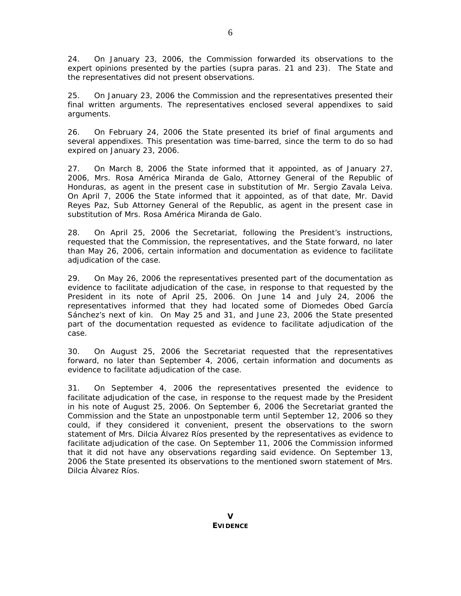24. On January 23, 2006, the Commission forwarded its observations to the expert opinions presented by the parties (*supra* paras. 21 and 23). The State and the representatives did not present observations.

25. On January 23, 2006 the Commission and the representatives presented their final written arguments. The representatives enclosed several appendixes to said arguments.

26. On February 24, 2006 the State presented its brief of final arguments and several appendixes. This presentation was time-barred, since the term to do so had expired on January 23, 2006.

27. On March 8, 2006 the State informed that it appointed, as of January 27, 2006, Mrs. Rosa América Miranda de Galo, Attorney General of the Republic of Honduras, as agent in the present case in substitution of Mr. Sergio Zavala Leiva. On April 7, 2006 the State informed that it appointed, as of that date, Mr. David Reyes Paz, Sub Attorney General of the Republic, as agent in the present case in substitution of Mrs. Rosa América Miranda de Galo.

28. On April 25, 2006 the Secretariat, following the President's instructions, requested that the Commission, the representatives, and the State forward, no later than May 26, 2006, certain information and documentation as evidence to facilitate adjudication of the case.

29. On May 26, 2006 the representatives presented part of the documentation as evidence to facilitate adjudication of the case, in response to that requested by the President in its note of April 25, 2006. On June 14 and July 24, 2006 the representatives informed that they had located some of Diomedes Obed García Sánchez's next of kin. On May 25 and 31, and June 23, 2006 the State presented part of the documentation requested as evidence to facilitate adjudication of the case.

30. On August 25, 2006 the Secretariat requested that the representatives forward, no later than September 4, 2006, certain information and documents as evidence to facilitate adjudication of the case.

31. On September 4, 2006 the representatives presented the evidence to facilitate adjudication of the case, in response to the request made by the President in his note of August 25, 2006. On September 6, 2006 the Secretariat granted the Commission and the State an unpostponable term until September 12, 2006 so they could, if they considered it convenient, present the observations to the sworn statement of Mrs. Dilcia Álvarez Ríos presented by the representatives as evidence to facilitate adjudication of the case. On September 11, 2006 the Commission informed that it did not have any observations regarding said evidence. On September 13, 2006 the State presented its observations to the mentioned sworn statement of Mrs. Dilcia Álvarez Ríos.

**V EVIDENCE**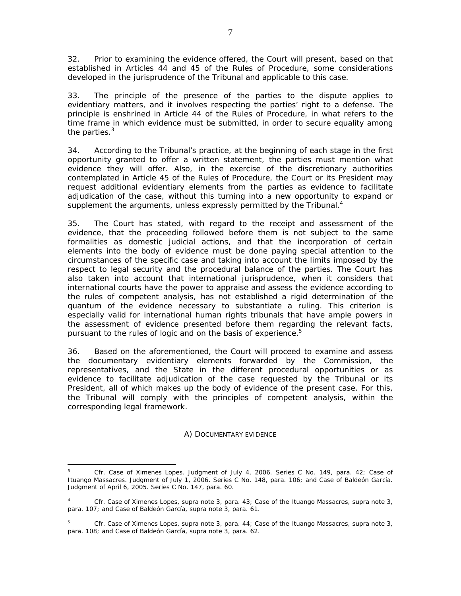32. Prior to examining the evidence offered, the Court will present, based on that established in Articles 44 and 45 of the Rules of Procedure, some considerations developed in the jurisprudence of the Tribunal and applicable to this case.

33. The principle of the presence of the parties to the dispute applies to evidentiary matters, and it involves respecting the parties' right to a defense. The principle is enshrined in Article 44 of the Rules of Procedure, in what refers to the time frame in which evidence must be submitted, in order to secure equality among the parties. $3$ 

34. According to the Tribunal's practice, at the beginning of each stage in the first opportunity granted to offer a written statement, the parties must mention what evidence they will offer. Also, in the exercise of the discretionary authorities contemplated in Article 45 of the Rules of Procedure, the Court or its President may request additional evidentiary elements from the parties as evidence to facilitate adjudication of the case, without this turning into a new opportunity to expand or supplement the arguments, unless expressly permitted by the Tribunal. $4$ 

35. The Court has stated, with regard to the receipt and assessment of the evidence, that the proceeding followed before them is not subject to the same formalities as domestic judicial actions, and that the incorporation of certain elements into the body of evidence must be done paying special attention to the circumstances of the specific case and taking into account the limits imposed by the respect to legal security and the procedural balance of the parties. The Court has also taken into account that international jurisprudence, when it considers that international courts have the power to appraise and assess the evidence according to the rules of competent analysis, has not established a rigid determination of the *quantum* of the evidence necessary to substantiate a ruling. This criterion is especially valid for international human rights tribunals that have ample powers in the assessment of evidence presented before them regarding the relevant facts, pursuant to the rules of logic and on the basis of experience.<sup>5</sup>

36. Based on the aforementioned, the Court will proceed to examine and assess the documentary evidentiary elements forwarded by the Commission, the representatives, and the State in the different procedural opportunities or as evidence to facilitate adjudication of the case requested by the Tribunal or its President, all of which makes up the body of evidence of the present case. For this, the Tribunal will comply with the principles of competent analysis, within the corresponding legal framework.

## *A) DOCUMENTARY EVIDENCE*

 $\overline{3}$ <sup>3</sup> *Cfr. Case of Ximenes Lopes.* Judgment of July 4, 2006. Series C No. 149, para. 42; *Case of Ituango Massacres.* Judgment of July 1, 2006. Series C No. 148, para. 106; and *Case of Baldeón García.* Judgment of April 6, 2005. Series C No. 147, para. 60.

<sup>4</sup> *Cfr. Case of Ximenes Lopes, supra* note 3, para. 43; *Case of the Ituango Massacres, supra* note 3, para. 107; and *Case of Baldeón García*, *supra* note 3, para. 61.

<sup>5</sup> *Cfr. Case of Ximenes Lopes, supra* note 3, para. 44; *Case of the Ituango Massacres, supra* note 3, para. 108; and *Case of Baldeón García*, *supra* note 3, para. 62.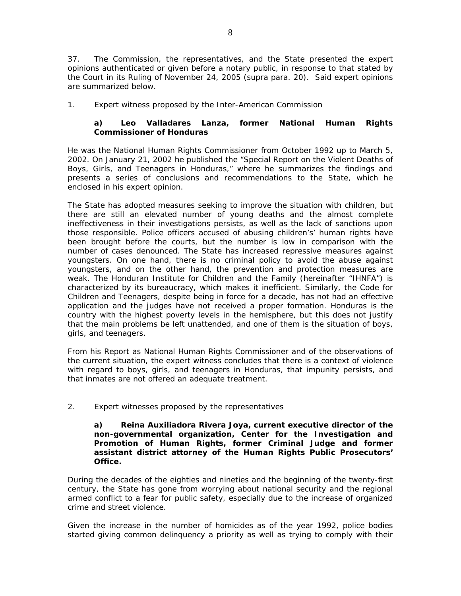37. The Commission, the representatives, and the State presented the expert opinions authenticated or given before a notary public, in response to that stated by the Court in its Ruling of November 24, 2005 (*supra* para. 20). Said expert opinions are summarized below.

# *1. Expert witness proposed by the Inter-American Commission*

# **a) Leo Valladares Lanza, former National Human Rights Commissioner of Honduras**

He was the National Human Rights Commissioner from October 1992 up to March 5, 2002. On January 21, 2002 he published the "Special Report on the Violent Deaths of Boys, Girls, and Teenagers in Honduras," where he summarizes the findings and presents a series of conclusions and recommendations to the State, which he enclosed in his expert opinion.

The State has adopted measures seeking to improve the situation with children, but there are still an elevated number of young deaths and the almost complete ineffectiveness in their investigations persists, as well as the lack of sanctions upon those responsible. Police officers accused of abusing children's' human rights have been brought before the courts, but the number is low in comparison with the number of cases denounced. The State has increased repressive measures against youngsters. On one hand, there is no criminal policy to avoid the abuse against youngsters, and on the other hand, the prevention and protection measures are weak. The Honduran Institute for Children and the Family (hereinafter "IHNFA") is characterized by its bureaucracy, which makes it inefficient. Similarly, the Code for Children and Teenagers, despite being in force for a decade, has not had an effective application and the judges have not received a proper formation. Honduras is the country with the highest poverty levels in the hemisphere, but this does not justify that the main problems be left unattended, and one of them is the situation of boys, girls, and teenagers.

From his Report as National Human Rights Commissioner and of the observations of the current situation, the expert witness concludes that there is a context of violence with regard to boys, girls, and teenagers in Honduras, that impunity persists, and that inmates are not offered an adequate treatment.

## *2. Expert witnesses proposed by the representatives*

**a) Reina Auxiliadora Rivera Joya, current executive director of the non-governmental organization, Center for the Investigation and Promotion of Human Rights, former Criminal Judge and former assistant district attorney of the Human Rights Public Prosecutors' Office.** 

During the decades of the eighties and nineties and the beginning of the twenty-first century, the State has gone from worrying about national security and the regional armed conflict to a fear for public safety, especially due to the increase of organized crime and street violence.

Given the increase in the number of homicides as of the year 1992, police bodies started giving common delinquency a priority as well as trying to comply with their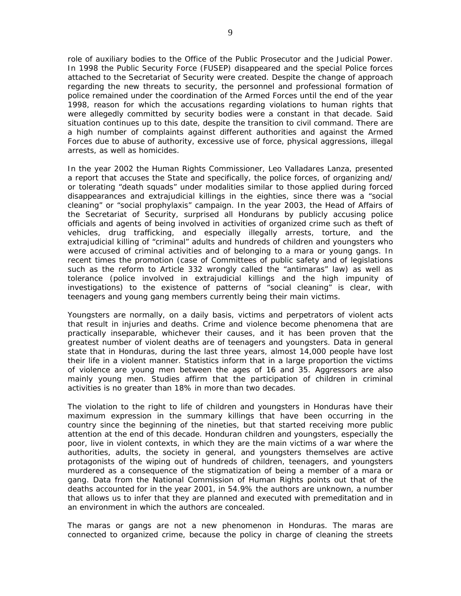role of auxiliary bodies to the Office of the Public Prosecutor and the Judicial Power. In 1998 the Public Security Force (FUSEP) disappeared and the special Police forces attached to the Secretariat of Security were created. Despite the change of approach regarding the new threats to security, the personnel and professional formation of police remained under the coordination of the Armed Forces until the end of the year 1998, reason for which the accusations regarding violations to human rights that were allegedly committed by security bodies were a constant in that decade. Said situation continues up to this date, despite the transition to civil command. There are a high number of complaints against different authorities and against the Armed Forces due to abuse of authority, excessive use of force, physical aggressions, illegal arrests, as well as homicides.

In the year 2002 the Human Rights Commissioner, Leo Valladares Lanza, presented a report that accuses the State and specifically, the police forces, of organizing and/ or tolerating "death squads" under modalities similar to those applied during forced disappearances and extrajudicial killings in the eighties, since there was a "social cleaning" or "social prophylaxis" campaign. In the year 2003, the Head of Affairs of the Secretariat of Security, surprised all Hondurans by publicly accusing police officials and agents of being involved in activities of organized crime such as theft of vehicles, drug trafficking, and especially illegally arrests, torture, and the extrajudicial killing of "criminal" adults and hundreds of children and youngsters who were accused of criminal activities and of belonging to a mara or young gangs. In recent times the promotion (case of Committees of public safety and of legislations such as the reform to Article 332 wrongly called the "antimaras" law) as well as tolerance (police involved in extrajudicial killings and the high impunity of investigations) to the existence of patterns of "social cleaning" is clear, with teenagers and young gang members currently being their main victims.

Youngsters are normally, on a daily basis, victims and perpetrators of violent acts that result in injuries and deaths. Crime and violence become phenomena that are practically inseparable, whichever their causes, and it has been proven that the greatest number of violent deaths are of teenagers and youngsters. Data in general state that in Honduras, during the last three years, almost 14,000 people have lost their life in a violent manner. Statistics inform that in a large proportion the victims of violence are young men between the ages of 16 and 35. Aggressors are also mainly young men. Studies affirm that the participation of children in criminal activities is no greater than 18% in more than two decades.

The violation to the right to life of children and youngsters in Honduras have their maximum expression in the summary killings that have been occurring in the country since the beginning of the nineties, but that started receiving more public attention at the end of this decade. Honduran children and youngsters, especially the poor, live in violent contexts, in which they are the main victims of a war where the authorities, adults, the society in general, and youngsters themselves are active protagonists of the wiping out of hundreds of children, teenagers, and youngsters murdered as a consequence of the stigmatization of being a member of a mara or gang. Data from the National Commission of Human Rights points out that of the deaths accounted for in the year 2001, in 54.9% the authors are unknown, a number that allows us to infer that they are planned and executed with premeditation and in an environment in which the authors are concealed.

The maras or gangs are not a new phenomenon in Honduras. The maras are connected to organized crime, because the policy in charge of cleaning the streets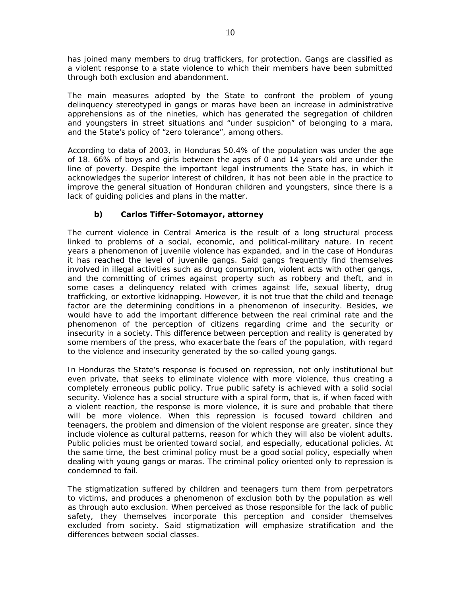has joined many members to drug traffickers, for protection. Gangs are classified as a violent response to a state violence to which their members have been submitted through both exclusion and abandonment.

The main measures adopted by the State to confront the problem of young delinquency stereotyped in gangs or maras have been an increase in administrative apprehensions as of the nineties, which has generated the segregation of children and youngsters in street situations and "under suspicion" of belonging to a mara, and the State's policy of "zero tolerance", among others.

According to data of 2003, in Honduras 50.4% of the population was under the age of 18. 66% of boys and girls between the ages of 0 and 14 years old are under the line of poverty. Despite the important legal instruments the State has, in which it acknowledges the superior interest of children, it has not been able in the practice to improve the general situation of Honduran children and youngsters, since there is a lack of guiding policies and plans in the matter.

# **b) Carlos Tiffer-Sotomayor, attorney**

The current violence in Central America is the result of a long structural process linked to problems of a social, economic, and political-military nature. In recent years a phenomenon of juvenile violence has expanded, and in the case of Honduras it has reached the level of juvenile gangs. Said gangs frequently find themselves involved in illegal activities such as drug consumption, violent acts with other gangs, and the committing of crimes against property such as robbery and theft, and in some cases a delinquency related with crimes against life, sexual liberty, drug trafficking, or extortive kidnapping. However, it is not true that the child and teenage factor are the determining conditions in a phenomenon of insecurity. Besides, we would have to add the important difference between the real criminal rate and the phenomenon of the perception of citizens regarding crime and the security or insecurity in a society. This difference between perception and reality is generated by some members of the press, who exacerbate the fears of the population, with regard to the violence and insecurity generated by the so-called young gangs.

In Honduras the State's response is focused on repression, not only institutional but even private, that seeks to eliminate violence with more violence, thus creating a completely erroneous public policy. True public safety is achieved with a solid social security. Violence has a social structure with a spiral form, that is, if when faced with a violent reaction, the response is more violence, it is sure and probable that there will be more violence. When this repression is focused toward children and teenagers, the problem and dimension of the violent response are greater, since they include violence as cultural patterns, reason for which they will also be violent adults. Public policies must be oriented toward social, and especially, educational policies. At the same time, the best criminal policy must be a good social policy, especially when dealing with young gangs or maras. The criminal policy oriented only to repression is condemned to fail.

The stigmatization suffered by children and teenagers turn them from perpetrators to victims, and produces a phenomenon of exclusion both by the population as well as through auto exclusion. When perceived as those responsible for the lack of public safety, they themselves incorporate this perception and consider themselves excluded from society. Said stigmatization will emphasize stratification and the differences between social classes.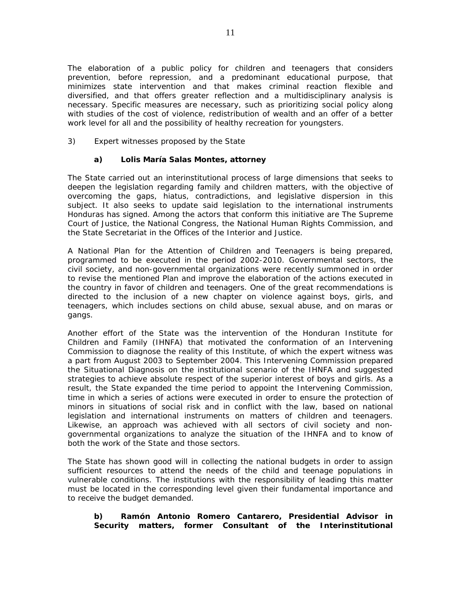The elaboration of a public policy for children and teenagers that considers prevention, before repression, and a predominant educational purpose, that minimizes state intervention and that makes criminal reaction flexible and diversified, and that offers greater reflection and a multidisciplinary analysis is necessary. Specific measures are necessary, such as prioritizing social policy along with studies of the cost of violence, redistribution of wealth and an offer of a better work level for all and the possibility of healthy recreation for youngsters.

## *3) Expert witnesses proposed by the State*

# **a) Lolis María Salas Montes, attorney**

The State carried out an interinstitutional process of large dimensions that seeks to deepen the legislation regarding family and children matters, with the objective of overcoming the gaps, hiatus, contradictions, and legislative dispersion in this subject. It also seeks to update said legislation to the international instruments Honduras has signed. Among the actors that conform this initiative are The Supreme Court of Justice, the National Congress, the National Human Rights Commission, and the State Secretariat in the Offices of the Interior and Justice.

A National Plan for the Attention of Children and Teenagers is being prepared, programmed to be executed in the period 2002-2010. Governmental sectors, the civil society, and non-governmental organizations were recently summoned in order to revise the mentioned Plan and improve the elaboration of the actions executed in the country in favor of children and teenagers. One of the great recommendations is directed to the inclusion of a new chapter on violence against boys, girls, and teenagers, which includes sections on child abuse, sexual abuse, and on maras or gangs.

Another effort of the State was the intervention of the Honduran Institute for Children and Family (IHNFA) that motivated the conformation of an Intervening Commission to diagnose the reality of this Institute, of which the expert witness was a part from August 2003 to September 2004. This Intervening Commission prepared the Situational Diagnosis on the institutional scenario of the IHNFA and suggested strategies to achieve absolute respect of the superior interest of boys and girls. As a result, the State expanded the time period to appoint the Intervening Commission, time in which a series of actions were executed in order to ensure the protection of minors in situations of social risk and in conflict with the law, based on national legislation and international instruments on matters of children and teenagers. Likewise, an approach was achieved with all sectors of civil society and nongovernmental organizations to analyze the situation of the IHNFA and to know of both the work of the State and those sectors.

The State has shown good will in collecting the national budgets in order to assign sufficient resources to attend the needs of the child and teenage populations in vulnerable conditions. The institutions with the responsibility of leading this matter must be located in the corresponding level given their fundamental importance and to receive the budget demanded.

## **b) Ramón Antonio Romero Cantarero, Presidential Advisor in Security matters, former Consultant of the Interinstitutional**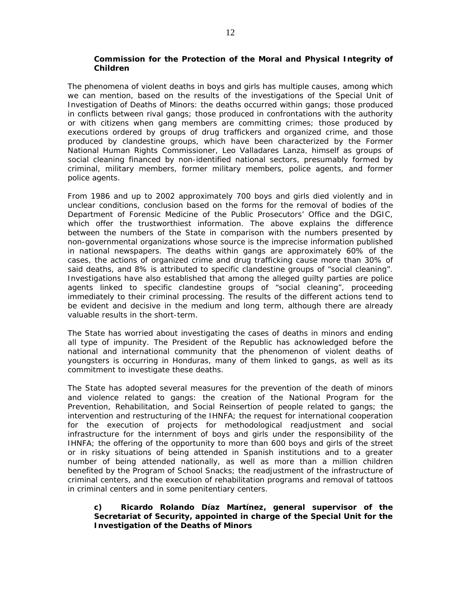#### **Commission for the Protection of the Moral and Physical Integrity of Children**

The phenomena of violent deaths in boys and girls has multiple causes, among which we can mention, based on the results of the investigations of the Special Unit of Investigation of Deaths of Minors: the deaths occurred within gangs; those produced in conflicts between rival gangs; those produced in confrontations with the authority or with citizens when gang members are committing crimes; those produced by executions ordered by groups of drug traffickers and organized crime, and those produced by clandestine groups, which have been characterized by the Former National Human Rights Commissioner, Leo Valladares Lanza, himself as groups of social cleaning financed by non-identified national sectors, presumably formed by criminal, military members, former military members, police agents, and former police agents.

From 1986 and up to 2002 approximately 700 boys and girls died violently and in unclear conditions, conclusion based on the forms for the removal of bodies of the Department of Forensic Medicine of the Public Prosecutors' Office and the DGIC, which offer the trustworthiest information. The above explains the difference between the numbers of the State in comparison with the numbers presented by non-governmental organizations whose source is the imprecise information published in national newspapers. The deaths within gangs are approximately 60% of the cases, the actions of organized crime and drug trafficking cause more than 30% of said deaths, and 8% is attributed to specific clandestine groups of "social cleaning". Investigations have also established that among the alleged guilty parties are police agents linked to specific clandestine groups of "social cleaning", proceeding immediately to their criminal processing. The results of the different actions tend to be evident and decisive in the medium and long term, although there are already valuable results in the short-term.

The State has worried about investigating the cases of deaths in minors and ending all type of impunity. The President of the Republic has acknowledged before the national and international community that the phenomenon of violent deaths of youngsters is occurring in Honduras, many of them linked to gangs, as well as its commitment to investigate these deaths.

The State has adopted several measures for the prevention of the death of minors and violence related to gangs: the creation of the National Program for the Prevention, Rehabilitation, and Social Reinsertion of people related to gangs; the intervention and restructuring of the IHNFA; the request for international cooperation for the execution of projects for methodological readjustment and social infrastructure for the internment of boys and girls under the responsibility of the IHNFA; the offering of the opportunity to more than 600 boys and girls of the street or in risky situations of being attended in Spanish institutions and to a greater number of being attended nationally, as well as more than a million children benefited by the Program of School Snacks; the readjustment of the infrastructure of criminal centers, and the execution of rehabilitation programs and removal of tattoos in criminal centers and in some penitentiary centers.

## **c) Ricardo Rolando Díaz Martínez, general supervisor of the Secretariat of Security, appointed in charge of the Special Unit for the Investigation of the Deaths of Minors**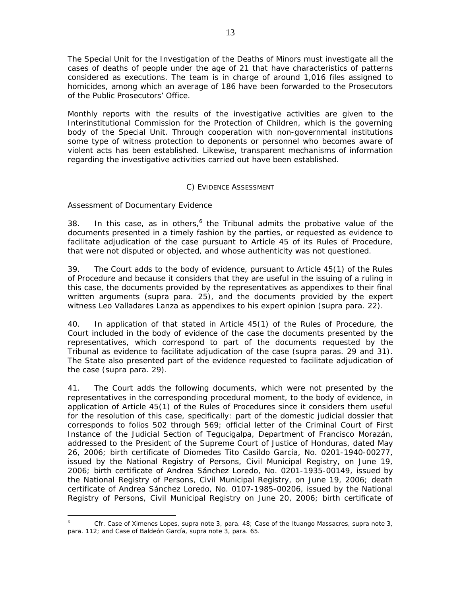The Special Unit for the Investigation of the Deaths of Minors must investigate all the cases of deaths of people under the age of 21 that have characteristics of patterns considered as executions. The team is in charge of around 1,016 files assigned to homicides, among which an average of 186 have been forwarded to the Prosecutors of the Public Prosecutors' Office.

Monthly reports with the results of the investigative activities are given to the Interinstitutional Commission for the Protection of Children, which is the governing body of the Special Unit. Through cooperation with non-governmental institutions some type of witness protection to deponents or personnel who becomes aware of violent acts has been established. Likewise, transparent mechanisms of information regarding the investigative activities carried out have been established.

## *C) EVIDENCE ASSESSMENT*

## *Assessment of Documentary Evidence*

 $\overline{a}$ 

38. In this case, as in others, $6$  the Tribunal admits the probative value of the documents presented in a timely fashion by the parties, or requested as evidence to facilitate adjudication of the case pursuant to Article 45 of its Rules of Procedure, that were not disputed or objected, and whose authenticity was not questioned.

39. The Court adds to the body of evidence, pursuant to Article 45(1) of the Rules of Procedure and because it considers that they are useful in the issuing of a ruling in this case, the documents provided by the representatives as appendixes to their final written arguments (*supra* para. 25), and the documents provided by the expert witness Leo Valladares Lanza as appendixes to his expert opinion (*supra* para. 22).

40. In application of that stated in Article 45(1) of the Rules of Procedure, the Court included in the body of evidence of the case the documents presented by the representatives, which correspond to part of the documents requested by the Tribunal as evidence to facilitate adjudication of the case (*supra* paras. 29 and 31). The State also presented part of the evidence requested to facilitate adjudication of the case (*supra* para. 29).

41. The Court adds the following documents, which were not presented by the representatives in the corresponding procedural moment, to the body of evidence, in application of Article 45(1) of the Rules of Procedures since it considers them useful for the resolution of this case, specifically: part of the domestic judicial dossier that corresponds to folios 502 through 569; official letter of the Criminal Court of First Instance of the Judicial Section of Tegucigalpa, Department of Francisco Morazán, addressed to the President of the Supreme Court of Justice of Honduras, dated May 26, 2006; birth certificate of Diomedes Tito Casildo García, No. 0201-1940-00277, issued by the National Registry of Persons, Civil Municipal Registry, on June 19, 2006; birth certificate of Andrea Sánchez Loredo, No. 0201-1935-00149, issued by the National Registry of Persons, Civil Municipal Registry, on June 19, 2006; death certificate of Andrea Sánchez Loredo, No. 0107-1985-00206, issued by the National Registry of Persons, Civil Municipal Registry on June 20, 2006; birth certificate of

*<sup>6</sup> Cfr. Case of Ximenes Lopes, supra* note 3, para. 48; *Case of the Ituango Massacres, supra* note 3, para. 112; and *Case of Baldeón García*, *supra* note 3, para. 65.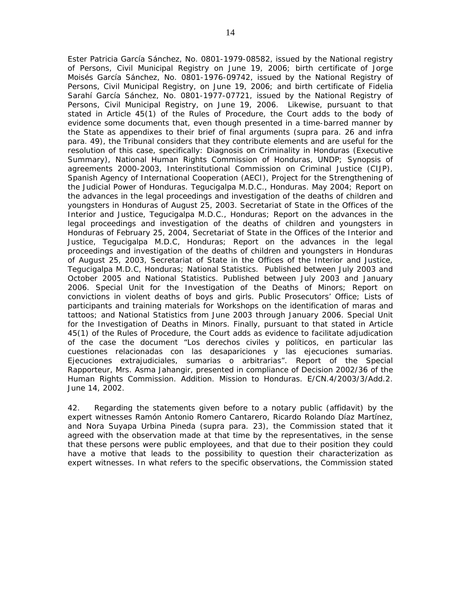Ester Patricia García Sánchez, No. 0801-1979-08582, issued by the National registry of Persons, Civil Municipal Registry on June 19, 2006; birth certificate of Jorge Moisés García Sánchez, No. 0801-1976-09742, issued by the National Registry of Persons, Civil Municipal Registry, on June 19, 2006; and birth certificate of Fidelia Sarahí García Sánchez, No. 0801-1977-07721, issued by the National Registry of Persons, Civil Municipal Registry, on June 19, 2006.Likewise, pursuant to that stated in Article 45(1) of the Rules of Procedure, the Court adds to the body of evidence some documents that, even though presented in a time-barred manner by the State as appendixes to their brief of final arguments (*supra* para. 26 and *infra* para. 49), the Tribunal considers that they contribute elements and are useful for the resolution of this case, specifically: Diagnosis on Criminality in Honduras (Executive Summary), National Human Rights Commission of Honduras, UNDP; Synopsis of agreements 2000-2003, Interinstitutional Commission on Criminal Justice (CIJP), Spanish Agency of International Cooperation (AECI), Project for the Strengthening of the Judicial Power of Honduras. Tegucigalpa M.D.C., Honduras. May 2004; Report on the advances in the legal proceedings and investigation of the deaths of children and youngsters in Honduras of August 25, 2003. Secretariat of State in the Offices of the Interior and Justice, Tegucigalpa M.D.C., Honduras; Report on the advances in the legal proceedings and investigation of the deaths of children and youngsters in Honduras of February 25, 2004, Secretariat of State in the Offices of the Interior and Justice, Tegucigalpa M.D.C, Honduras; Report on the advances in the legal proceedings and investigation of the deaths of children and youngsters in Honduras of August 25, 2003, Secretariat of State in the Offices of the Interior and Justice, Tegucigalpa M.D.C, Honduras; National Statistics. Published between July 2003 and October 2005 and National Statistics. Published between July 2003 and January 2006. Special Unit for the Investigation of the Deaths of Minors; Report on convictions in violent deaths of boys and girls. Public Prosecutors' Office; Lists of participants and training materials for Workshops on the identification of maras and tattoos; and National Statistics from June 2003 through January 2006. Special Unit for the Investigation of Deaths in Minors. Finally, pursuant to that stated in Article 45(1) of the Rules of Procedure, the Court adds as evidence to facilitate adjudication of the case the document "*Los derechos civiles y políticos, en particular las cuestiones relacionadas con las desapariciones y las ejecuciones sumarias. Ejecuciones extrajudiciales, sumarias o arbitrarias*". Report of the Special Rapporteur, Mrs. Asma Jahangir, presented in compliance of Decision 2002/36 of the Human Rights Commission. Addition. Mission to Honduras. E/CN.4/2003/3/Add.2. June 14, 2002.

42. Regarding the statements given before to a notary public (affidavit) by the expert witnesses Ramón Antonio Romero Cantarero, Ricardo Rolando Díaz Martínez, and Nora Suyapa Urbina Pineda (*supra* para. 23), the Commission stated that it agreed with the observation made at that time by the representatives, in the sense that these persons were public employees, and that due to their position they could have a motive that leads to the possibility to question their characterization as expert witnesses. In what refers to the specific observations, the Commission stated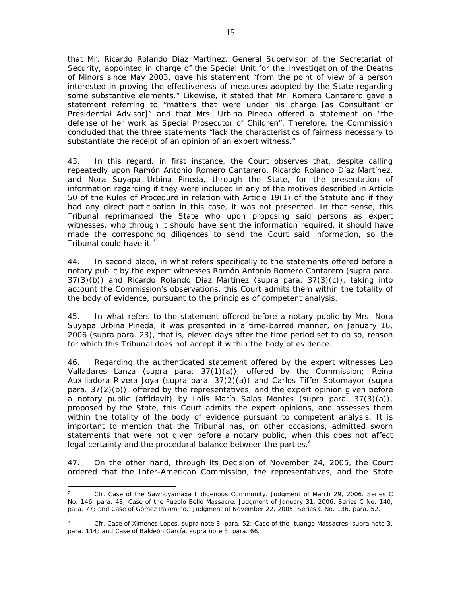that Mr. Ricardo Rolando Díaz Martínez, General Supervisor of the Secretariat of Security, appointed in charge of the Special Unit for the Investigation of the Deaths of Minors since May 2003, gave his statement "from the point of view of a person interested in proving the effectiveness of measures adopted by the State regarding some substantive elements." Likewise, it stated that Mr. Romero Cantarero gave a statement referring to "matters that were under his charge [as Consultant or Presidential Advisor]" and that Mrs. Urbina Pineda offered a statement on "the defense of her work as Special Prosecutor of Children". Therefore, the Commission concluded that the three statements "lack the characteristics of fairness necessary to substantiate the receipt of an opinion of an expert witness."

43. In this regard, in first instance, the Court observes that, despite calling repeatedly upon Ramón Antonio Romero Cantarero, Ricardo Rolando Díaz Martínez, and Nora Suyapa Urbina Pineda, through the State, for the presentation of information regarding if they were included in any of the motives described in Article 50 of the Rules of Procedure in relation with Article 19(1) of the Statute and if they had any direct participation in this case, it was not presented. In that sense, this Tribunal reprimanded the State who upon proposing said persons as expert witnesses, who through it should have sent the information required, it should have made the corresponding diligences to send the Court said information, so the Tribunal could have it.<sup>7</sup>

44. In second place, in what refers specifically to the statements offered before a notary public by the expert witnesses Ramón Antonio Romero Cantarero (*supra* para. 37(3)(b)) and Ricardo Rolando Díaz Martínez (supra para. 37(3)(c)), taking into account the Commission's observations, this Court admits them within the totality of the body of evidence, pursuant to the principles of competent analysis.

45. In what refers to the statement offered before a notary public by Mrs. Nora Suyapa Urbina Pineda, it was presented in a time-barred manner, on January 16, 2006 (*supra* para. 23), that is, eleven days after the time period set to do so, reason for which this Tribunal does not accept it within the body of evidence.

46. Regarding the authenticated statement offered by the expert witnesses Leo Valladares Lanza (*supra* para. 37(1)(a)), offered by the Commission; Reina Auxiliadora Rivera Joya (*supra* para. 37(2)(a)) and Carlos Tiffer Sotomayor (*supra* para.  $37(2)(b)$ , offered by the representatives, and the expert opinion given before a notary public (affidavit) by Lolis María Salas Montes (*supra* para. 37(3)(a)), proposed by the State, this Court admits the expert opinions, and assesses them within the totality of the body of evidence pursuant to competent analysis. It is important to mention that the Tribunal has, on other occasions, admitted sworn statements that were not given before a notary public, when this does not affect legal certainty and the procedural balance between the parties. $8$ 

47. On the other hand, through its Decision of November 24, 2005, the Court ordered that the Inter-American Commission, the representatives, and the State

 $\overline{a}$ <sup>7</sup> *Cfr. Case of the Sawhoyamaxa Indigenous Community.* Judgment of March 29, 2006. Series C No. 146, para. 48; *Case of the Pueblo Bello Massacre.* Judgment of January 31, 2006. Series C No. 140, para. 77; and *Case of Gómez Palomino*. Judgment of November 22, 2005. Series C No. 136, para. 52.

<sup>8</sup> *Cfr. Case of Ximenes Lopes*, *supra* note 3, para. 52; *Case of the Ituango Massacres*, *supra* note 3, para. 114; and *Case of Baldeón García, supra* note 3, para. 66*.*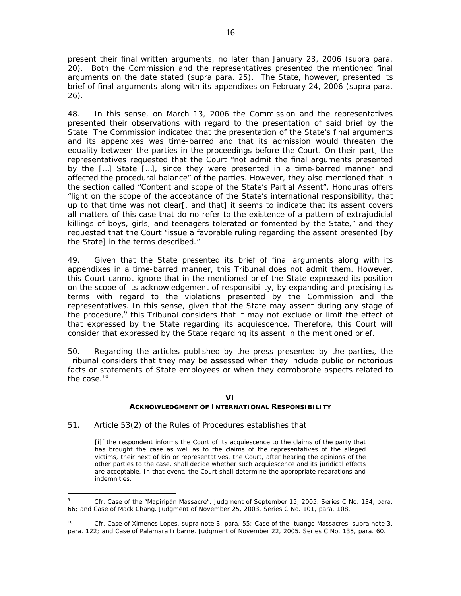present their final written arguments, no later than January 23, 2006 (*supra* para. 20). Both the Commission and the representatives presented the mentioned final arguments on the date stated (*supra* para. 25). The State, however, presented its brief of final arguments along with its appendixes on February 24, 2006 (*supra* para. 26).

48. In this sense, on March 13, 2006 the Commission and the representatives presented their observations with regard to the presentation of said brief by the State. The Commission indicated that the presentation of the State's final arguments and its appendixes was time-barred and that its admission would threaten the equality between the parties in the proceedings before the Court. On their part, the representatives requested that the Court "not admit the final arguments presented by the […] State […], since they were presented in a time-barred manner and affected the procedural balance" of the parties. However, they also mentioned that in the section called "Content and scope of the State's Partial Assent", Honduras offers "light on the scope of the acceptance of the State's international responsibility, that up to that time was not clear[, and that] it seems to indicate that its assent covers all matters of this case that do no refer to the existence of a pattern of extrajudicial killings of boys, girls, and teenagers tolerated or fomented by the State," and they requested that the Court "issue a favorable ruling regarding the assent presented [by the State] in the terms described."

49. Given that the State presented its brief of final arguments along with its appendixes in a time-barred manner, this Tribunal does not admit them. However, this Court cannot ignore that in the mentioned brief the State expressed its position on the scope of its acknowledgement of responsibility, by expanding and precising its terms with regard to the violations presented by the Commission and the representatives. In this sense, given that the State may assent during any stage of the procedure,<sup>9</sup> this Tribunal considers that it may not exclude or limit the effect of that expressed by the State regarding its acquiescence. Therefore, this Court will consider that expressed by the State regarding its assent in the mentioned brief.

50. Regarding the articles published by the press presented by the parties, the Tribunal considers that they may be assessed when they include public or notorious facts or statements of State employees or when they corroborate aspects related to the case  $10$ 

#### **VI ACKNOWLEDGMENT OF INTERNATIONAL RESPONSIBILITY**

## 51. Article 53(2) of the Rules of Procedures establishes that

[i]f the respondent informs the Court of its acquiescence to the claims of the party that has brought the case as well as to the claims of the representatives of the alleged victims, their next of kin or representatives, the Court, after hearing the opinions of the other parties to the case, shall decide whether such acquiescence and its juridical effects are acceptable. In that event, the Court shall determine the appropriate reparations and indemnities.

 $\overline{a}$ <sup>9</sup> *Cfr. Case of the "Mapiripán Massacre".* Judgment of September 15, 2005. Series C No. 134, para. 66*;* and *Case of Mack Chang*. Judgment of November 25, 2003. Series C No. 101, para. 108.

<sup>10</sup> *Cfr. Case of Ximenes Lopes, supra* note 3, para. 55; *Case of the Ituango Massacres, supra* note 3, para. 122; and *Case of Palamara Iribarne.* Judgment of November 22, 2005. Series C No. 135, para. 60.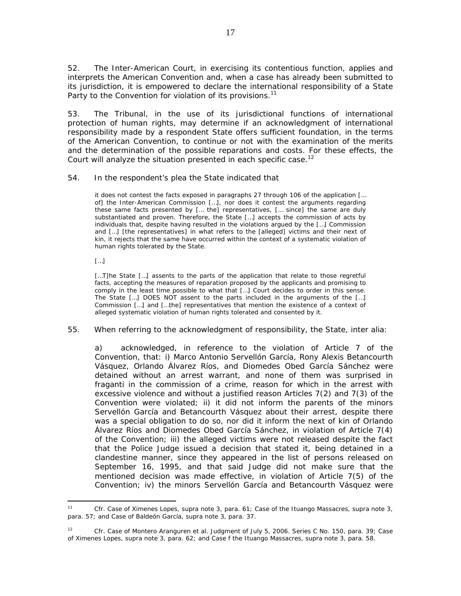52. The Inter-American Court, in exercising its contentious function, applies and interprets the American Convention and, when a case has already been submitted to its jurisdiction, it is empowered to declare the international responsibility of a State Party to the Convention for violation of its provisions.<sup>11</sup>

53. The Tribunal, in the use of its jurisdictional functions of international protection of human rights, may determine if an acknowledgment of international responsibility made by a respondent State offers sufficient foundation, in the terms of the American Convention, to continue or not with the examination of the merits and the determination of the possible reparations and costs. For these effects, the Court will analyze the situation presented in each specific case.<sup>12</sup>

54. In the respondent's plea the State indicated that

it does not contest the facts exposed in paragraphs 27 through 106 of the application [… of] the Inter-American Commission […], nor does it contest the arguments regarding these same facts presented by [… the] representatives, [… since] the same are duly substantiated and proven. Therefore, the State […] accepts the commission of acts by individuals that, despite having resulted in the violations argued by the […] Commission and […] [the representatives] in what refers to the [alleged] victims and their next of kin, it rejects that the same have occurred within the context of a systematic violation of human rights tolerated by the State.

[…]

[...T]he State [...] assents to the parts of the application that relate to those regretful facts, accepting the measures of reparation proposed by the applicants and promising to comply in the least time possible to what that […] Court decides to order in this sense. The State […] DOES NOT assent to the parts included in the arguments of the […] Commission […] and […the] representatives that mention the existence of a context of alleged systematic violation of human rights tolerated and consented by it.

55. When referring to the acknowledgment of responsibility, the State, *inter alia*:

a) acknowledged, in reference to the violation of Article 7 of the Convention, that: i) Marco Antonio Servellón García, Rony Alexis Betancourth Vásquez, Orlando Álvarez Ríos, and Diomedes Obed García Sánchez were detained without an arrest warrant, and none of them was surprised *in fraganti* in the commission of a crime, reason for which in the arrest with excessive violence and without a justified reason Articles 7(2) and 7(3) of the Convention were violated; ii) it did not inform the parents of the minors Servellón García and Betancourth Vásquez about their arrest, despite there was a special obligation to do so, nor did it inform the next of kin of Orlando Álvarez Ríos and Diomedes Obed García Sánchez, in violation of Article 7(4) of the Convention; iii) the alleged victims were not released despite the fact that the Police Judge issued a decision that stated it, being detained in a clandestine manner, since they appeared in the list of persons released on September 16, 1995, and that said Judge did not make sure that the mentioned decision was made effective, in violation of Article 7(5) of the Convention; iv) the minors Servellón García and Betancourth Vásquez were

 $11$ <sup>11</sup> *Cfr. Case of Ximenes Lopes, supra* note 3, para. 61*; Case of the Ituango Massacres, supra* note 3, para. 57; and *Case of Baldeón García*, *supra* note 3, para. 37.

<sup>12</sup> *Cfr. Case of Montero Aranguren et al.* Judgment of July 5, 2006. Series C No. 150, para. 39; *Case of Ximenes Lopes*, *supra* note 3, para. 62; and *Case f the Ituango Massacres, supra* note 3, para. 58.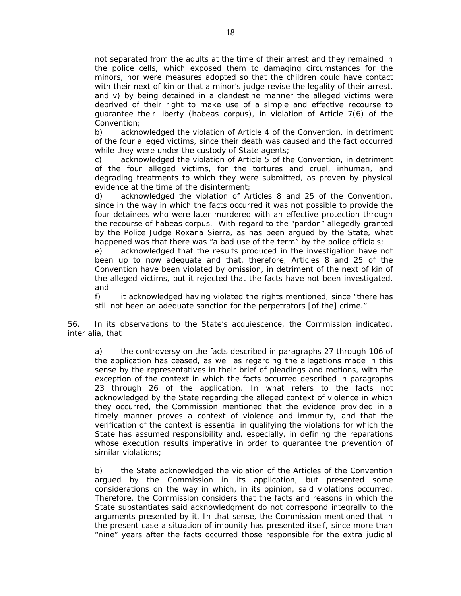not separated from the adults at the time of their arrest and they remained in the police cells, which exposed them to damaging circumstances for the minors, nor were measures adopted so that the children could have contact with their next of kin or that a minor's judge revise the legality of their arrest, and v) by being detained in a clandestine manner the alleged victims were deprived of their right to make use of a simple and effective recourse to guarantee their liberty (habeas corpus), in violation of Article 7(6) of the Convention;

b) acknowledged the violation of Article 4 of the Convention, in detriment of the four alleged victims, since their death was caused and the fact occurred while they were under the custody of State agents;

c) acknowledged the violation of Article 5 of the Convention, in detriment of the four alleged victims, for the tortures and cruel, inhuman, and degrading treatments to which they were submitted, as proven by physical evidence at the time of the disinterment;

d) acknowledged the violation of Articles 8 and 25 of the Convention, since in the way in which the facts occurred it was not possible to provide the four detainees who were later murdered with an effective protection through the recourse of habeas corpus. With regard to the "pardon" allegedly granted by the Police Judge Roxana Sierra, as has been argued by the State, what happened was that there was "a bad use of the term" by the police officials;

e) acknowledged that the results produced in the investigation have not been up to now adequate and that, therefore, Articles 8 and 25 of the Convention have been violated by omission, in detriment of the next of kin of the alleged victims, but it rejected that the facts have not been investigated, and

f) it acknowledged having violated the rights mentioned, since "there has still not been an adequate sanction for the perpetrators [of the] crime."

56. In its observations to the State's acquiescence, the Commission indicated, *inter alia*, that

a) the controversy on the facts described in paragraphs 27 through 106 of the application has ceased, as well as regarding the allegations made in this sense by the representatives in their brief of pleadings and motions, with the exception of the context in which the facts occurred described in paragraphs 23 through 26 of the application. In what refers to the facts not acknowledged by the State regarding the alleged context of violence in which they occurred, the Commission mentioned that the evidence provided in a timely manner proves a context of violence and immunity, and that the verification of the context is essential in qualifying the violations for which the State has assumed responsibility and, especially, in defining the reparations whose execution results imperative in order to guarantee the prevention of similar violations;

b) the State acknowledged the violation of the Articles of the Convention argued by the Commission in its application, but presented some considerations on the way in which, in its opinion, said violations occurred. Therefore, the Commission considers that the facts and reasons in which the State substantiates said acknowledgment do not correspond integrally to the arguments presented by it. In that sense, the Commission mentioned that in the present case a situation of impunity has presented itself, since more than "nine" years after the facts occurred those responsible for the extra judicial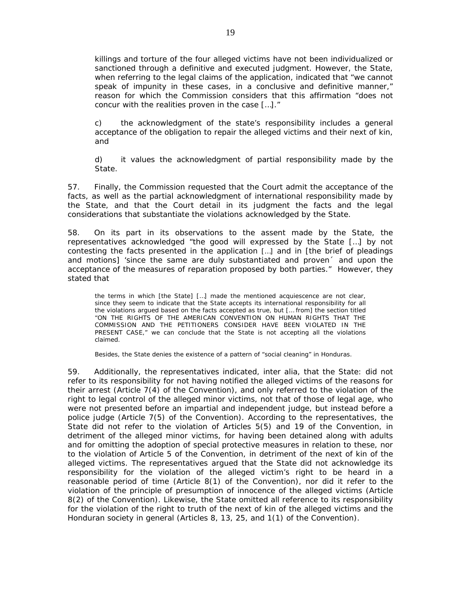killings and torture of the four alleged victims have not been individualized or sanctioned through a definitive and executed judgment. However, the State, when referring to the legal claims of the application, indicated that "we cannot speak of impunity in these cases, in a conclusive and definitive manner," reason for which the Commission considers that this affirmation "does not concur with the realities proven in the case […]."

c) the acknowledgment of the state's responsibility includes a general acceptance of the obligation to repair the alleged victims and their next of kin, and

d) it values the acknowledgment of partial responsibility made by the State.

57. Finally, the Commission requested that the Court admit the acceptance of the facts, as well as the partial acknowledgment of international responsibility made by the State, and that the Court detail in its judgment the facts and the legal considerations that substantiate the violations acknowledged by the State.

58. On its part in its observations to the assent made by the State, the representatives acknowledged "the good will expressed by the State […] by not contesting the facts presented in the application […] and in [the brief of pleadings and motions] 'since the same are duly substantiated and proven´ and upon the acceptance of the measures of reparation proposed by both parties." However, they stated that

the terms in which [the State] […] made the mentioned acquiescence are not clear, since they seem to indicate that the State accepts its international responsibility for all the violations argued based on the facts accepted as true, but [… from] the section titled "*ON THE RIGHTS OF THE AMERICAN CONVENTION ON HUMAN RIGHTS THAT THE COMMISSION AND THE PETITIONERS CONSIDER HAVE BEEN VIOLATED IN THE PRESENT CASE,*" we can conclude that the State is not accepting all the violations claimed.

Besides, the State denies the existence of a pattern of "*social cleaning*" in Honduras.

59. Additionally, the representatives indicated, *inter alia*, that the State: did not refer to its responsibility for not having notified the alleged victims of the reasons for their arrest (Article 7(4) of the Convention), and only referred to the violation of the right to legal control of the alleged minor victims, not that of those of legal age, who were not presented before an impartial and independent judge, but instead before a police judge (Article 7(5) of the Convention). According to the representatives, the State did not refer to the violation of Articles 5(5) and 19 of the Convention, in detriment of the alleged minor victims, for having been detained along with adults and for omitting the adoption of special protective measures in relation to these, nor to the violation of Article 5 of the Convention, in detriment of the next of kin of the alleged victims. The representatives argued that the State did not acknowledge its responsibility for the violation of the alleged victim's right to be heard in a reasonable period of time (Article 8(1) of the Convention), nor did it refer to the violation of the principle of presumption of innocence of the alleged victims (Article 8(2) of the Convention). Likewise, the State omitted all reference to its responsibility for the violation of the right to truth of the next of kin of the alleged victims and the Honduran society in general (Articles 8, 13, 25, and 1(1) of the Convention).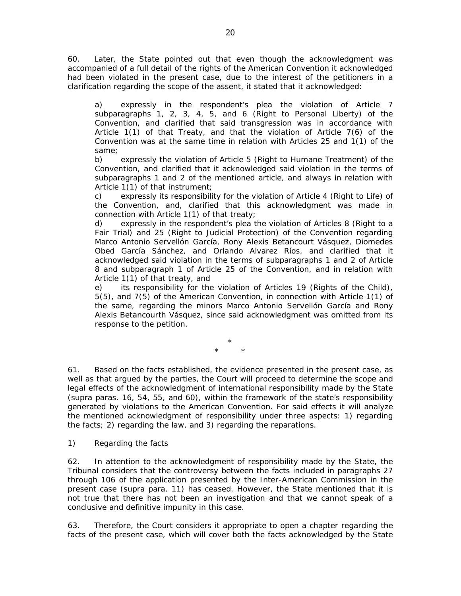60. Later, the State pointed out that even though the acknowledgment was accompanied of a full detail of the rights of the American Convention it acknowledged had been violated in the present case, due to the interest of the petitioners in a clarification regarding the scope of the assent, it stated that it acknowledged:

a) expressly in the respondent's plea the violation of Article 7 subparagraphs 1, 2, 3, 4, 5, and 6 (Right to Personal Liberty) of the Convention, and clarified that said transgression was in accordance with Article 1(1) of that Treaty, and that the violation of Article 7(6) of the Convention was at the same time in relation with Articles 25 and 1(1) of the same;

b) expressly the violation of Article 5 (Right to Humane Treatment) of the Convention, and clarified that it acknowledged said violation in the terms of subparagraphs 1 and 2 of the mentioned article, and always in relation with Article 1(1) of that instrument;

c) expressly its responsibility for the violation of Article 4 (Right to Life) of the Convention, and, clarified that this acknowledgment was made in connection with Article 1(1) of that treaty;

d) expressly in the respondent's plea the violation of Articles 8 (Right to a Fair Trial) and 25 (Right to Judicial Protection) of the Convention regarding Marco Antonio Servellón García, Rony Alexis Betancourt Vásquez, Diomedes Obed García Sánchez, and Orlando Alvarez Ríos, and clarified that it acknowledged said violation in the terms of subparagraphs 1 and 2 of Article 8 and subparagraph 1 of Article 25 of the Convention, and in relation with Article 1(1) of that treaty, and

e) its responsibility for the violation of Articles 19 (Rights of the Child), 5(5), and 7(5) of the American Convention, in connection with Article 1(1) of the same, regarding the minors Marco Antonio Servellón García and Rony Alexis Betancourth Vásquez, since said acknowledgment was omitted from its response to the petition.

> \* \* \*

61. Based on the facts established, the evidence presented in the present case, as well as that argued by the parties, the Court will proceed to determine the scope and legal effects of the acknowledgment of international responsibility made by the State (*supra* paras. 16, 54, 55, and 60), within the framework of the state's responsibility generated by violations to the American Convention. For said effects it will analyze the mentioned acknowledgment of responsibility under three aspects: 1) regarding the facts; 2) regarding the law, and 3) regarding the reparations.

## *1) Regarding the facts*

62. In attention to the acknowledgment of responsibility made by the State, the Tribunal considers that the controversy between the facts included in paragraphs 27 through 106 of the application presented by the Inter-American Commission in the present case (*supra* para. 11) has ceased. However, the State mentioned that it is not true that there has not been an investigation and that we cannot speak of a conclusive and definitive impunity in this case.

63. Therefore, the Court considers it appropriate to open a chapter regarding the facts of the present case, which will cover both the facts acknowledged by the State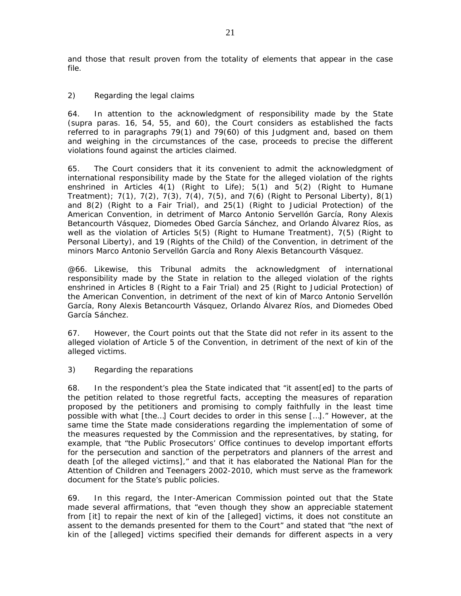and those that result proven from the totality of elements that appear in the case file.

# *2) Regarding the legal claims*

64. In attention to the acknowledgment of responsibility made by the State (*supra* paras. 16, 54, 55, and 60), the Court considers as established the facts referred to in paragraphs 79(1) and 79(60) of this Judgment and, based on them and weighing in the circumstances of the case, proceeds to precise the different violations found against the articles claimed.

65. The Court considers that it its convenient to admit the acknowledgment of international responsibility made by the State for the alleged violation of the rights enshrined in Articles  $4(1)$  (Right to Life);  $5(1)$  and  $5(2)$  (Right to Humane Treatment); 7(1), 7(2), 7(3), 7(4), 7(5), and 7(6) (Right to Personal Liberty), 8(1) and 8(2) (Right to a Fair Trial), and 25(1) (Right to Judicial Protection) of the American Convention, in detriment of Marco Antonio Servellón García, Rony Alexis Betancourth Vásquez, Diomedes Obed García Sánchez, and Orlando Álvarez Ríos, as well as the violation of Articles 5(5) (Right to Humane Treatment), 7(5) (Right to Personal Liberty), and 19 (Rights of the Child) of the Convention, in detriment of the minors Marco Antonio Servellón García and Rony Alexis Betancourth Vásquez.

@66. Likewise, this Tribunal admits the acknowledgment of international responsibility made by the State in relation to the alleged violation of the rights enshrined in Articles 8 (Right to a Fair Trial) and 25 (Right to Judicial Protection) of the American Convention, in detriment of the next of kin of Marco Antonio Servellón García, Rony Alexis Betancourth Vásquez, Orlando Álvarez Ríos, and Diomedes Obed García Sánchez.

67. However, the Court points out that the State did not refer in its assent to the alleged violation of Article 5 of the Convention, in detriment of the next of kin of the alleged victims.

## *3) Regarding the reparations*

68. In the respondent's plea the State indicated that "it assent[ed] to the parts of the petition related to those regretful facts, accepting the measures of reparation proposed by the petitioners and promising to comply faithfully in the least time possible with what [the…] Court decides to order in this sense […]." However, at the same time the State made considerations regarding the implementation of some of the measures requested by the Commission and the representatives, by stating, for example, that "the Public Prosecutors' Office continues to develop important efforts for the persecution and sanction of the perpetrators and planners of the arrest and death [of the alleged victims]," and that it has elaborated the National Plan for the Attention of Children and Teenagers 2002-2010, which must serve as the framework document for the State's public policies.

69. In this regard, the Inter-American Commission pointed out that the State made several affirmations, that "even though they show an appreciable statement from [it] to repair the next of kin of the [alleged] victims, it does not constitute an assent to the demands presented for them to the Court" and stated that "the next of kin of the [alleged] victims specified their demands for different aspects in a very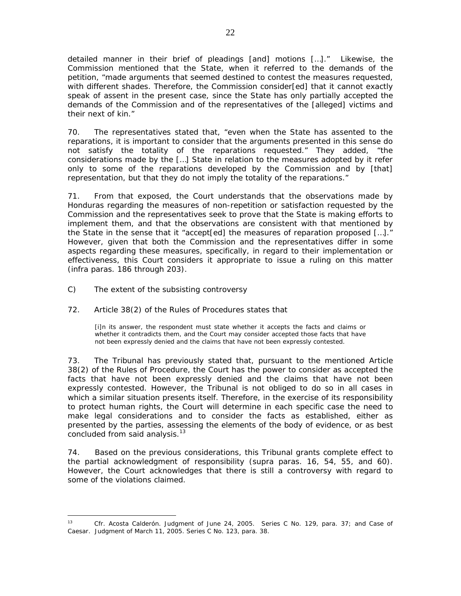detailed manner in their brief of pleadings [and] motions […]." Likewise, the Commission mentioned that the State, when it referred to the demands of the petition, "made arguments that seemed destined to contest the measures requested, with different shades. Therefore, the Commission consider[ed] that it cannot exactly speak of assent in the present case, since the State has only partially accepted the demands of the Commission and of the representatives of the [alleged] victims and their next of kin."

70. The representatives stated that, "even when the State has assented to the reparations, it is important to consider that the arguments presented in this sense do not satisfy the totality of the reparations requested." They added, "the considerations made by the […] State in relation to the measures adopted by it refer only to some of the reparations developed by the Commission and by [that] representation, but that they do not imply the totality of the reparations."

71. From that exposed, the Court understands that the observations made by Honduras regarding the measures of non-repetition or satisfaction requested by the Commission and the representatives seek to prove that the State is making efforts to implement them, and that the observations are consistent with that mentioned by the State in the sense that it "accept[ed] the measures of reparation proposed […]." However, given that both the Commission and the representatives differ in some aspects regarding these measures, specifically, in regard to their implementation or effectiveness, this Court considers it appropriate to issue a ruling on this matter (*infra* paras. 186 through 203).

C) *The extent of the subsisting controversy* 

 $\overline{a}$ 

## 72. Article 38(2) of the Rules of Procedures states that

[i]n its answer, the respondent must state whether it accepts the facts and claims or whether it contradicts them, and the Court may consider accepted those facts that have not been expressly denied and the claims that have not been expressly contested.

73. The Tribunal has previously stated that, pursuant to the mentioned Article 38(2) of the Rules of Procedure, the Court has the power to consider as accepted the facts that have not been expressly denied and the claims that have not been expressly contested. However, the Tribunal is not obliged to do so in all cases in which a similar situation presents itself. Therefore, in the exercise of its responsibility to protect human rights, the Court will determine in each specific case the need to make legal considerations and to consider the facts as established, either as presented by the parties, assessing the elements of the body of evidence, or as best concluded from said analysis.<sup>13</sup>

74. Based on the previous considerations, this Tribunal grants complete effect to the partial acknowledgment of responsibility (*supra* paras. 16, 54, 55, and 60). However, the Court acknowledges that there is still a controversy with regard to some of the violations claimed.

<sup>13</sup> *Cfr. Acosta Calderón.* Judgment of June 24, 2005. Series C No. 129, para. 37; and *Case of Caesar.* Judgment of March 11, 2005. Series C No. 123, para. 38.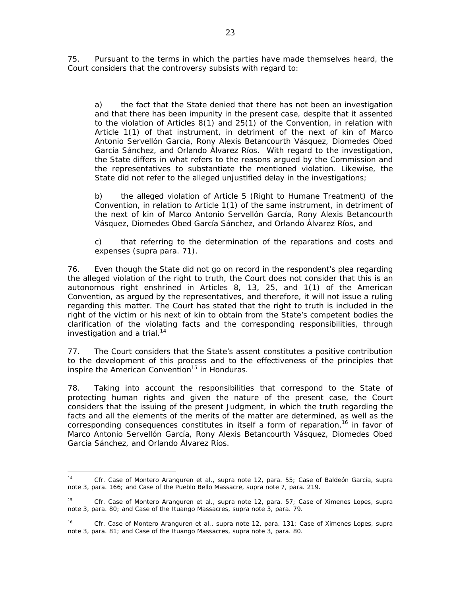75. Pursuant to the terms in which the parties have made themselves heard, the Court considers that the controversy subsists with regard to:

a) the fact that the State denied that there has not been an investigation and that there has been impunity in the present case, despite that it assented to the violation of Articles 8(1) and 25(1) of the Convention, in relation with Article 1(1) of that instrument, in detriment of the next of kin of Marco Antonio Servellón García, Rony Alexis Betancourth Vásquez, Diomedes Obed García Sánchez, and Orlando Álvarez Ríos. With regard to the investigation, the State differs in what refers to the reasons argued by the Commission and the representatives to substantiate the mentioned violation. Likewise, the State did not refer to the alleged unjustified delay in the investigations;

b) the alleged violation of Article 5 (Right to Humane Treatment) of the Convention, in relation to Article 1(1) of the same instrument, in detriment of the next of kin of Marco Antonio Servellón García, Rony Alexis Betancourth Vásquez, Diomedes Obed García Sánchez, and Orlando Álvarez Ríos, and

c) that referring to the determination of the reparations and costs and expenses (*supra* para. 71).

76. Even though the State did not go on record in the respondent's plea regarding the alleged violation of the right to truth, the Court does not consider that this is an autonomous right enshrined in Articles 8, 13, 25, and 1(1) of the American Convention, as argued by the representatives, and therefore, it will not issue a ruling regarding this matter. The Court has stated that the right to truth is included in the right of the victim or his next of kin to obtain from the State's competent bodies the clarification of the violating facts and the corresponding responsibilities, through investigation and a trial.<sup>14</sup>

77. The Court considers that the State's assent constitutes a positive contribution to the development of this process and to the effectiveness of the principles that inspire the American Convention<sup>15</sup> in Honduras.

78. Taking into account the responsibilities that correspond to the State of protecting human rights and given the nature of the present case, the Court considers that the issuing of the present Judgment, in which the truth regarding the facts and all the elements of the merits of the matter are determined, as well as the corresponding consequences constitutes in itself a form of reparation,<sup>16</sup> in favor of Marco Antonio Servellón García, Rony Alexis Betancourth Vásquez, Diomedes Obed García Sánchez, and Orlando Álvarez Ríos.

 $14$ <sup>14</sup> *Cfr*. *Case of Montero Aranguren et al., supra* note 12, para. 55; *Case of Baldeón García, supra*  note 3, para. 166; and *Case of the Pueblo Bello Massacre*, *supra* note 7, para. 219.

<sup>15</sup> *Cfr. Case of Montero Aranguren et al., supra* note 12, para. 57; *Case of Ximenes Lopes, supra* note 3, para. 80; and *Case of the Ituango Massacres, supra* note 3, para. 79.

<sup>16</sup> *Cfr. Case of Montero Aranguren et al., supra* note 12, para. 131; *Case of Ximenes Lopes, supra* note 3, para. 81; and *Case of the Ituango Massacres, supra* note 3, para. 80.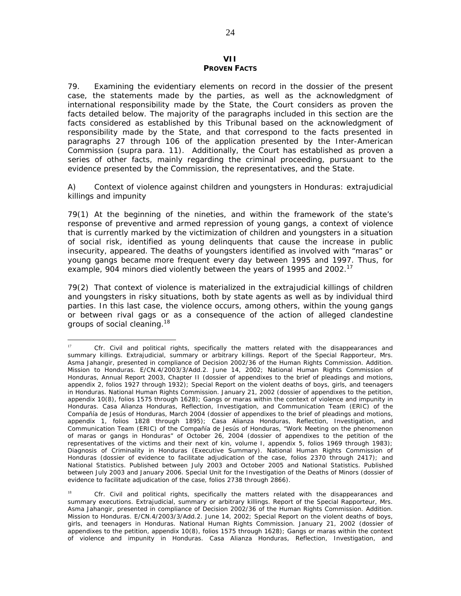#### **VII PROVEN FACTS**

79. Examining the evidentiary elements on record in the dossier of the present case, the statements made by the parties, as well as the acknowledgment of international responsibility made by the State, the Court considers as proven the facts detailed below. The majority of the paragraphs included in this section are the facts considered as established by this Tribunal based on the acknowledgment of responsibility made by the State, and that correspond to the facts presented in paragraphs 27 through 106 of the application presented by the Inter-American Commission (*supra* para. 11). Additionally, the Court has established as proven a series of other facts, mainly regarding the criminal proceeding, pursuant to the evidence presented by the Commission, the representatives, and the State.

#### *A) Context of violence against children and youngsters in Honduras: extrajudicial killings and impunity*

79(1) At the beginning of the nineties, and within the framework of the state's response of preventive and armed repression of young gangs, a context of violence that is currently marked by the victimization of children and youngsters in a situation of social risk, identified as young delinquents that cause the increase in public insecurity, appeared. The deaths of youngsters identified as involved with "maras" or young gangs became more frequent every day between 1995 and 1997. Thus, for example, 904 minors died violently between the years of 1995 and 2002.<sup>17</sup>

79(2) That context of violence is materialized in the extrajudicial killings of children and youngsters in risky situations, both by state agents as well as by individual third parties. In this last case, the violence occurs, among others, within the young gangs or between rival gags or as a consequence of the action of alleged clandestine groups of social cleaning.<sup>18</sup>

 $17$ <sup>17</sup> *Cfr*. Civil and political rights, specifically the matters related with the disappearances and summary killings. Extrajudicial, summary or arbitrary killings. Report of the Special Rapporteur, Mrs. Asma Jahangir, presented in compliance of Decision 2002/36 of the Human Rights Commission. Addition. Mission to Honduras. E/CN.4/2003/3/Add.2. June 14, 2002; National Human Rights Commission of Honduras, Annual Report 2003, Chapter II (dossier of appendixes to the brief of pleadings and motions, appendix 2, folios 1927 through 1932); Special Report on the violent deaths of boys, girls, and teenagers in Honduras. National Human Rights Commission. January 21, 2002 (dossier of appendixes to the petition, appendix 10(8), folios 1575 through 1628); Gangs or maras within the context of violence and impunity in Honduras. Casa Alianza Honduras, Reflection, Investigation, and Communication Team (ERIC) of the Compañía de Jesús of Honduras, March 2004 (dossier of appendixes to the brief of pleadings and motions, appendix 1, folios 1828 through 1895); Casa Alianza Honduras, Reflection, Investigation, and Communication Team (ERIC) of the Compañía de Jesús of Honduras, "Work Meeting on the phenomenon of maras or gangs in Honduras" of October 26, 2004 (dossier of appendixes to the petition of the representatives of the victims and their next of kin, volume I, appendix 5, folios 1969 through 1983); Diagnosis of Criminality in Honduras (Executive Summary). National Human Rights Commission of Honduras (dossier of evidence to facilitate adjudication of the case, folios 2370 through 2417); and National Statistics. Published between July 2003 and October 2005 and National Statistics. Published between July 2003 and January 2006. Special Unit for the Investigation of the Deaths of Minors (dossier of evidence to facilitate adjudication of the case, folios 2738 through 2866).

<sup>&</sup>lt;sup>18</sup> *Cfr.* Civil and political rights, specifically the matters related with the disappearances and summary executions. Extrajudicial, summary or arbitrary killings. Report of the Special Rapporteur, Mrs. Asma Jahangir, presented in compliance of Decision 2002/36 of the Human Rights Commission. Addition. Mission to Honduras. E/CN.4/2003/3/Add.2. June 14, 2002; Special Report on the violent deaths of boys, girls, and teenagers in Honduras. National Human Rights Commission. January 21, 2002 (dossier of appendixes to the petition, appendix 10(8), folios 1575 through 1628); Gangs or maras within the context of violence and impunity in Honduras. Casa Alianza Honduras, Reflection, Investigation, and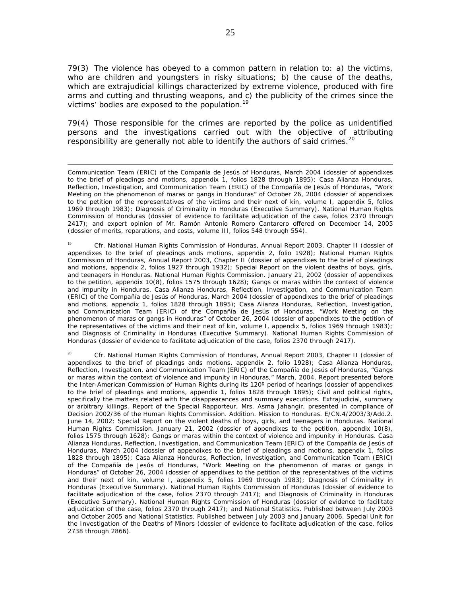79(3) The violence has obeyed to a common pattern in relation to: a) the victims, who are children and youngsters in risky situations; b) the cause of the deaths, which are extrajudicial killings characterized by extreme violence, produced with fire arms and cutting and thrusting weapons, and c) the publicity of the crimes since the victims' bodies are exposed to the population.<sup>19</sup>

79(4) Those responsible for the crimes are reported by the police as unidentified persons and the investigations carried out with the objective of attributing responsibility are generally not able to identify the authors of said crimes.<sup>20</sup>

<sup>19</sup> *Cfr*. National Human Rights Commission of Honduras, Annual Report 2003, Chapter II (dossier of appendixes to the brief of pleadings ands motions, appendix 2, folio 1928); National Human Rights Commission of Honduras, Annual Report 2003, Chapter II (dossier of appendixes to the brief of pleadings and motions, appendix 2, folios 1927 through 1932); Special Report on the violent deaths of boys, girls, and teenagers in Honduras. National Human Rights Commission. January 21, 2002 (dossier of appendixes to the petition, appendix 10(8), folios 1575 through 1628); Gangs or maras within the context of violence and impunity in Honduras. Casa Alianza Honduras, Reflection, Investigation, and Communication Team (ERIC) of the Compañía de Jesús of Honduras, March 2004 (dossier of appendixes to the brief of pleadings and motions, appendix 1, folios 1828 through 1895); Casa Alianza Honduras, Reflection, Investigation, and Communication Team (ERIC) of the Compañía de Jesús of Honduras, "Work Meeting on the phenomenon of maras or gangs in Honduras" of October 26, 2004 (dossier of appendixes to the petition of the representatives of the victims and their next of kin, volume I, appendix 5, folios 1969 through 1983); and Diagnosis of Criminality in Honduras (Executive Summary). National Human Rights Commission of Honduras (dossier of evidence to facilitate adjudication of the case, folios 2370 through 2417).

<sup>20</sup> *Cfr*. National Human Rights Commission of Honduras, Annual Report 2003, Chapter II (dossier of appendixes to the brief of pleadings ands motions, appendix 2, folio 1928); Casa Alianza Honduras, Reflection, Investigation, and Communication Team (ERIC) of the Compañía de Jesús of Honduras, "Gangs or maras within the context of violence and impunity in Honduras," March, 2004, Report presented before the Inter-American Commission of Human Rights during its 120° period of hearings (dossier of appendixes to the brief of pleadings and motions, appendix 1, folios 1828 through 1895); Civil and political rights, specifically the matters related with the disappearances and summary executions. Extrajudicial, summary or arbitrary killings. Report of the Special Rapporteur, Mrs. Asma Jahangir, presented in compliance of Decision 2002/36 of the Human Rights Commission. Addition. Mission to Honduras. E/CN.4/2003/3/Add.2. June 14, 2002; Special Report on the violent deaths of boys, girls, and teenagers in Honduras. National Human Rights Commission. January 21, 2002 (dossier of appendixes to the petition, appendix 10(8), folios 1575 through 1628); Gangs or maras within the context of violence and impunity in Honduras. Casa Alianza Honduras, Reflection, Investigation, and Communication Team (ERIC) of the Compañía de Jesús of Honduras, March 2004 (dossier of appendixes to the brief of pleadings and motions, appendix 1, folios 1828 through 1895); Casa Alianza Honduras, Reflection, Investigation, and Communication Team (ERIC) of the Compañía de Jesús of Honduras, "Work Meeting on the phenomenon of maras or gangs in Honduras" of October 26, 2004 (dossier of appendixes to the petition of the representatives of the victims and their next of kin, volume I, appendix 5, folios 1969 through 1983); Diagnosis of Criminality in Honduras (Executive Summary). National Human Rights Commission of Honduras (dossier of evidence to facilitate adjudication of the case, folios 2370 through 2417); and Diagnosis of Criminality in Honduras (Executive Summary). National Human Rights Commission of Honduras (dossier of evidence to facilitate adjudication of the case, folios 2370 through 2417); and National Statistics. Published between July 2003 and October 2005 and National Statistics. Published between July 2003 and January 2006. Special Unit for the Investigation of the Deaths of Minors (dossier of evidence to facilitate adjudication of the case, folios 2738 through 2866).

 $\overline{a}$ Communication Team (ERIC) of the Compañía de Jesús of Honduras, March 2004 (dossier of appendixes to the brief of pleadings and motions, appendix 1, folios 1828 through 1895); Casa Alianza Honduras, Reflection, Investigation, and Communication Team (ERIC) of the Compañía de Jesús of Honduras, "Work Meeting on the phenomenon of maras or gangs in Honduras" of October 26, 2004 (dossier of appendixes to the petition of the representatives of the victims and their next of kin, volume I, appendix 5, folios 1969 through 1983); Diagnosis of Criminality in Honduras (Executive Summary). National Human Rights Commission of Honduras (dossier of evidence to facilitate adjudication of the case, folios 2370 through 2417); and expert opinion of Mr. Ramón Antonio Romero Cantarero offered on December 14, 2005 (dossier of merits, reparations, and costs, volume III, folios 548 through 554).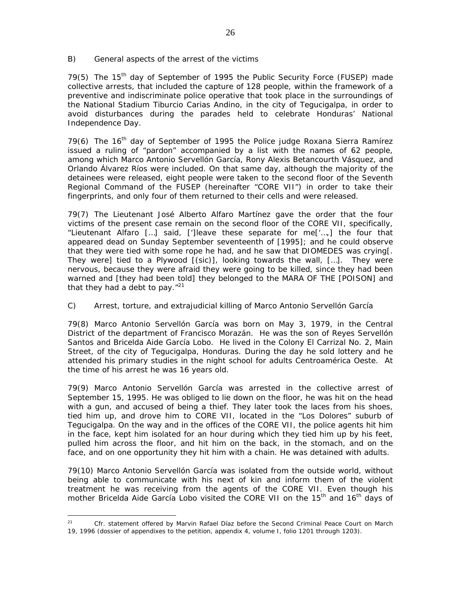#### *B) General aspects of the arrest of the victims*

79(5) The 15<sup>th</sup> day of September of 1995 the Public Security Force (FUSEP) made collective arrests, that included the capture of 128 people, within the framework of a preventive and indiscriminate police operative that took place in the surroundings of the National Stadium Tiburcio Carias Andino, in the city of Tegucigalpa, in order to avoid disturbances during the parades held to celebrate Honduras' National Independence Day.

79(6) The 16<sup>th</sup> day of September of 1995 the Police judge Roxana Sierra Ramírez issued a ruling of "pardon" accompanied by a list with the names of 62 people, among which Marco Antonio Servellón García, Rony Alexis Betancourth Vásquez, and Orlando Álvarez Ríos were included. On that same day, although the majority of the detainees were released, eight people were taken to the second floor of the Seventh Regional Command of the FUSEP (hereinafter "CORE VII") in order to take their fingerprints, and only four of them returned to their cells and were released.

79(7) The Lieutenant José Alberto Alfaro Martínez gave the order that the four victims of the present case remain on the second floor of the CORE VII, specifically, "Lieutenant Alfaro […] said, [']leave these separate for me['…,] the four that appeared dead on Sunday September seventeenth of [1995]; and he could observe that they were tied with some rope he had, and he saw that DIOMEDES was crying[. They were] tied to a Plywood  $[(\text{sic})]$ , looking towards the wall,  $[\dots]$ . They were nervous, because they were afraid they were going to be killed, since they had been warned and [they had been told] they belonged to the MARA OF THE [POISON] and that they had a debt to pay. $121$ 

## *C) Arrest, torture, and extrajudicial killing of Marco Antonio Servellón García*

79(8) Marco Antonio Servellón García was born on May 3, 1979, in the Central District of the department of Francisco Morazán. He was the son of Reyes Servellón Santos and Bricelda Aide García Lobo. He lived in the Colony El Carrizal No. 2, Main Street, of the city of Tegucigalpa, Honduras. During the day he sold lottery and he attended his primary studies in the night school for adults Centroamérica Oeste. At the time of his arrest he was 16 years old.

79(9) Marco Antonio Servellón García was arrested in the collective arrest of September 15, 1995. He was obliged to lie down on the floor, he was hit on the head with a gun, and accused of being a thief. They later took the laces from his shoes, tied him up, and drove him to CORE VII, located in the "Los Dolores" suburb of Tegucigalpa. On the way and in the offices of the CORE VII, the police agents hit him in the face, kept him isolated for an hour during which they tied him up by his feet, pulled him across the floor, and hit him on the back, in the stomach, and on the face, and on one opportunity they hit him with a chain. He was detained with adults.

79(10) Marco Antonio Servellón García was isolated from the outside world, without being able to communicate with his next of kin and inform them of the violent treatment he was receiving from the agents of the CORE VII. Even though his mother Bricelda Aide García Lobo visited the CORE VII on the 15<sup>th</sup> and 16<sup>th</sup> days of

 $\overline{a}$ <sup>21</sup> *Cfr*. statement offered by Marvin Rafael Díaz before the Second Criminal Peace Court on March 19, 1996 (dossier of appendixes to the petition, appendix 4, volume I, folio 1201 through 1203).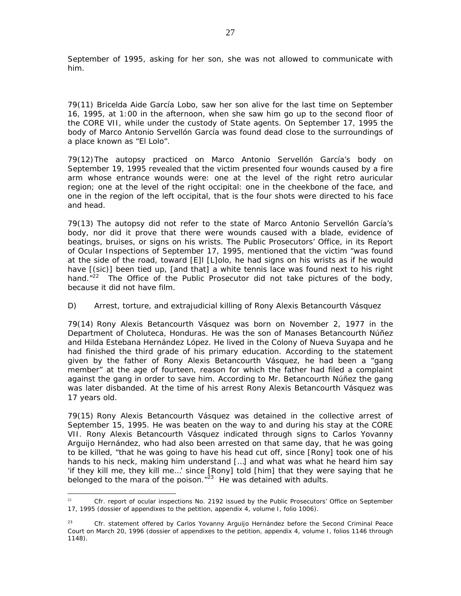September of 1995, asking for her son, she was not allowed to communicate with him.

79(11) Bricelda Aide García Lobo, saw her son alive for the last time on September 16, 1995, at 1:00 in the afternoon, when she saw him go up to the second floor of the CORE VII, while under the custody of State agents. On September 17, 1995 the body of Marco Antonio Servellón García was found dead close to the surroundings of a place known as "El Lolo".

79(12) The autopsy practiced on Marco Antonio Servellón García's body on September 19, 1995 revealed that the victim presented four wounds caused by a fire arm whose entrance wounds were: one at the level of the right retro auricular region; one at the level of the right occipital: one in the cheekbone of the face, and one in the region of the left occipital, that is the four shots were directed to his face and head.

79(13) The autopsy did not refer to the state of Marco Antonio Servellón García's body, nor did it prove that there were wounds caused with a blade, evidence of beatings, bruises, or signs on his wrists. The Public Prosecutors' Office, in its Report of Ocular Inspections of September 17, 1995, mentioned that the victim "was found at the side of the road, toward [E]l [L]olo, he had signs on his wrists as if he would have  $[(\text{sic})]$  been tied up,  $[\text{and that}]$  a white tennis lace was found next to his right hand. $12^2$  The Office of the Public Prosecutor did not take pictures of the body, because it did not have film.

## *D) Arrest, torture, and extrajudicial killing of Rony Alexis Betancourth Vásquez*

79(14) Rony Alexis Betancourth Vásquez was born on November 2, 1977 in the Department of Choluteca, Honduras. He was the son of Manases Betancourth Núñez and Hilda Estebana Hernández López. He lived in the Colony of Nueva Suyapa and he had finished the third grade of his primary education. According to the statement given by the father of Rony Alexis Betancourth Vásquez, he had been a "gang member" at the age of fourteen, reason for which the father had filed a complaint against the gang in order to save him. According to Mr. Betancourth Núñez the gang was later disbanded. At the time of his arrest Rony Alexis Betancourth Vásquez was 17 years old.

79(15) Rony Alexis Betancourth Vásquez was detained in the collective arrest of September 15, 1995. He was beaten on the way to and during his stay at the CORE VII. Rony Alexis Betancourth Vásquez indicated through signs to Carlos Yovanny Arguijo Hernández, who had also been arrested on that same day, that he was going to be killed, "that he was going to have his head cut off, since [Rony] took one of his hands to his neck, making him understand […] and what was what he heard him say 'if they kill me, they kill me…' since [Rony] told [him] that they were saying that he belonged to the mara of the poison. $123$  He was detained with adults.

 $22$ Cfr. report of ocular inspections No. 2192 issued by the Public Prosecutors' Office on September 17, 1995 (dossier of appendixes to the petition, appendix 4, volume I, folio 1006).

<sup>&</sup>lt;sup>23</sup> *Cfr.* statement offered by Carlos Yovanny Arguijo Hernández before the Second Criminal Peace Court on March 20, 1996 (dossier of appendixes to the petition, appendix 4, volume I, folios 1146 through 1148).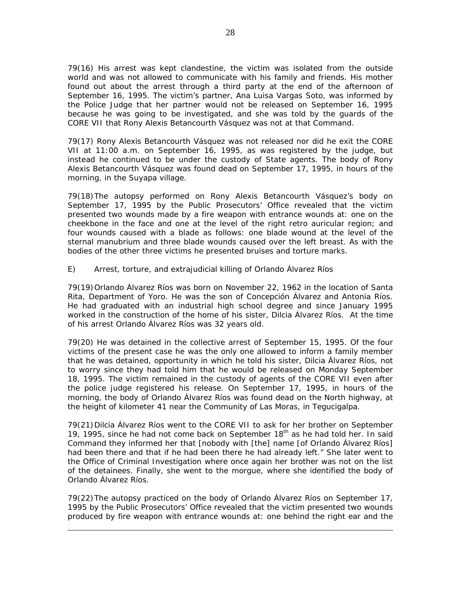79(16) His arrest was kept clandestine, the victim was isolated from the outside world and was not allowed to communicate with his family and friends. His mother found out about the arrest through a third party at the end of the afternoon of September 16, 1995. The victim's partner, Ana Luisa Vargas Soto, was informed by the Police Judge that her partner would not be released on September 16, 1995 because he was going to be investigated, and she was told by the guards of the CORE VII that Rony Alexis Betancourth Vásquez was not at that Command.

79(17) Rony Alexis Betancourth Vásquez was not released nor did he exit the CORE VII at 11:00 a.m. on September 16, 1995, as was registered by the judge, but instead he continued to be under the custody of State agents. The body of Rony Alexis Betancourth Vásquez was found dead on September 17, 1995, in hours of the morning, in the Suyapa village.

79(18) The autopsy performed on Rony Alexis Betancourth Vásquez's body on September 17, 1995 by the Public Prosecutors' Office revealed that the victim presented two wounds made by a fire weapon with entrance wounds at: one on the cheekbone in the face and one at the level of the right retro auricular region; and four wounds caused with a blade as follows: one blade wound at the level of the sternal manubrium and three blade wounds caused over the left breast. As with the bodies of the other three victims he presented bruises and torture marks.

# *E) Arrest, torture, and extrajudicial killing of Orlando Álvarez Ríos*

79(19) Orlando Álvarez Ríos was born on November 22, 1962 in the location of Santa Rita, Department of Yoro. He was the son of Concepción Álvarez and Antonia Ríos. He had graduated with an industrial high school degree and since January 1995 worked in the construction of the home of his sister, Dilcia Álvarez Ríos. At the time of his arrest Orlando Álvarez Ríos was 32 years old.

79(20) He was detained in the collective arrest of September 15, 1995. Of the four victims of the present case he was the only one allowed to inform a family member that he was detained, opportunity in which he told his sister, Dilcia Álvarez Ríos, not to worry since they had told him that he would be released on Monday September 18, 1995. The victim remained in the custody of agents of the CORE VII even after the police judge registered his release. On September 17, 1995, in hours of the morning, the body of Orlando Álvarez Ríos was found dead on the North highway, at the height of kilometer 41 near the Community of Las Moras, in Tegucigalpa.

79(21) Dilcia Álvarez Ríos went to the CORE VII to ask for her brother on September 19, 1995, since he had not come back on September  $18<sup>th</sup>$  as he had told her. In said Command they informed her that [nobody with [the] name [of Orlando Álvarez Ríos] had been there and that if he had been there he had already left." She later went to the Office of Criminal Investigation where once again her brother was not on the list of the detainees. Finally, she went to the morgue, where she identified the body of Orlando Álvarez Ríos.

79(22) The autopsy practiced on the body of Orlando Álvarez Ríos on September 17, 1995 by the Public Prosecutors' Office revealed that the victim presented two wounds produced by fire weapon with entrance wounds at: one behind the right ear and the

 $\overline{a}$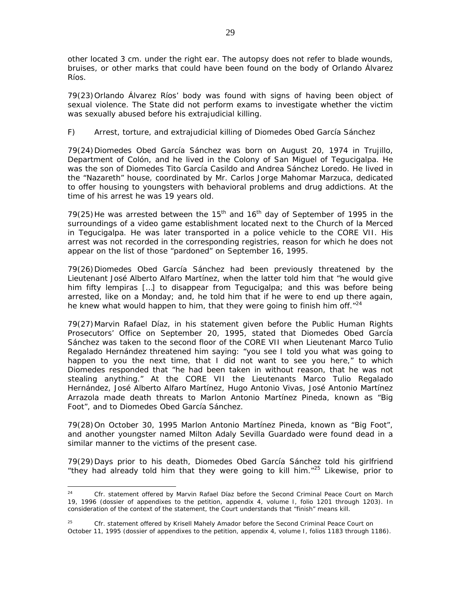other located 3 cm. under the right ear. The autopsy does not refer to blade wounds, bruises, or other marks that could have been found on the body of Orlando Álvarez Ríos.

79(23) Orlando Álvarez Ríos' body was found with signs of having been object of sexual violence. The State did not perform exams to investigate whether the victim was sexually abused before his extrajudicial killing.

# *F) Arrest, torture, and extrajudicial killing of Diomedes Obed García Sánchez*

79(24) Diomedes Obed García Sánchez was born on August 20, 1974 in Trujillo, Department of Colón, and he lived in the Colony of San Miguel of Tegucigalpa. He was the son of Diomedes Tito García Casildo and Andrea Sánchez Loredo. He lived in the "Nazareth" house, coordinated by Mr. Carlos Jorge Mahomar Marzuca, dedicated to offer housing to youngsters with behavioral problems and drug addictions. At the time of his arrest he was 19 years old.

79(25) He was arrested between the  $15<sup>th</sup>$  and  $16<sup>th</sup>$  day of September of 1995 in the surroundings of a video game establishment located next to the Church of la Merced in Tegucigalpa. He was later transported in a police vehicle to the CORE VII. His arrest was not recorded in the corresponding registries, reason for which he does not appear on the list of those "pardoned" on September 16, 1995.

79(26) Diomedes Obed García Sánchez had been previously threatened by the Lieutenant José Alberto Alfaro Martínez, when the latter told him that "he would give him fifty lempiras […] to disappear from Tegucigalpa; and this was before being arrested, like on a Monday; and, he told him that if he were to end up there again, he knew what would happen to him, that they were going to finish him off.<sup>"24</sup>

79(27) Marvin Rafael Díaz, in his statement given before the Public Human Rights Prosecutors' Office on September 20, 1995, stated that Diomedes Obed García Sánchez was taken to the second floor of the CORE VII when Lieutenant Marco Tulio Regalado Hernández threatened him saying: "you see I told you what was going to happen to you the next time, that I did not want to see you here," to which Diomedes responded that "he had been taken in without reason, that he was not stealing anything." At the CORE VII the Lieutenants Marco Tulio Regalado Hernández, José Alberto Alfaro Martínez, Hugo Antonio Vivas, José Antonio Martínez Arrazola made death threats to Marlon Antonio Martínez Pineda, known as "Big Foot", and to Diomedes Obed García Sánchez.

79(28) On October 30, 1995 Marlon Antonio Martínez Pineda, known as "Big Foot", and another youngster named Milton Adaly Sevilla Guardado were found dead in a similar manner to the victims of the present case.

79(29) Days prior to his death, Diomedes Obed García Sánchez told his girlfriend "they had already told him that they were going to kill him."<sup>25</sup> Likewise, prior to

 $24$ Cfr. statement offered by Marvin Rafael Díaz before the Second Criminal Peace Court on March 19, 1996 (dossier of appendixes to the petition, appendix 4, volume I, folio 1201 through 1203). In consideration of the context of the statement, the Court understands that "finish" means kill.

<sup>25</sup> *Cfr.* statement offered by Krisell Mahely Amador before the Second Criminal Peace Court on October 11, 1995 (dossier of appendixes to the petition, appendix 4, volume I, folios 1183 through 1186).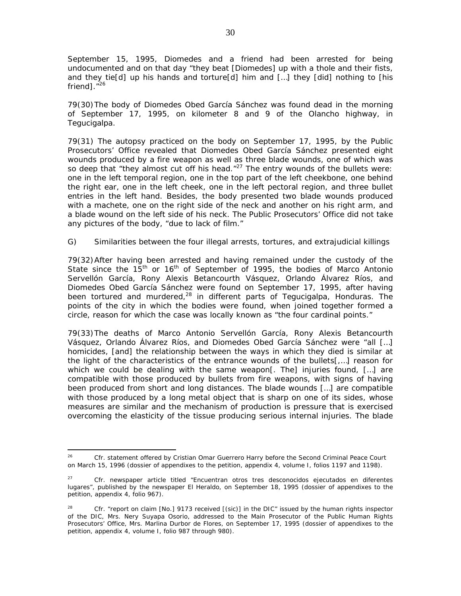September 15, 1995, Diomedes and a friend had been arrested for being undocumented and on that day "they beat [Diomedes] up with a thole and their fists, and they tie[d] up his hands and torture[d] him and […] they [did] nothing to [his friend].<sup>"26</sup>

79(30) The body of Diomedes Obed García Sánchez was found dead in the morning of September 17, 1995, on kilometer 8 and 9 of the Olancho highway, in Tegucigalpa.

79(31) The autopsy practiced on the body on September 17, 1995, by the Public Prosecutors' Office revealed that Diomedes Obed García Sánchez presented eight wounds produced by a fire weapon as well as three blade wounds, one of which was so deep that "they almost cut off his head." $^{27}$  The entry wounds of the bullets were: one in the left temporal region, one in the top part of the left cheekbone, one behind the right ear, one in the left cheek, one in the left pectoral region, and three bullet entries in the left hand. Besides, the body presented two blade wounds produced with a machete, one on the right side of the neck and another on his right arm, and a blade wound on the left side of his neck. The Public Prosecutors' Office did not take any pictures of the body, "due to lack of film."

## *G) Similarities between the four illegal arrests, tortures, and extrajudicial killings*

79(32) After having been arrested and having remained under the custody of the State since the  $15<sup>th</sup>$  or  $16<sup>th</sup>$  of September of 1995, the bodies of Marco Antonio Servellón García, Rony Alexis Betancourth Vásquez, Orlando Álvarez Ríos, and Diomedes Obed García Sánchez were found on September 17, 1995, after having been tortured and murdered,<sup>28</sup> in different parts of Tegucigalpa, Honduras. The points of the city in which the bodies were found, when joined together formed a circle, reason for which the case was locally known as "the four cardinal points."

79(33) The deaths of Marco Antonio Servellón García, Rony Alexis Betancourth Vásquez, Orlando Álvarez Ríos, and Diomedes Obed García Sánchez were "all […] homicides, [and] the relationship between the ways in which they died is similar at the light of the characteristics of the entrance wounds of the bullets[,…] reason for which we could be dealing with the same weapon[. The] injuries found, […] are compatible with those produced by bullets from fire weapons, with signs of having been produced from short and long distances. The blade wounds […] are compatible with those produced by a long metal object that is sharp on one of its sides, whose measures are similar and the mechanism of production is pressure that is exercised overcoming the elasticity of the tissue producing serious internal injuries. The blade

<sup>26</sup> <sup>26</sup> *Cfr.* statement offered by Cristian Omar Guerrero Harry before the Second Criminal Peace Court on March 15, 1996 (dossier of appendixes to the petition, appendix 4, volume I, folios 1197 and 1198).

<sup>27</sup> *Cfr*. newspaper article titled "*Encuentran otros tres desconocidos ejecutados en diferentes lugares*", published by the newspaper El Heraldo, on September 18, 1995 (dossier of appendixes to the petition, appendix 4, folio 967).

<sup>&</sup>lt;sup>28</sup> *Cfr.* "report on claim [No.] 9173 received  $[(\text{sic})]$  in the DIC" issued by the human rights inspector of the DIC, Mrs. Nery Suyapa Osorio, addressed to the Main Prosecutor of the Public Human Rights Prosecutors' Office, Mrs. Marlina Durbor de Flores, on September 17, 1995 (dossier of appendixes to the petition, appendix 4, volume I, folio 987 through 980).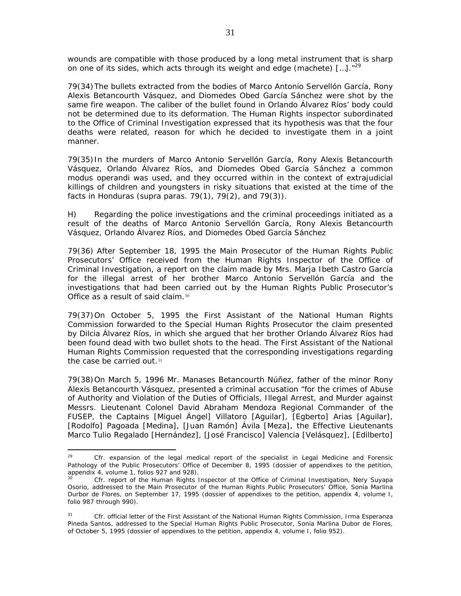wounds are compatible with those produced by a long metal instrument that is sharp on one of its sides, which acts through its weight and edge (machete)  $\left[ ... \right]$ .  $^{29}$ 

79(34) The bullets extracted from the bodies of Marco Antonio Servellón García, Rony Alexis Betancourth Vásquez, and Diomedes Obed García Sánchez were shot by the same fire weapon. The caliber of the bullet found in Orlando Álvarez Ríos' body could not be determined due to its deformation. The Human Rights inspector subordinated to the Office of Criminal Investigation expressed that its hypothesis was that the four deaths were related, reason for which he decided to investigate them in a joint manner.

79(35) In the murders of Marco Antonio Servellón García, Rony Alexis Betancourth Vásquez, Orlando Álvarez Ríos, and Diomedes Obed García Sánchez a common *modus operandi* was used, and they occurred within in the context of extrajudicial killings of children and youngsters in risky situations that existed at the time of the facts in Honduras (*supra* paras. 79(1), 79(2), and 79(3)).

*H) Regarding the police investigations and the criminal proceedings initiated as a result of the deaths of Marco Antonio Servellón García, Rony Alexis Betancourth Vásquez, Orlando Álvarez Ríos, and Diomedes Obed García Sánchez* 

79(36) After September 18, 1995 the Main Prosecutor of the Human Rights Public Prosecutors' Office received from the Human Rights Inspector of the Office of Criminal Investigation, a report on the claim made by Mrs. Marja Ibeth Castro García for the illegal arrest of her brother Marco Antonio Servellón García and the investigations that had been carried out by the Human Rights Public Prosecutor's Office as a result of said claim.<sup>30</sup>

79(37) On October 5, 1995 the First Assistant of the National Human Rights Commission forwarded to the Special Human Rights Prosecutor the claim presented by Dilcia Álvarez Ríos, in which she argued that her brother Orlando Álvarez Ríos had been found dead with two bullet shots to the head. The First Assistant of the National Human Rights Commission requested that the corresponding investigations regarding the case be carried out.<sup>31</sup>

79(38) On March 5, 1996 Mr. Manases Betancourth Núñez, father of the minor Rony Alexis Betancourth Vásquez, presented a criminal accusation "for the crimes of Abuse of Authority and Violation of the Duties of Officials, Illegal Arrest, and Murder against Messrs. Lieutenant Colonel David Abraham Mendoza Regional Commander of the FUSEP, the Captains [Miguel Ángel] Villatoro [Aguilar], [Egberto] Arias [Aguilar], [Rodolfo] Pagoada [Medina], [Juan Ramón] Ávila [Meza], the Effective Lieutenants Marco Tulio Regalado [Hernández], [José Francisco] Valencia [Velásquez], [Edilberto]

 $29$ Cfr. expansion of the legal medical report of the specialist in Legal Medicine and Forensic Pathology of the Public Prosecutors' Office of December 8, 1995 (dossier of appendixes to the petition, appendix 4, volume 1, folios 927 and 928).

Cfr. report of the Human Rights Inspector of the Office of Criminal Investigation, Nery Suyapa Osorio, addressed to the Main Prosecutor of the Human Rights Public Prosecutors' Office, Sonia Marlina Durbor de Flores, on September 17, 1995 (dossier of appendixes to the petition, appendix 4, volume I, folio 987 through 990).

<sup>31</sup> *Cfr.* official letter of the First Assistant of the National Human Rights Commission, Irma Esperanza Pineda Santos, addressed to the Special Human Rights Public Prosecutor, Sonia Marlina Dubor de Flores, of October 5, 1995 (dossier of appendixes to the petition, appendix 4, volume I, folio 952).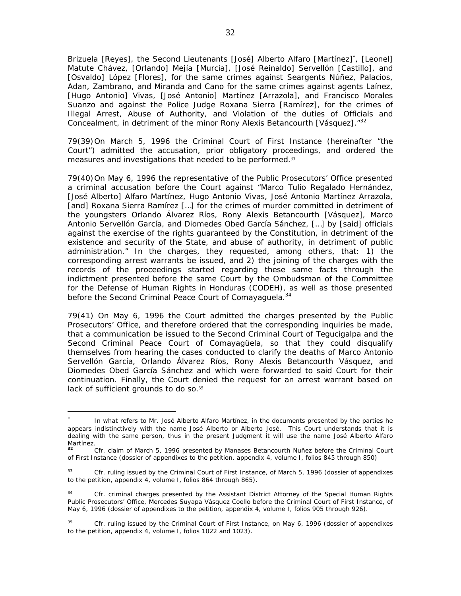Brizuela [Reyes], the Second Lieutenants [José] Alberto Alfaro [Martínez]<sup>\*</sup>, [Leonel] Matute Chávez, [Orlando] Mejía [Murcia], [José Reinaldo] Servellón [Castillo], and [Osvaldo] López [Flores], for the same crimes against Seargents Núñez, Palacios, Adan, Zambrano, and Miranda and Cano for the same crimes against agents Laínez, [Hugo Antonio] Vivas, [José Antonio] Martínez [Arrazola], and Francisco Morales Suanzo and against the Police Judge Roxana Sierra [Ramírez], for the crimes of Illegal Arrest, Abuse of Authority, and Violation of the duties of Officials and Concealment, in detriment of the minor Rony Alexis Betancourth [Vásquez].<sup>"32</sup>

79(39) On March 5, 1996 the Criminal Court of First Instance (hereinafter "the Court") admitted the accusation, prior obligatory proceedings, and ordered the measures and investigations that needed to be performed.<sup>33</sup>

79(40) On May 6, 1996 the representative of the Public Prosecutors' Office presented a criminal accusation before the Court against "Marco Tulio Regalado Hernández, [José Alberto] Alfaro Martínez, Hugo Antonio Vivas, José Antonio Martínez Arrazola, [and] Roxana Sierra Ramírez […] for the crimes of murder committed in detriment of the youngsters Orlando Álvarez Ríos, Rony Alexis Betancourth [Vásquez], Marco Antonio Servellón García, and Diomedes Obed García Sánchez, […] by [said] officials against the exercise of the rights guaranteed by the Constitution, in detriment of the existence and security of the State, and abuse of authority, in detriment of public administration." In the charges, they requested, among others, that: 1) the corresponding arrest warrants be issued, and 2) the joining of the charges with the records of the proceedings started regarding these same facts through the indictment presented before the same Court by the Ombudsman of the Committee for the Defense of Human Rights in Honduras (CODEH), as well as those presented before the Second Criminal Peace Court of Comayaguela.<sup>34</sup>

79(41) On May 6, 1996 the Court admitted the charges presented by the Public Prosecutors' Office, and therefore ordered that the corresponding inquiries be made, that a communication be issued to the Second Criminal Court of Tegucigalpa and the Second Criminal Peace Court of Comayagüela, so that they could disqualify themselves from hearing the cases conducted to clarify the deaths of Marco Antonio Servellón García, Orlando Álvarez Ríos, Rony Alexis Betancourth Vásquez, and Diomedes Obed García Sánchez and which were forwarded to said Court for their continuation. Finally, the Court denied the request for an arrest warrant based on lack of sufficient grounds to do so.<sup>35</sup>

 $\overline{a}$ 

<sup>∗</sup> In what refers to Mr. José Alberto Alfaro Martínez, in the documents presented by the parties he appears indistinctively with the name José Alberto or Alberto José. This Court understands that it is dealing with the same person, thus in the present Judgment it will use the name José Alberto Alfaro Martínez.

**<sup>32</sup>** *Cfr.* claim of March 5, 1996 presented by Manases Betancourth Nuñez before the Criminal Court of First Instance (dossier of appendixes to the petition, appendix 4, volume I, folios 845 through 850)

<sup>33</sup> *Cfr.* ruling issued by the Criminal Court of First Instance, of March 5, 1996 (dossier of appendixes to the petition, appendix 4, volume I, folios 864 through 865).

<sup>&</sup>lt;sup>34</sup> *Cfr.* criminal charges presented by the Assistant District Attorney of the Special Human Rights Public Prosecutors' Office, Mercedes Suyapa Vásquez Coello before the Criminal Court of First Instance, of May 6, 1996 (dossier of appendixes to the petition, appendix 4, volume I, folios 905 through 926).

<sup>35</sup> *Cfr.* ruling issued by the Criminal Court of First Instance, on May 6, 1996 (dossier of appendixes to the petition, appendix 4, volume I, folios 1022 and 1023).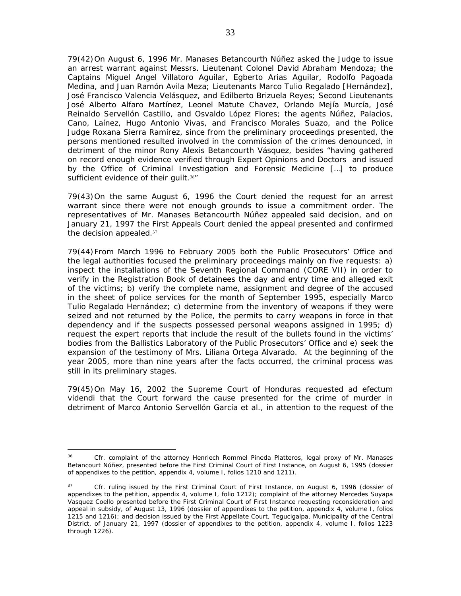79(42) On August 6, 1996 Mr. Manases Betancourth Núñez asked the Judge to issue an arrest warrant against Messrs. Lieutenant Colonel David Abraham Mendoza; the Captains Miguel Angel Villatoro Aguilar, Egberto Arias Aguilar, Rodolfo Pagoada Medina, and Juan Ramón Avila Meza; Lieutenants Marco Tulio Regalado [Hernández], José Francisco Valencia Velásquez, and Edilberto Brizuela Reyes; Second Lieutenants José Alberto Alfaro Martínez, Leonel Matute Chavez, Orlando Mejía Murcía, José Reinaldo Servellón Castillo, and Osvaldo López Flores; the agents Núñez, Palacios, Cano, Laínez, Hugo Antonio Vivas, and Francisco Morales Suazo, and the Police Judge Roxana Sierra Ramírez, since from the preliminary proceedings presented, the persons mentioned resulted involved in the commission of the crimes denounced, in detriment of the minor Rony Alexis Betancourth Vásquez, besides "having gathered on record enough evidence verified through Expert Opinions and Doctors and issued by the Office of Criminal Investigation and Forensic Medicine […] to produce sufficient evidence of their guilt.<sup>36"</sup>

79(43) On the same August 6, 1996 the Court denied the request for an arrest warrant since there were not enough grounds to issue a commitment order. The representatives of Mr. Manases Betancourth Núñez appealed said decision, and on January 21, 1997 the First Appeals Court denied the appeal presented and confirmed the decision appealed.<sup>37</sup>

79(44) From March 1996 to February 2005 both the Public Prosecutors' Office and the legal authorities focused the preliminary proceedings mainly on five requests: a) inspect the installations of the Seventh Regional Command (CORE VII) in order to verify in the Registration Book of detainees the day and entry time and alleged exit of the victims; b) verify the complete name, assignment and degree of the accused in the sheet of police services for the month of September 1995, especially Marco Tulio Regalado Hernández; c) determine from the inventory of weapons if they were seized and not returned by the Police, the permits to carry weapons in force in that dependency and if the suspects possessed personal weapons assigned in 1995; d) request the expert reports that include the result of the bullets found in the victims' bodies from the Ballistics Laboratory of the Public Prosecutors' Office and e) seek the expansion of the testimony of Mrs. Liliana Ortega Alvarado. At the beginning of the year 2005, more than nine years after the facts occurred, the criminal process was still in its preliminary stages.

79(45) On May 16, 2002 the Supreme Court of Honduras requested *ad efectum videndi* that the Court forward the cause presented for the crime of murder in detriment of Marco Antonio Servellón García et al., in attention to the request of the

 $36<sup>2</sup>$ Cfr. complaint of the attorney Henriech Rommel Pineda Platteros, legal proxy of Mr. Manases Betancourt Núñez, presented before the First Criminal Court of First Instance, on August 6, 1995 (dossier of appendixes to the petition, appendix 4, volume I, folios 1210 and 1211).

<sup>37</sup> *Cfr.* ruling issued by the First Criminal Court of First Instance, on August 6, 1996 (dossier of appendixes to the petition, appendix 4, volume I, folio 1212); complaint of the attorney Mercedes Suyapa Vasquez Coello presented before the First Criminal Court of First Instance requesting reconsideration and appeal in subsidy, of August 13, 1996 (dossier of appendixes to the petition, appendix 4, volume I, folios 1215 and 1216); and decision issued by the First Appellate Court, Tegucigalpa, Municipality of the Central District, of January 21, 1997 (dossier of appendixes to the petition, appendix 4, volume I, folios 1223 through 1226).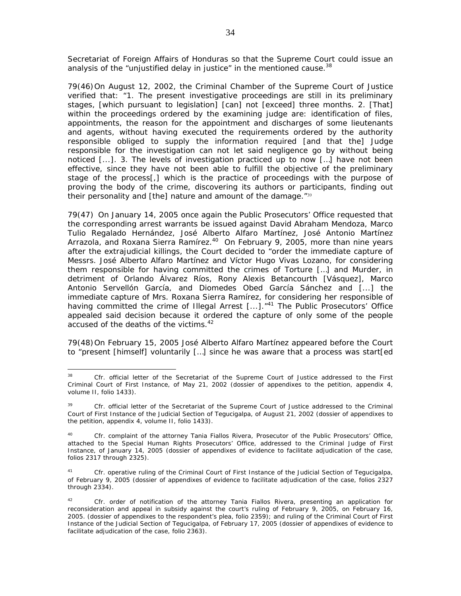Secretariat of Foreign Affairs of Honduras so that the Supreme Court could issue an analysis of the "unjustified delay in justice" in the mentioned cause.  $38$ 

79(46) On August 12, 2002, the Criminal Chamber of the Supreme Court of Justice verified that: "1. The present investigative proceedings are still in its preliminary stages, [which pursuant to legislation] [can] not [exceed] three months. 2. [That] within the proceedings ordered by the examining judge are: identification of files, appointments, the reason for the appointment and discharges of some lieutenants and agents, without having executed the requirements ordered by the authority responsible obliged to supply the information required [and that the] Judge responsible for the investigation can not let said negligence go by without being noticed [...]. 3. The levels of investigation practiced up to now […] have not been effective, since they have not been able to fulfill the objective of the preliminary stage of the process[,] which is the practice of proceedings with the purpose of proving the body of the crime, discovering its authors or participants, finding out their personality and [the] nature and amount of the damage."<sup>39</sup>

79(47) On January 14, 2005 once again the Public Prosecutors' Office requested that the corresponding arrest warrants be issued against David Abraham Mendoza, Marco Tulio Regalado Hernández, José Alberto Alfaro Martínez, José Antonio Martínez Arrazola, and Roxana Sierra Ramírez.<sup>40</sup> On February 9, 2005, more than nine years after the extrajudicial killings, the Court decided to "order the immediate capture of Messrs. José Alberto Alfaro Martínez and Víctor Hugo Vivas Lozano, for considering them responsible for having committed the crimes of Torture […] and Murder, in detriment of Orlando Álvarez Ríos, Rony Alexis Betancourth [Vásquez], Marco Antonio Servellón García, and Diomedes Obed García Sánchez and [...] the immediate capture of Mrs. Roxana Sierra Ramírez, for considering her responsible of having committed the crime of Illegal Arrest [...]."<sup>41</sup> The Public Prosecutors' Office appealed said decision because it ordered the capture of only some of the people accused of the deaths of the victims.<sup>42</sup>

79(48) On February 15, 2005 José Alberto Alfaro Martínez appeared before the Court to "present [himself] voluntarily […] since he was aware that a process was start[ed

<sup>38</sup> Cfr. official letter of the Secretariat of the Supreme Court of Justice addressed to the First Criminal Court of First Instance, of May 21, 2002 (dossier of appendixes to the petition, appendix 4, volume II, folio 1433).

<sup>&</sup>lt;sup>39</sup> *Cfr.* official letter of the Secretariat of the Supreme Court of Justice addressed to the Criminal Court of First Instance of the Judicial Section of Tegucigalpa, of August 21, 2002 (dossier of appendixes to the petition, appendix 4, volume II, folio 1433).

<sup>40</sup> *Cfr.* complaint of the attorney Tania Fiallos Rivera, Prosecutor of the Public Prosecutors' Office, attached to the Special Human Rights Prosecutors' Office, addressed to the Criminal Judge of First Instance, of January 14, 2005 (dossier of appendixes of evidence to facilitate adjudication of the case, folios 2317 through 2325).

 $41$ 41 *Cfr.* operative ruling of the Criminal Court of First Instance of the Judicial Section of Tegucigalpa, of February 9, 2005 (dossier of appendixes of evidence to facilitate adjudication of the case, folios 2327 through 2334).

<sup>42</sup> *Cfr.* order of notification of the attorney Tania Fiallos Rivera, presenting an application for reconsideration and appeal in subsidy against the court's ruling of February 9, 2005, on February 16, 2005. (dossier of appendixes to the respondent's plea, folio 2359); and ruling of the Criminal Court of First Instance of the Judicial Section of Tegucigalpa, of February 17, 2005 (dossier of appendixes of evidence to facilitate adjudication of the case, folio 2363).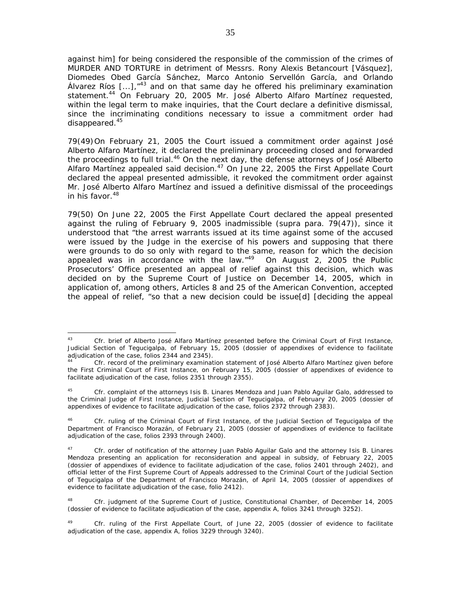against him] for being considered the responsible of the commission of the crimes of MURDER AND TORTURE in detriment of Messrs. Rony Alexis Betancourt [Vásquez], Diomedes Obed García Sánchez, Marco Antonio Servellón García, and Orlando Álvarez Ríos  $\left[ \ldots \right]$ ,  $\frac{n+3}{3}$  and on that same day he offered his preliminary examination statement.44 On February 20, 2005 Mr. José Alberto Alfaro Martínez requested, within the legal term to make inquiries, that the Court declare a definitive dismissal, since the incriminating conditions necessary to issue a commitment order had disappeared.<sup>45</sup>

79(49) On February 21, 2005 the Court issued a commitment order against José Alberto Alfaro Martínez, it declared the preliminary proceeding closed and forwarded the proceedings to full trial.<sup>46</sup> On the next day, the defense attorneys of José Alberto Alfaro Martínez appealed said decision. $47$  On June 22, 2005 the First Appellate Court declared the appeal presented admissible, it revoked the commitment order against Mr. José Alberto Alfaro Martínez and issued a definitive dismissal of the proceedings in his favor. $48$ 

79(50) On June 22, 2005 the First Appellate Court declared the appeal presented against the ruling of February 9, 2005 inadmissible (*supra* para. 79(47)), since it understood that "the arrest warrants issued at its time against some of the accused were issued by the Judge in the exercise of his powers and supposing that there were grounds to do so only with regard to the same, reason for which the decision appealed was in accordance with the law." $49$  On August 2, 2005 the Public Prosecutors' Office presented an appeal of relief against this decision, which was decided on by the Supreme Court of Justice on December 14, 2005, which in application of, among others, Articles 8 and 25 of the American Convention, accepted the appeal of relief, "so that a new decision could be issue[d] [deciding the appeal

 $\overline{a}$ 43 *Cfr.* brief of Alberto José Alfaro Martínez presented before the Criminal Court of First Instance, Judicial Section of Tegucigalpa, of February 15, 2005 (dossier of appendixes of evidence to facilitate adjudication of the case, folios 2344 and 2345).

Cfr. record of the preliminary examination statement of José Alberto Alfaro Martínez given before the First Criminal Court of First Instance, on February 15, 2005 (dossier of appendixes of evidence to facilitate adjudication of the case, folios 2351 through 2355).

<sup>45</sup> *Cfr.* complaint of the attorneys Isis B. Linares Mendoza and Juan Pablo Aguilar Galo, addressed to the Criminal Judge of First Instance, Judicial Section of Tegucigalpa, of February 20, 2005 (dossier of appendixes of evidence to facilitate adjudication of the case, folios 2372 through 2383).

<sup>46</sup> *Cfr.* ruling of the Criminal Court of First Instance, of the Judicial Section of Tegucigalpa of the Department of Francisco Morazán, of February 21, 2005 (dossier of appendixes of evidence to facilitate adjudication of the case, folios 2393 through 2400).

<sup>47</sup> *Cfr.* order of notification of the attorney Juan Pablo Aguilar Galo and the attorney Isis B. Linares Mendoza presenting an application for reconsideration and appeal in subsidy, of February 22, 2005 (dossier of appendixes of evidence to facilitate adjudication of the case, folios 2401 through 2402), and official letter of the First Supreme Court of Appeals addressed to the Criminal Court of the Judicial Section of Tegucigalpa of the Department of Francisco Morazán, of April 14, 2005 (dossier of appendixes of evidence to facilitate adjudication of the case, folio 2412).

<sup>48</sup> *Cfr.* judgment of the Supreme Court of Justice, Constitutional Chamber, of December 14, 2005 (dossier of evidence to facilitate adjudication of the case, appendix A, folios 3241 through 3252).

Cfr. ruling of the First Appellate Court, of June 22, 2005 (dossier of evidence to facilitate adjudication of the case, appendix A, folios 3229 through 3240).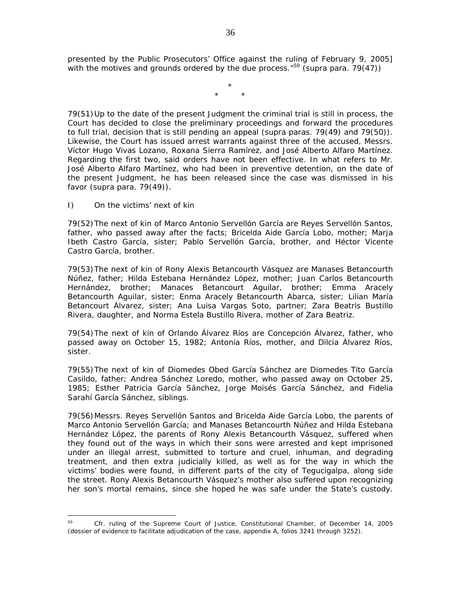presented by the Public Prosecutors' Office against the ruling of February 9, 2005] with the motives and grounds ordered by the due process."50 (*supra* para. 79(47))

> \* \* \*

79(51) Up to the date of the present Judgment the criminal trial is still in process, the Court has decided to close the preliminary proceedings and forward the procedures to full trial, decision that is still pending an appeal (*supra* paras. 79(49) and 79(50)). Likewise, the Court has issued arrest warrants against three of the accused, Messrs. Víctor Hugo Vivas Lozano, Roxana Sierra Ramírez, and José Alberto Alfaro Martínez. Regarding the first two, said orders have not been effective. In what refers to Mr. José Alberto Alfaro Martínez, who had been in preventive detention, on the date of the present Judgment, he has been released since the case was dismissed in his favor (*supra* para. 79(49)).

## *I) On the victims' next of kin*

79(52) The next of kin of Marco Antonio Servellón García are Reyes Servellón Santos, father, who passed away after the facts; Bricelda Aide García Lobo, mother; Marja Ibeth Castro García, sister; Pablo Servellón García, brother, and Héctor Vicente Castro García, brother.

79(53) The next of kin of Rony Alexis Betancourth Vásquez are Manases Betancourth Núñez, father; Hilda Estebana Hernández López, mother; Juan Carlos Betancourth Hernández, brother; Manaces Betancourt Aguilar, brother; Emma Aracely Betancourth Aguilar, sister; Enma Aracely Betancourth Abarca, sister; Lilian María Betancourt Álvarez, sister; Ana Luisa Vargas Soto, partner; Zara Beatris Bustillo Rivera, daughter, and Norma Estela Bustillo Rivera, mother of Zara Beatriz.

79(54) The next of kin of Orlando Álvarez Ríos are Concepción Álvarez, father, who passed away on October 15, 1982; Antonia Ríos, mother, and Dilcia Álvarez Ríos, sister.

79(55) The next of kin of Diomedes Obed García Sánchez are Diomedes Tito García Casildo, father; Andrea Sánchez Loredo, mother, who passed away on October 25, 1985; Esther Patricia García Sánchez, Jorge Moisés García Sánchez, and Fidelia Sarahí García Sánchez, siblings.

79(56) Messrs. Reyes Servellón Santos and Bricelda Aide García Lobo, the parents of Marco Antonio Servellón García; and Manases Betancourth Núñez and Hilda Estebana Hernández López, the parents of Rony Alexis Betancourth Vásquez, suffered when they found out of the ways in which their sons were arrested and kept imprisoned under an illegal arrest, submitted to torture and cruel, inhuman, and degrading treatment, and then extra judicially killed, as well as for the way in which the victims' bodies were found, in different parts of the city of Tegucigalpa, along side the street. Rony Alexis Betancourth Vásquez's mother also suffered upon recognizing her son's mortal remains, since she hoped he was safe under the State's custody.

 $\overline{a}$ <sup>50</sup> *Cfr.* ruling of the Supreme Court of Justice, Constitutional Chamber, of December 14, 2005 (dossier of evidence to facilitate adjudication of the case, appendix A, folios 3241 through 3252).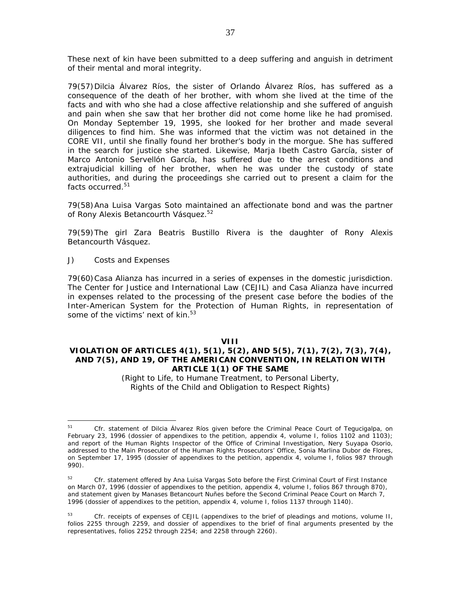These next of kin have been submitted to a deep suffering and anguish in detriment of their mental and moral integrity.

79(57) Dilcia Álvarez Ríos, the sister of Orlando Álvarez Ríos, has suffered as a consequence of the death of her brother, with whom she lived at the time of the facts and with who she had a close affective relationship and she suffered of anguish and pain when she saw that her brother did not come home like he had promised. On Monday September 19, 1995, she looked for her brother and made several diligences to find him. She was informed that the victim was not detained in the CORE VII, until she finally found her brother's body in the morgue. She has suffered in the search for justice she started. Likewise, Marja Ibeth Castro García, sister of Marco Antonio Servellón García, has suffered due to the arrest conditions and extrajudicial killing of her brother, when he was under the custody of state authorities, and during the proceedings she carried out to present a claim for the facts occurred.<sup>51</sup>

79(58) Ana Luisa Vargas Soto maintained an affectionate bond and was the partner of Rony Alexis Betancourth Vásquez.<sup>52</sup>

79(59) The girl Zara Beatris Bustillo Rivera is the daughter of Rony Alexis Betancourth Vásquez.

### *J) Costs and Expenses*

 $\overline{a}$ 

79(60) Casa Alianza has incurred in a series of expenses in the domestic jurisdiction. The Center for Justice and International Law (CEJIL) and Casa Alianza have incurred in expenses related to the processing of the present case before the bodies of the Inter-American System for the Protection of Human Rights, in representation of some of the victims' next of kin.<sup>53</sup>

#### **VIII**

## **VIOLATION OF ARTICLES 4(1), 5(1), 5(2), AND 5(5), 7(1), 7(2), 7(3), 7(4), AND 7(5), AND 19, OF THE AMERICAN CONVENTION, IN RELATION WITH ARTICLE 1(1) OF THE SAME**

*(Right to Life, to Humane Treatment, to Personal Liberty, Rights of the Child and Obligation to Respect Rights)* 

<sup>&</sup>lt;sup>51</sup> Cfr. statement of Dilcia Álvarez Ríos given before the Criminal Peace Court of Tegucigalpa, on February 23, 1996 (dossier of appendixes to the petition, appendix 4, volume I, folios 1102 and 1103); and report of the Human Rights Inspector of the Office of Criminal Investigation, Nery Suyapa Osorio, addressed to the Main Prosecutor of the Human Rights Prosecutors' Office, Sonia Marlina Dubor de Flores, on September 17, 1995 (dossier of appendixes to the petition, appendix 4, volume I, folios 987 through 990).

<sup>&</sup>lt;sup>52</sup> *Cfr.* statement offered by Ana Luisa Vargas Soto before the First Criminal Court of First Instance on March 07, 1996 (dossier of appendixes to the petition, appendix 4, volume I, folios 867 through 870), and statement given by Manases Betancourt Nuñes before the Second Criminal Peace Court on March 7, 1996 (dossier of appendixes to the petition, appendix 4, volume I, folios 1137 through 1140).

<sup>&</sup>lt;sup>53</sup> *Cfr.* receipts of expenses of CEJIL (appendixes to the brief of pleadings and motions, volume II, folios 2255 through 2259, and dossier of appendixes to the brief of final arguments presented by the representatives, folios 2252 through 2254; and 2258 through 2260).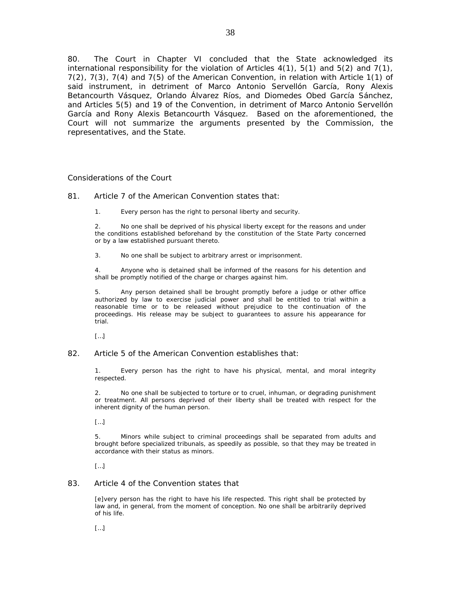80. The Court in Chapter VI concluded that the State acknowledged its international responsibility for the violation of Articles  $4(1)$ ,  $5(1)$  and  $5(2)$  and  $7(1)$ , 7(2), 7(3), 7(4) and 7(5) of the American Convention, in relation with Article 1(1) of said instrument, in detriment of Marco Antonio Servellón García, Rony Alexis Betancourth Vásquez, Orlando Álvarez Ríos, and Diomedes Obed García Sánchez, and Articles 5(5) and 19 of the Convention, in detriment of Marco Antonio Servellón García and Rony Alexis Betancourth Vásquez. Based on the aforementioned, the Court will not summarize the arguments presented by the Commission, the representatives, and the State.

### *Considerations of the Court*

81. Article 7 of the American Convention states that:

1. Every person has the right to personal liberty and security.

2. No one shall be deprived of his physical liberty except for the reasons and under the conditions established beforehand by the constitution of the State Party concerned or by a law established pursuant thereto.

3. No one shall be subject to arbitrary arrest or imprisonment.

4. Anyone who is detained shall be informed of the reasons for his detention and shall be promptly notified of the charge or charges against him.

5. Any person detained shall be brought promptly before a judge or other office authorized by law to exercise judicial power and shall be entitled to trial within a reasonable time or to be released without prejudice to the continuation of the proceedings. His release may be subject to guarantees to assure his appearance for trial.

[…]

82. Article 5 of the American Convention establishes that:

1. Every person has the right to have his physical, mental, and moral integrity respected.

2. No one shall be subjected to torture or to cruel, inhuman, or degrading punishment or treatment. All persons deprived of their liberty shall be treated with respect for the inherent dignity of the human person.

[…]

5. Minors while subject to criminal proceedings shall be separated from adults and brought before specialized tribunals, as speedily as possible, so that they may be treated in accordance with their status as minors.

 $\left[\ldots\right]$ 

#### 83. Article 4 of the Convention states that

[e]very person has the right to have his life respected. This right shall be protected by law and, in general, from the moment of conception. No one shall be arbitrarily deprived of his life.

[…]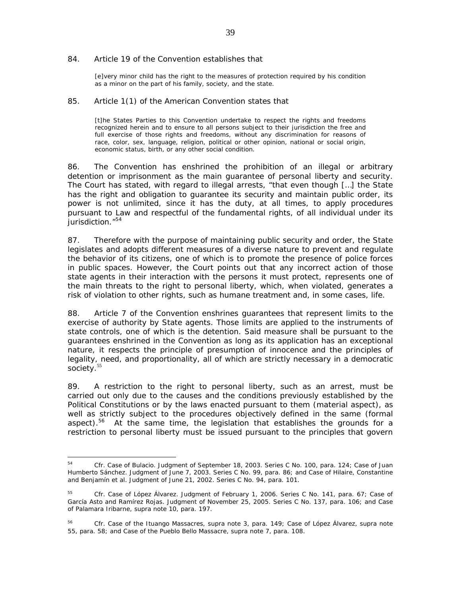#### 84. Article 19 of the Convention establishes that

[e]very minor child has the right to the measures of protection required by his condition as a minor on the part of his family, society, and the state.

### 85. Article 1(1) of the American Convention states that

[t]he States Parties to this Convention undertake to respect the rights and freedoms recognized herein and to ensure to all persons subject to their jurisdiction the free and full exercise of those rights and freedoms, without any discrimination for reasons of race, color, sex, language, religion, political or other opinion, national or social origin, economic status, birth, or any other social condition.

86. The Convention has enshrined the prohibition of an illegal or arbitrary detention or imprisonment as the main guarantee of personal liberty and security. The Court has stated, with regard to illegal arrests, "that even though […] the State has the right and obligation to guarantee its security and maintain public order, its power is not unlimited, since it has the duty, at all times, to apply procedures pursuant to Law and respectful of the fundamental rights, of all individual under its jurisdiction."<sup>54</sup>

87. Therefore with the purpose of maintaining public security and order, the State legislates and adopts different measures of a diverse nature to prevent and regulate the behavior of its citizens, one of which is to promote the presence of police forces in public spaces. However, the Court points out that any incorrect action of those state agents in their interaction with the persons it must protect, represents one of the main threats to the right to personal liberty, which, when violated, generates a risk of violation to other rights, such as humane treatment and, in some cases, life.

88. Article 7 of the Convention enshrines guarantees that represent limits to the exercise of authority by State agents. Those limits are applied to the instruments of state controls, one of which is the detention. Said measure shall be pursuant to the guarantees enshrined in the Convention as long as its application has an exceptional nature, it respects the principle of presumption of innocence and the principles of legality, need, and proportionality, all of which are strictly necessary in a democratic society.<sup>55</sup>

89. A restriction to the right to personal liberty, such as an arrest, must be carried out only due to the causes and the conditions previously established by the Political Constitutions or by the laws enacted pursuant to them (material aspect), as well as strictly subject to the procedures objectively defined in the same (formal aspect).<sup>56</sup> At the same time, the legislation that establishes the grounds for a restriction to personal liberty must be issued pursuant to the principles that govern

<sup>54</sup> <sup>54</sup> *Cfr. Case of Bulacio*. Judgment of September 18, 2003. Series C No. 100, para. 124; *Case of Juan Humberto Sánchez.* Judgment of June 7, 2003. Series C No. 99, para. 86; and *Case of Hilaire, Constantine and Benjamín et al.* Judgment of June 21, 2002. Series C No. 94, para. 101.

<sup>55</sup> *Cfr. Case of López Álvarez*. Judgment of February 1, 2006. Series C No. 141, para. 67; *Case of García Asto and Ramírez Rojas.* Judgment of November 25, 2005. Series C No. 137, para. 106; *and Case of Palamara Iribarne, supra* note 10, para. 197.

<sup>56</sup> *Cfr. Case of the Ituango Massacres, supra* note 3, para. 149; *Case of López Álvarez, supra* note 55, para. 58; and *Case of the Pueblo Bello Massacre, supra* note 7, para. 108.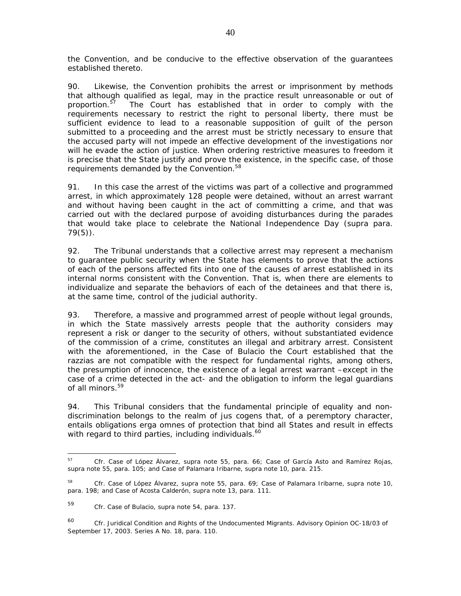the Convention, and be conducive to the effective observation of the guarantees established thereto.

90. Likewise, the Convention prohibits the arrest or imprisonment by methods that although qualified as legal, may in the practice result unreasonable or out of proportion.<sup>57</sup> The Court has established that in order to comply with the requirements necessary to restrict the right to personal liberty, there must be sufficient evidence to lead to a reasonable supposition of guilt of the person submitted to a proceeding and the arrest must be strictly necessary to ensure that the accused party will not impede an effective development of the investigations nor will he evade the action of justice. When ordering restrictive measures to freedom it is precise that the State justify and prove the existence, in the specific case, of those requirements demanded by the Convention.<sup>58</sup>

91. In this case the arrest of the victims was part of a collective and programmed arrest, in which approximately 128 people were detained, without an arrest warrant and without having been caught in the act of committing a crime, and that was carried out with the declared purpose of avoiding disturbances during the parades that would take place to celebrate the National Independence Day (*supra* para. 79(5)).

92. The Tribunal understands that a collective arrest may represent a mechanism to guarantee public security when the State has elements to prove that the actions of each of the persons affected fits into one of the causes of arrest established in its internal norms consistent with the Convention. That is, when there are elements to individualize and separate the behaviors of each of the detainees and that there is, at the same time, control of the judicial authority.

93. Therefore, a massive and programmed arrest of people without legal grounds, in which the State massively arrests people that the authority considers may represent a risk or danger to the security of others, without substantiated evidence of the commission of a crime, constitutes an illegal and arbitrary arrest. Consistent with the aforementioned, in the *Case of Bulacio* the Court established that the *razzias* are not compatible with the respect for fundamental rights, among others, the presumption of innocence, the existence of a legal arrest warrant –except in the case of a crime detected in the act- and the obligation to inform the legal guardians of all minors.<sup>59</sup>

94. This Tribunal considers that the fundamental principle of equality and nondiscrimination belongs to the realm of *jus cogens* that, of a peremptory character, entails obligations *erga omnes* of protection that bind all States and result in effects with regard to third parties, including individuals.<sup>60</sup>

<sup>57</sup> <sup>57</sup> *Cfr. Case of López Álvarez*, *supra* note 55, para. 66; *Case of García Asto and Ramírez Rojas*, *supra* note 55*,* para. 105; and *Case of Palamara Iribarne, supra* note 10, para. 215.

<sup>58</sup> *Cfr. Case of López Álvarez*, *supra* note 55, para. 69; *Case of Palamara Iribarne, supra* note 10, para. 198; and *Case of Acosta Calderón*, *supra* note 13, para. 111.

<sup>59</sup> *Cfr*. *Case of Bulacio*, *supra* note 54, para. 137.

<sup>60</sup> *Cfr. Juridical Condition and Rights of the Undocumented Migrants.* Advisory Opinion OC-18/03 of September 17, 2003. Series A No. 18, para. 110.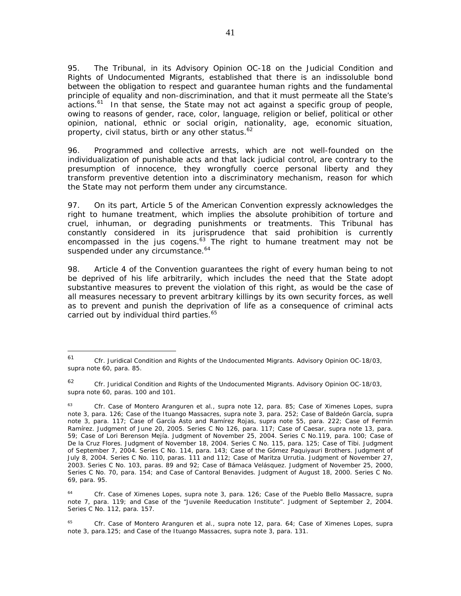95. The Tribunal, in its *Advisory Opinion OC-18 on the Judicial Condition and Rights of Undocumented Migrants,* established that there is an indissoluble bond between the obligation to respect and guarantee human rights and the fundamental principle of equality and non-discrimination, and that it must permeate all the State's actions. $61$  In that sense, the State may not act against a specific group of people, owing to reasons of gender, race, color, language, religion or belief, political or other opinion, national, ethnic or social origin, nationality, age, economic situation, property, civil status, birth or any other status.<sup>62</sup>

96. Programmed and collective arrests, which are not well-founded on the individualization of punishable acts and that lack judicial control, are contrary to the presumption of innocence, they wrongfully coerce personal liberty and they transform preventive detention into a discriminatory mechanism, reason for which the State may not perform them under any circumstance.

97. On its part, Article 5 of the American Convention expressly acknowledges the right to humane treatment, which implies the absolute prohibition of torture and cruel, inhuman, or degrading punishments or treatments. This Tribunal has constantly considered in its jurisprudence that said prohibition is currently encompassed in the *jus cogens.*63 The right to humane treatment may not be suspended under any circumstance.<sup>64</sup>

98. Article 4 of the Convention guarantees the right of every human being to not be deprived of his life arbitrarily, which includes the need that the State adopt substantive measures to prevent the violation of this right, as would be the case of all measures necessary to prevent arbitrary killings by its own security forces, as well as to prevent and punish the deprivation of life as a consequence of criminal acts carried out by individual third parties.<sup>65</sup>

 $\overline{a}$ 

<sup>61</sup> *Cfr*. *Juridical Condition and Rights of the Undocumented Migrants.* Advisory Opinion OC-18/03, *supra* note 60, para. 85.

<sup>62</sup> *Cfr. Juridical Condition and Rights of the Undocumented Migrants.* Advisory Opinion OC-18/03, *supra* note 60, paras. 100 and 101.

<sup>63</sup> *Cfr. Case of Montero Aranguren et al., supra* note 12, para. 85*; Case of Ximenes Lopes, supra* note 3, para. 126; *Case of the Ituango Massacres, supra* note 3, para. 252; *Case of Baldeón García, supra* note 3, para. 117; *Case of García Asto and Ramírez Rojas, supra* note 55, para. 222; *Case of Fermín Ramírez*. Judgment of June 20, 2005. Series C No 126, para. 117; *Case of Caesar, supra* note 13, para. 59; *Case of Lori Berenson Mejía*. Judgment of November 25, 2004. Series C No.119, para. 100; *Case of De la Cruz Flores.* Judgment of November 18, 2004. Series C No. 115, para. 125; *Case of Tibi.* Judgment of September 7, 2004. Series C No. 114, para. 143; *Case of the Gómez Paquiyauri Brothers.* Judgment of July 8, 2004. Series C No. 110, paras. 111 and 112; *Case of Maritza Urrutia.* Judgment of November 27, 2003. Series C No. 103, paras. 89 and 92; *Case of Bámaca Velásquez*. Judgment of November 25, 2000, Series C No. 70, para. 154; and *Case of Cantoral Benavides*. Judgment of August 18, 2000. Series C No. 69, para. 95.

<sup>64</sup> *Cfr. Case of Ximenes Lopes, supra* note 3, para. 126; *Case of the Pueblo Bello Massacre, supra*  note 7*,* para. 119; and *Case of the "Juvenile Reeducation Institute".* Judgment of September 2, 2004. Series C No. 112, para. 157.

<sup>65</sup> *Cfr. Case of Montero Aranguren et al., supra* note 12, para. 64; *Case of Ximenes Lopes*, *supra* note 3, para.125; and *Case of the Ituango Massacres*, *supra* note 3, para. 131.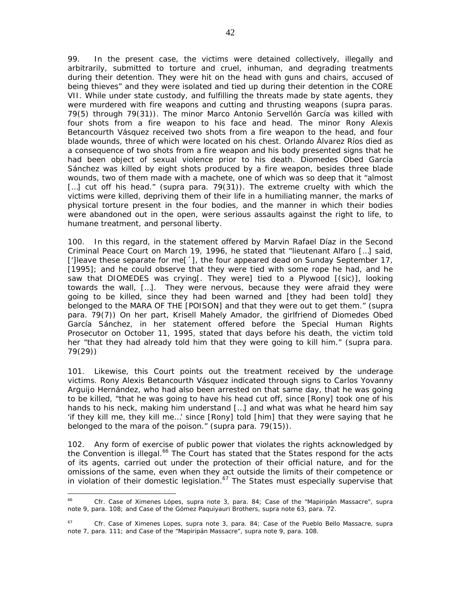99. In the present case, the victims were detained collectively, illegally and arbitrarily, submitted to torture and cruel, inhuman, and degrading treatments during their detention. They were hit on the head with guns and chairs, accused of being thieves" and they were isolated and tied up during their detention in the CORE VII. While under state custody, and fulfilling the threats made by state agents, they were murdered with fire weapons and cutting and thrusting weapons (*supra* paras. 79(5) through 79(31)). The minor Marco Antonio Servellón García was killed with four shots from a fire weapon to his face and head. The minor Rony Alexis Betancourth Vásquez received two shots from a fire weapon to the head, and four blade wounds, three of which were located on his chest. Orlando Álvarez Ríos died as a consequence of two shots from a fire weapon and his body presented signs that he had been object of sexual violence prior to his death. Diomedes Obed García Sánchez was killed by eight shots produced by a fire weapon, besides three blade wounds, two of them made with a machete, one of which was so deep that it "almost [...] cut off his head." (*supra* para. 79(31)). The extreme cruelty with which the victims were killed, depriving them of their life in a humiliating manner, the marks of physical torture present in the four bodies, and the manner in which their bodies were abandoned out in the open, were serious assaults against the right to life, to humane treatment, and personal liberty.

100. In this regard, in the statement offered by Marvin Rafael Díaz in the Second Criminal Peace Court on March 19, 1996, he stated that "lieutenant Alfaro […] said, [']leave these separate for me[´], the four appeared dead on Sunday September 17, [1995]; and he could observe that they were tied with some rope he had, and he saw that DIOMEDES was crying[. They were] tied to a Plywood [(sic)], looking towards the wall, […]. They were nervous, because they were afraid they were going to be killed, since they had been warned and [they had been told] they belonged to the MARA OF THE [POISON] and that they were out to get them." (*supra* para. 79(7)) On her part, Krisell Mahely Amador, the girlfriend of Diomedes Obed García Sánchez, in her statement offered before the Special Human Rights Prosecutor on October 11, 1995, stated that days before his death, the victim told her "that they had already told him that they were going to kill him." (*supra* para. 79(29))

101. Likewise, this Court points out the treatment received by the underage victims. Rony Alexis Betancourth Vásquez indicated through signs to Carlos Yovanny Arguijo Hernández, who had also been arrested on that same day, that he was going to be killed, "that he was going to have his head cut off, since [Rony] took one of his hands to his neck, making him understand […] and what was what he heard him say 'if they kill me, they kill me…' since [Rony] told [him] that they were saying that he belonged to the mara of the poison." (*supra* para. 79(15)).

102. Any form of exercise of public power that violates the rights acknowledged by the Convention is illegal.<sup>66</sup> The Court has stated that the States respond for the acts of its agents, carried out under the protection of their official nature, and for the omissions of the same, even when they act outside the limits of their competence or in violation of their domestic legislation.<sup>67</sup> The States must especially supervise that

<sup>66</sup> <sup>66</sup> *Cfr. Case of Ximenes Lópes, supra* note 3, para. 84; *Case of the "Mapiripán Massacre"*, *supra* note 9, para. 108; and *Case of the Gómez Paquiyauri Brothers, supra* note 63, para. 72.

<sup>67</sup>*Cfr. Case of Ximenes Lopes*, *supra* note 3, para. 84; *Case of the Pueblo Bello Massacre*, *supra*  note 7, para. 111; and *Case of the "Mapiripán Massacre", supra* note 9, para. 108.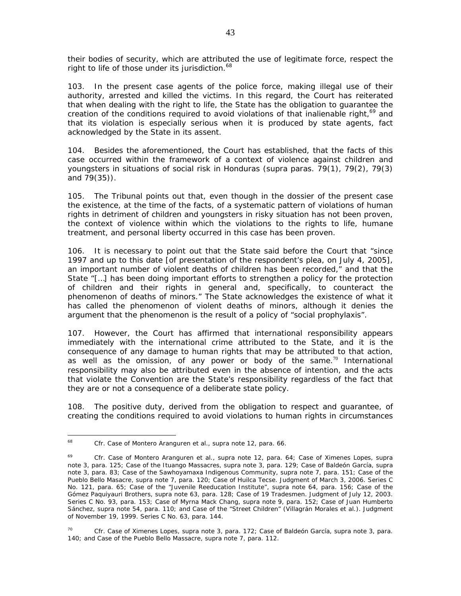their bodies of security, which are attributed the use of legitimate force, respect the right to life of those under its jurisdiction.<sup>68</sup>

103. In the present case agents of the police force, making illegal use of their authority, arrested and killed the victims. In this regard, the Court has reiterated that when dealing with the right to life, the State has the obligation to guarantee the creation of the conditions required to avoid violations of that inalienable right, $69$  and that its violation is especially serious when it is produced by state agents, fact acknowledged by the State in its assent.

104. Besides the aforementioned, the Court has established, that the facts of this case occurred within the framework of a context of violence against children and youngsters in situations of social risk in Honduras (*supra* paras. 79(1), 79(2), 79(3) and 79(35)).

105. The Tribunal points out that, even though in the dossier of the present case the existence, at the time of the facts, of a systematic pattern of violations of human rights in detriment of children and youngsters in risky situation has not been proven, the context of violence within which the violations to the rights to life, humane treatment, and personal liberty occurred in this case has been proven.

106. It is necessary to point out that the State said before the Court that "since 1997 and up to this date [of presentation of the respondent's plea, on July 4, 2005], an important number of violent deaths of children has been recorded," and that the State "[…] has been doing important efforts to strengthen a policy for the protection of children and their rights in general and, specifically, to counteract the phenomenon of deaths of minors." The State acknowledges the existence of what it has called the phenomenon of violent deaths of minors, although it denies the argument that the phenomenon is the result of a policy of "social prophylaxis".

107. However, the Court has affirmed that international responsibility appears immediately with the international crime attributed to the State, and it is the consequence of any damage to human rights that may be attributed to that action, as well as the omission, of any power or body of the same.<sup>70</sup> International responsibility may also be attributed even in the absence of intention, and the acts that violate the Convention are the State's responsibility regardless of the fact that they are or not a consequence of a deliberate state policy.

108. The positive duty, derived from the obligation to respect and guarantee, of creating the conditions required to avoid violations to human rights in circumstances

<sup>68</sup> <sup>68</sup> *Cfr. Case of Montero Aranguren et al.*, *supra* note 12, para. 66.

<sup>69</sup> *Cfr. Case of Montero Aranguren et al., supra* note 12, para. 64*; Case of Ximenes Lopes*, *supra*  note 3, para. 125; *Case of the Ituango Massacres, supra* note 3, para. 129; *Case of Baldeón García, supra*  note 3*,* para. 83; *Case of the Sawhoyamaxa Indigenous Community, supra* note 7*,* para*.* 151*; Case of the Pueblo Bello Masacre*, *supra* note 7, para. 120; *Case of Huilca Tecse.* Judgment of March 3, 2006. Series C No. 121, para. 65; *Case of the "Juvenile Reeducation Institute", supra* note 64, para. 156; *Case of the Gómez Paquiyauri Brothers, supra* note 63*,* para. 128*; Case of 19 Tradesmen.* Judgment of July 12, 2003. Series C No. 93, para. 153; *Case of Myrna Mack Chang*, *supra* note 9, para. 152; *Case of Juan Humberto Sánchez*, *supra* note 54, para. 110; and *Case of the "Street Children" (Villagrán Morales et al.).* Judgment of November 19, 1999. Series C No. 63, para. 144.

<sup>70</sup> *Cfr. Case of Ximenes Lopes*, *supra* note 3, para. 172; *Case of Baldeón García*, *supra* note 3, para. 140; and *Case of the Pueblo Bello Massacre, supra* note 7, para. 112.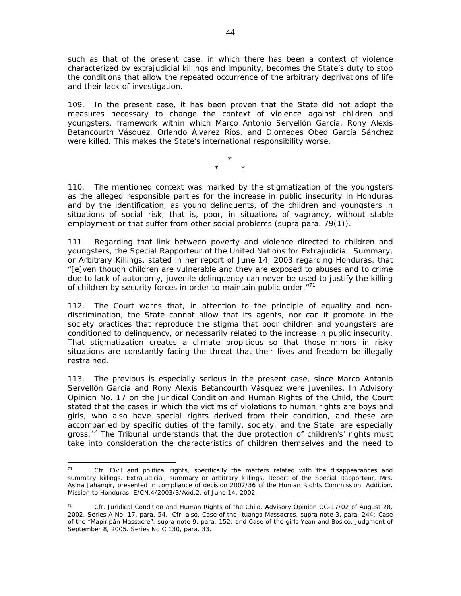such as that of the present case, in which there has been a context of violence characterized by extrajudicial killings and impunity, becomes the State's duty to stop the conditions that allow the repeated occurrence of the arbitrary deprivations of life and their lack of investigation.

109. In the present case, it has been proven that the State did not adopt the measures necessary to change the context of violence against children and youngsters, framework within which Marco Antonio Servellón García, Rony Alexis Betancourth Vásquez, Orlando Álvarez Ríos, and Diomedes Obed García Sánchez were killed. This makes the State's international responsibility worse.

> \* \* \*

110. The mentioned context was marked by the stigmatization of the youngsters as the alleged responsible parties for the increase in public insecurity in Honduras and by the identification, as young delinquents, of the children and youngsters in situations of social risk, that is, poor, in situations of vagrancy, without stable employment or that suffer from other social problems (*supra* para. 79(1)).

111. Regarding that link between poverty and violence directed to children and youngsters, the Special Rapporteur of the United Nations for Extrajudicial, Summary, or Arbitrary Killings, stated in her report of June 14, 2003 regarding Honduras, that "[e]ven though children are vulnerable and they are exposed to abuses and to crime due to lack of autonomy, juvenile delinquency can never be used to justify the killing of children by security forces in order to maintain public order. $171$ 

112. The Court warns that, in attention to the principle of equality and nondiscrimination, the State cannot allow that its agents, nor can it promote in the society practices that reproduce the stigma that poor children and youngsters are conditioned to delinquency, or necessarily related to the increase in public insecurity. That stigmatization creates a climate propitious so that those minors in risky situations are constantly facing the threat that their lives and freedom be illegally restrained.

113. The previous is especially serious in the present case, since Marco Antonio Servellón García and Rony Alexis Betancourth Vásquez were juveniles. In *Advisory Opinion No. 17 on the Juridical Condition and Human Rights of the Child,* the Court stated that the cases in which the victims of violations to human rights are boys and girls, who also have special rights derived from their condition, and these are accompanied by specific duties of the family, society, and the State, are especially gross.<sup>72</sup> The Tribunal understands that the due protection of children's' rights must take into consideration the characteristics of children themselves and the need to

 $71$ <sup>71</sup> *Cfr*. Civil and political rights, specifically the matters related with the disappearances and summary killings. Extrajudicial, summary or arbitrary killings. Report of the Special Rapporteur, Mrs. Asma Jahangir, presented in compliance of decision 2002/36 of the Human Rights Commission. Addition. Mission to Honduras. E/CN.4/2003/3/Add.2. of June 14, 2002.

<sup>72</sup> *Cfr. Juridical Condition and Human Rights of the Child.* Advisory Opinion OC-17/02 of August 28, 2002. Series A No. 17, para. 54. *Cfr.* also, *Case of the Ituango Massacres, supra* note 3, para. 244; *Case of the "Mapiripán Massacre"*, supra note 9, para. 152; and *Case of the girls Yean and Bosico.* Judgment of September 8, 2005. Series No C 130, para. 33.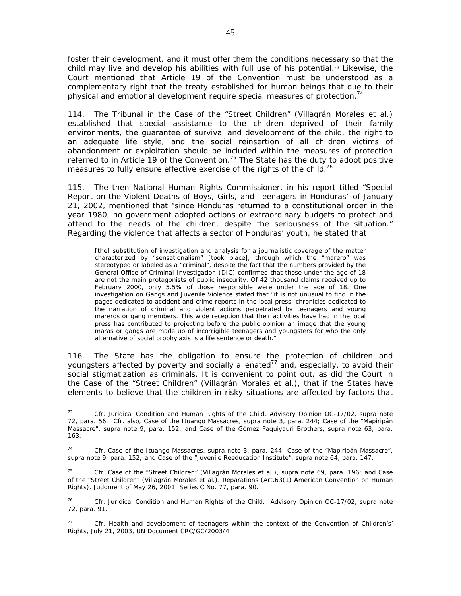foster their development, and it must offer them the conditions necessary so that the child may live and develop his abilities with full use of his potential.<sup>73</sup> Likewise, the Court mentioned that Article 19 of the Convention must be understood as a complementary right that the treaty established for human beings that due to their physical and emotional development require special measures of protection.<sup>74</sup>

114. The Tribunal in the *Case of the "Street Children" (Villagrán Morales et al.)* established that special assistance to the children deprived of their family environments, the guarantee of survival and development of the child, the right to an adequate life style, and the social reinsertion of all children victims of abandonment or exploitation should be included within the measures of protection referred to in Article 19 of the Convention.<sup>75</sup> The State has the duty to adopt positive measures to fully ensure effective exercise of the rights of the child.<sup>76</sup>

115. The then National Human Rights Commissioner, in his report titled "Special Report on the Violent Deaths of Boys, Girls, and Teenagers in Honduras" of January 21, 2002, mentioned that "since Honduras returned to a constitutional order in the year 1980, no government adopted actions or extraordinary budgets to protect and attend to the needs of the children, despite the seriousness of the situation." Regarding the violence that affects a sector of Honduras' youth, he stated that

[the] substitution of investigation and analysis for a journalistic coverage of the matter characterized by "sensationalism" [took place], through which the "marero" was stereotyped or labeled as a "criminal", despite the fact that the numbers provided by the General Office of Criminal Investigation (DIC) confirmed that those under the age of 18 are not the main protagonists of public insecurity. Of 42 thousand claims received up to February 2000, only 5.5% of those responsible were under the age of 18. One investigation on Gangs and Juvenile Violence stated that "it is not unusual to find in the pages dedicated to accident and crime reports in the local press, chronicles dedicated to the narration of criminal and violent actions perpetrated by teenagers and young *mareros* or gang members. This wide reception that their activities have had in the local press has contributed to projecting before the public opinion an image that the young *maras* or gangs are made up of incorrigible teenagers and youngsters for who the only alternative of social prophylaxis is a life sentence or death."

116. The State has the obligation to ensure the protection of children and youngsters affected by poverty and socially alienated<sup>77</sup> and, especially, to avoid their social stigmatization as criminals. It is convenient to point out, as did the Court in the *Case of the "Street Children" (Villagrán Morales et al.)*, that if the States have elements to believe that the children in risky situations are affected by factors that

 $\overline{a}$ <sup>73</sup> *Cfr. Juridical Condition and Human Rights of the Child*. Advisory Opinion OC-17/02, *supra* note 72, para. 56. *Cfr.* also, *Case of the Ituango Massacres*, *supra* note 3, para. 244; *Case of the "Mapiripán Massacre", supra* note 9, para. 152; and *Case of the Gómez Paquiyauri Brothers*, *supra* note 63, para. 163.

<sup>74</sup> Cfr. *Case of the Ituango Massacres, supra* note 3, para. 244; *Case of the "Mapiripán Massacre"*, *supra* note 9, para. 152; and *Case of the "Juvenile Reeducation Institute", supra* note 64, para. 147.

<sup>75</sup> *Cfr. Case of the "Street Children" (Villagrán Morales et al.)*, *supra* note 69, para. 196; and *Case of the "Street Children" (Villagrán Morales et al.).* Reparations (Art.63(1) American Convention on Human Rights). Judgment of May 26, 2001. Series C No. 77, para. 90.

<sup>76</sup> *Cfr*. *Juridical Condition and Human Rights of the Child*. Advisory Opinion OC-17/02, *supra* note 72, para. 91.

<sup>77</sup> *Cfr.* Health and development of teenagers within the context of the Convention of Children's' Rights, July 21, 2003, UN Document CRC/GC/2003/4.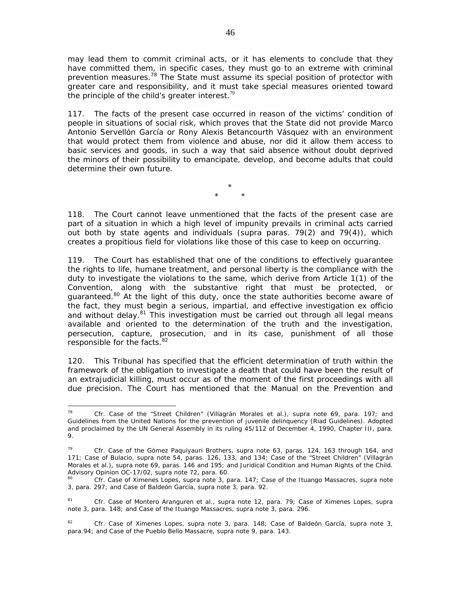may lead them to commit criminal acts, or it has elements to conclude that they have committed them, in specific cases, they must go to an extreme with criminal prevention measures.<sup>78</sup> The State must assume its special position of protector with greater care and responsibility, and it must take special measures oriented toward the principle of the child's greater interest.<sup>79</sup>

117. The facts of the present case occurred in reason of the victims' condition of people in situations of social risk, which proves that the State did not provide Marco Antonio Servellón García or Rony Alexis Betancourth Vásquez with an environment that would protect them from violence and abuse, nor did it allow them access to basic services and goods, in such a way that said absence without doubt deprived the minors of their possibility to emancipate, develop, and become adults that could determine their own future.

> \* \* \*

118. The Court cannot leave unmentioned that the facts of the present case are part of a situation in which a high level of impunity prevails in criminal acts carried out both by state agents and individuals (*supra* paras. 79(2) and 79(4)), which creates a propitious field for violations like those of this case to keep on occurring.

119. The Court has established that one of the conditions to effectively guarantee the rights to life, humane treatment, and personal liberty is the compliance with the duty to investigate the violations to the same, which derive from Article 1(1) of the Convention, along with the substantive right that must be protected, or guaranteed.<sup>80</sup> At the light of this duty, once the state authorities become aware of the fact, they must begin a serious, impartial, and effective investigation *ex officio* and without delay.<sup>81</sup> This investigation must be carried out through all legal means available and oriented to the determination of the truth and the investigation, persecution, capture, prosecution, and in its case, punishment of all those responsible for the facts.<sup>82</sup>

120. This Tribunal has specified that the efficient determination of truth within the framework of the obligation to investigate a death that could have been the result of an extrajudicial killing, must occur as of the moment of the first proceedings with all due precision. The Court has mentioned that the Manual on the Prevention and

 $\overline{a}$ <sup>78</sup> *Cfr*. *Case of the "Street Children" (Villagrán Morales et al.), supra* note 69*,* para. 197; and *Guidelines from the United Nations for the prevention of juvenile delinquency (Riad Guidelines).* Adopted and proclaimed by the UN General Assembly in its ruling 45/112 of December 4, 1990, Chapter III, para. 9.

<sup>79</sup> *Cfr. Case of the Gómez Paquiyauri Brothers, supra* note 63, paras. 124, 163 through 164, and 171; *Case of Bulacio*, *supra* note 54, paras. 126, 133, and 134; *Case of the "Street Children" (Villagrán Morales et al.), supra* note 69, paras. 146 and 195; and *Juridical Condition and Human Rights of the Child*.

Advisory Opinion OC-17/02, *supra* note 72, para. 60.<br><sup>80</sup> *Cfr. Case of Ximenes Lopes, supra* note 3, para. 147; *Case of the Ituango Massacres, supra* note 3, para. 297; and *Case of Baldeón García, supra* note 3*,* para. 92.

<sup>81</sup> *Cfr*. *Case of Montero Aranguren et al., supra* note 12, para. 79; *Case of Ximenes Lopes, supra* note 3, para. 148; and *Case of the Ituango Massacres, supra* note 3, para. 296.

<sup>82</sup> *Cfr. Case of Ximenes Lopes, supra* note 3, para. 148; *Case of Baldeón García, supra* note 3, para.94; and *Case of the Pueblo Bello Massacre, supra* note 9, para. 143.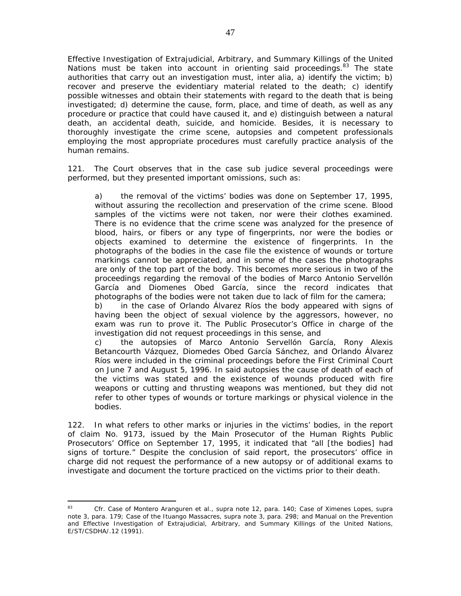Effective Investigation of Extrajudicial, Arbitrary, and Summary Killings of the United Nations must be taken into account in orienting said proceedings.<sup>83</sup> The state authorities that carry out an investigation must, *inter alia,* a) identify the victim; b) recover and preserve the evidentiary material related to the death; c) identify possible witnesses and obtain their statements with regard to the death that is being investigated; d) determine the cause, form, place, and time of death, as well as any procedure or practice that could have caused it, and e) distinguish between a natural death, an accidental death, suicide, and homicide. Besides, it is necessary to thoroughly investigate the crime scene, autopsies and competent professionals employing the most appropriate procedures must carefully practice analysis of the human remains.

121. The Court observes that in the case *sub judice* several proceedings were performed, but they presented important omissions, such as:

a) the removal of the victims' bodies was done on September 17, 1995, without assuring the recollection and preservation of the crime scene. Blood samples of the victims were not taken, nor were their clothes examined. There is no evidence that the crime scene was analyzed for the presence of blood, hairs, or fibers or any type of fingerprints, nor were the bodies or objects examined to determine the existence of fingerprints. In the photographs of the bodies in the case file the existence of wounds or torture markings cannot be appreciated, and in some of the cases the photographs are only of the top part of the body. This becomes more serious in two of the proceedings regarding the removal of the bodies of Marco Antonio Servellón García and Diomenes Obed García, since the record indicates that photographs of the bodies were not taken due to lack of film for the camera;

b) in the case of Orlando Álvarez Ríos the body appeared with signs of having been the object of sexual violence by the aggressors, however, no exam was run to prove it. The Public Prosecutor's Office in charge of the investigation did not request proceedings in this sense, and

c) the autopsies of Marco Antonio Servellón García, Rony Alexis Betancourth Vázquez, Diomedes Obed García Sánchez, and Orlando Álvarez Ríos were included in the criminal proceedings before the First Criminal Court on June 7 and August 5, 1996. In said autopsies the cause of death of each of the victims was stated and the existence of wounds produced with fire weapons or cutting and thrusting weapons was mentioned, but they did not refer to other types of wounds or torture markings or physical violence in the bodies.

122. In what refers to other marks or injuries in the victims' bodies, in the report of claim No. 9173, issued by the Main Prosecutor of the Human Rights Public Prosecutors' Office on September 17, 1995, it indicated that "all [the bodies] had signs of torture." Despite the conclusion of said report, the prosecutors' office in charge did not request the performance of a new autopsy or of additional exams to investigate and document the torture practiced on the victims prior to their death.

<sup>83</sup> <sup>83</sup> *Cfr*. *Case of Montero Aranguren et al., supra* note 12, para. 140; *Case of Ximenes Lopes, supra* note 3, para. 179; *Case of the Ituango Massacres, supra* note 3, para. 298; and Manual on the Prevention and Effective Investigation of Extrajudicial, Arbitrary, and Summary Killings of the United Nations, E/ST/CSDHA/.12 (1991).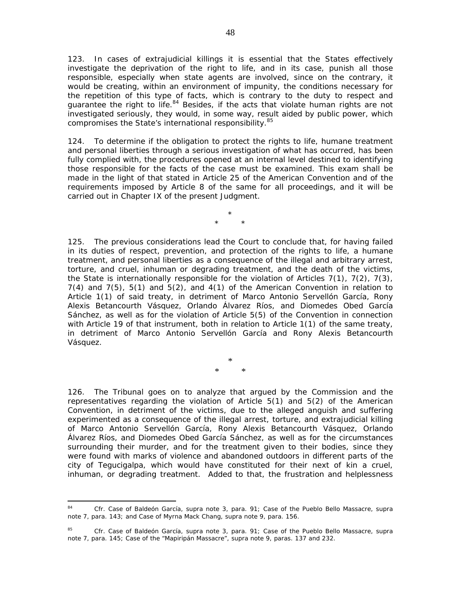123. In cases of extrajudicial killings it is essential that the States effectively investigate the deprivation of the right to life, and in its case, punish all those responsible, especially when state agents are involved, since on the contrary, it would be creating, within an environment of impunity, the conditions necessary for the repetition of this type of facts, which is contrary to the duty to respect and quarantee the right to life. $84$  Besides, if the acts that violate human rights are not investigated seriously, they would, in some way, result aided by public power, which compromises the State's international responsibility.<sup>85</sup>

124. To determine if the obligation to protect the rights to life, humane treatment and personal liberties through a serious investigation of what has occurred, has been fully complied with, the procedures opened at an internal level destined to identifying those responsible for the facts of the case must be examined. This exam shall be made in the light of that stated in Article 25 of the American Convention and of the requirements imposed by Article 8 of the same for all proceedings, and it will be carried out in Chapter IX of the present Judgment.

> \* \* \*

125. The previous considerations lead the Court to conclude that, for having failed in its duties of respect, prevention, and protection of the rights to life, a humane treatment, and personal liberties as a consequence of the illegal and arbitrary arrest, torture, and cruel, inhuman or degrading treatment, and the death of the victims, the State is internationally responsible for the violation of Articles  $7(1)$ ,  $7(2)$ ,  $7(3)$ , 7(4) and 7(5), 5(1) and 5(2), and 4(1) of the American Convention in relation to Article 1(1) of said treaty, in detriment of Marco Antonio Servellón García, Rony Alexis Betancourth Vásquez, Orlando Álvarez Ríos, and Diomedes Obed García Sánchez, as well as for the violation of Article 5(5) of the Convention in connection with Article 19 of that instrument, both in relation to Article 1(1) of the same treaty, in detriment of Marco Antonio Servellón García and Rony Alexis Betancourth Vásquez.

> \* \* \*

126. The Tribunal goes on to analyze that argued by the Commission and the representatives regarding the violation of Article 5(1) and 5(2) of the American Convention, in detriment of the victims, due to the alleged anguish and suffering experimented as a consequence of the illegal arrest, torture, and extrajudicial killing of Marco Antonio Servellón García, Rony Alexis Betancourth Vásquez, Orlando Álvarez Ríos, and Diomedes Obed García Sánchez, as well as for the circumstances surrounding their murder, and for the treatment given to their bodies, since they were found with marks of violence and abandoned outdoors in different parts of the city of Tegucigalpa, which would have constituted for their next of kin a cruel, inhuman, or degrading treatment. Added to that, the frustration and helplessness

<sup>84</sup> <sup>84</sup> *Cfr. Case of Baldeón García, supra* note 3, para. 91; *Case of the Pueblo Bello Massacre*, *supra* note 7, para. 143; and *Case of Myrna Mack Chang*, *supra* note 9, para. 156.

<sup>85</sup> *Cfr. Case of Baldeón García, supra* note 3, para. 91; *Case of the Pueblo Bello Massacre, supra* note 7, para. 145; *Case of the "Mapiripán Massacre", supra* note 9, paras. 137 and 232.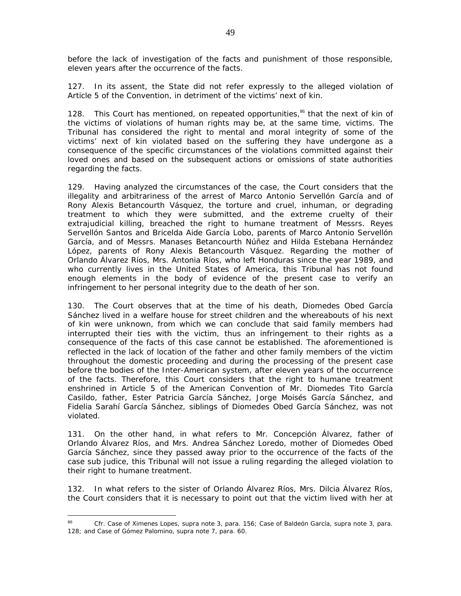before the lack of investigation of the facts and punishment of those responsible, eleven years after the occurrence of the facts.

127. In its assent, the State did not refer expressly to the alleged violation of Article 5 of the Convention, in detriment of the victims' next of kin.

128. This Court has mentioned, on repeated opportunities, $86$  that the next of kin of the victims of violations of human rights may be, at the same time, victims. The Tribunal has considered the right to mental and moral integrity of some of the victims' next of kin violated based on the suffering they have undergone as a consequence of the specific circumstances of the violations committed against their loved ones and based on the subsequent actions or omissions of state authorities regarding the facts.

129. Having analyzed the circumstances of the case, the Court considers that the illegality and arbitrariness of the arrest of Marco Antonio Servellón García and of Rony Alexis Betancourth Vásquez, the torture and cruel, inhuman, or degrading treatment to which they were submitted, and the extreme cruelty of their extrajudicial killing, breached the right to humane treatment of Messrs. Reyes Servellón Santos and Bricelda Aide García Lobo, parents of Marco Antonio Servellón García, and of Messrs. Manases Betancourth Núñez and Hilda Estebana Hernández López, parents of Rony Alexis Betancourth Vásquez. Regarding the mother of Orlando Álvarez Ríos, Mrs. Antonia Ríos, who left Honduras since the year 1989, and who currently lives in the United States of America, this Tribunal has not found enough elements in the body of evidence of the present case to verify an infringement to her personal integrity due to the death of her son.

130. The Court observes that at the time of his death, Diomedes Obed García Sánchez lived in a welfare house for street children and the whereabouts of his next of kin were unknown, from which we can conclude that said family members had interrupted their ties with the victim, thus an infringement to their rights as a consequence of the facts of this case cannot be established. The aforementioned is reflected in the lack of location of the father and other family members of the victim throughout the domestic proceeding and during the processing of the present case before the bodies of the Inter-American system, after eleven years of the occurrence of the facts. Therefore, this Court considers that the right to humane treatment enshrined in Article 5 of the American Convention of Mr. Diomedes Tito García Casildo, father, Ester Patricia García Sánchez, Jorge Moisés García Sánchez, and Fidelia Sarahí García Sánchez, siblings of Diomedes Obed García Sánchez, was not violated.

131. On the other hand, in what refers to Mr. Concepción Álvarez, father of Orlando Álvarez Ríos, and Mrs. Andrea Sánchez Loredo, mother of Diomedes Obed García Sánchez, since they passed away prior to the occurrence of the facts of the case *sub judice*, this Tribunal will not issue a ruling regarding the alleged violation to their right to humane treatment.

132. In what refers to the sister of Orlando Álvarez Ríos, Mrs. Dilcia Álvarez Ríos, the Court considers that it is necessary to point out that the victim lived with her at

 $\overline{a}$ 

<sup>86</sup> *Cfr*. *Case of Ximenes Lopes*, *supra* note 3, para. 156; *Case of Baldeón García*, *supra* note 3, para. 128; and *Case of Gómez Palomino*, *supra* note 7, para. 60.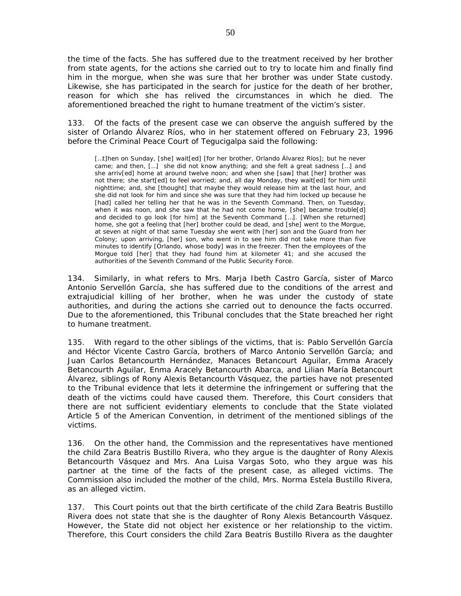the time of the facts. She has suffered due to the treatment received by her brother from state agents, for the actions she carried out to try to locate him and finally find him in the morgue, when she was sure that her brother was under State custody. Likewise, she has participated in the search for justice for the death of her brother, reason for which she has relived the circumstances in which he died. The aforementioned breached the right to humane treatment of the victim's sister.

133. Of the facts of the present case we can observe the anguish suffered by the sister of Orlando Álvarez Ríos, who in her statement offered on February 23, 1996 before the Criminal Peace Court of Tegucigalpa said the following:

[...t]hen on Sunday, [she] wait[ed] [for her brother, Orlando Álvarez Ríos]; but he never came; and then, […] she did not know anything; and she felt a great sadness […] and she arriv[ed] home at around twelve noon; and when she [saw] that [her] brother was not there; she start[ed] to feel worried; and, all day Monday, they wait[ed] for him until nighttime; and, she [thought] that maybe they would release him at the last hour, and she did not look for him and since she was sure that they had him locked up because he [had] called her telling her that he was in the Seventh Command. Then, on Tuesday, when it was noon, and she saw that he had not come home, [she] became trouble[d] and decided to go look [for him] at the Seventh Command […]. [When she returned] home, she got a feeling that [her] brother could be dead, and [she] went to the Morgue, at seven at night of that same Tuesday she went with [her] son and the Guard from her Colony; upon arriving, [her] son, who went in to see him did not take more than five minutes to identify [Orlando, whose body] was in the freezer. Then the employees of the Morgue told [her] that they had found him at kilometer 41; and she accused the authorities of the Seventh Command of the Public Security Force.

134. Similarly, in what refers to Mrs. Marja Ibeth Castro García, sister of Marco Antonio Servellón García, she has suffered due to the conditions of the arrest and extrajudicial killing of her brother, when he was under the custody of state authorities, and during the actions she carried out to denounce the facts occurred. Due to the aforementioned, this Tribunal concludes that the State breached her right to humane treatment.

135. With regard to the other siblings of the victims, that is: Pablo Servellón García and Héctor Vicente Castro García, brothers of Marco Antonio Servellón García; and Juan Carlos Betancourth Hernández, Manaces Betancourt Aguilar, Emma Aracely Betancourth Aguilar, Enma Aracely Betancourth Abarca, and Lilian María Betancourt Álvarez, siblings of Rony Alexis Betancourth Vásquez, the parties have not presented to the Tribunal evidence that lets it determine the infringement or suffering that the death of the victims could have caused them. Therefore, this Court considers that there are not sufficient evidentiary elements to conclude that the State violated Article 5 of the American Convention, in detriment of the mentioned siblings of the victims.

136. On the other hand, the Commission and the representatives have mentioned the child Zara Beatris Bustillo Rivera, who they argue is the daughter of Rony Alexis Betancourth Vásquez and Mrs. Ana Luisa Vargas Soto, who they argue was his partner at the time of the facts of the present case, as alleged victims. The Commission also included the mother of the child, Mrs. Norma Estela Bustillo Rivera, as an alleged victim.

137. This Court points out that the birth certificate of the child Zara Beatris Bustillo Rivera does not state that she is the daughter of Rony Alexis Betancourth Vásquez. However, the State did not object her existence or her relationship to the victim. Therefore, this Court considers the child Zara Beatris Bustillo Rivera as the daughter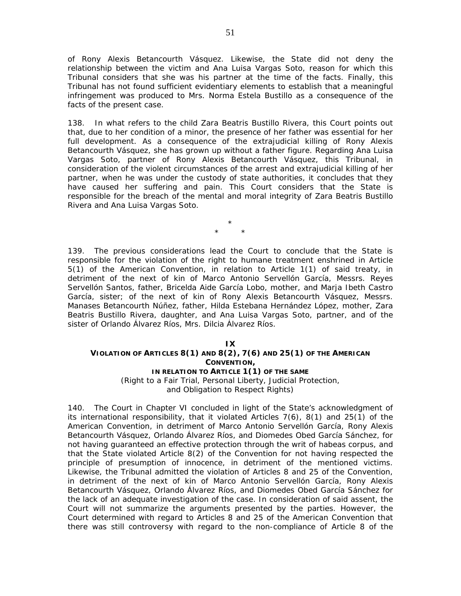of Rony Alexis Betancourth Vásquez. Likewise, the State did not deny the relationship between the victim and Ana Luisa Vargas Soto, reason for which this Tribunal considers that she was his partner at the time of the facts. Finally, this Tribunal has not found sufficient evidentiary elements to establish that a meaningful infringement was produced to Mrs. Norma Estela Bustillo as a consequence of the facts of the present case.

138. In what refers to the child Zara Beatris Bustillo Rivera, this Court points out that, due to her condition of a minor, the presence of her father was essential for her full development. As a consequence of the extrajudicial killing of Rony Alexis Betancourth Vásquez, she has grown up without a father figure. Regarding Ana Luisa Vargas Soto, partner of Rony Alexis Betancourth Vásquez, this Tribunal, in consideration of the violent circumstances of the arrest and extrajudicial killing of her partner, when he was under the custody of state authorities, it concludes that they have caused her suffering and pain. This Court considers that the State is responsible for the breach of the mental and moral integrity of Zara Beatris Bustillo Rivera and Ana Luisa Vargas Soto.

> \* \* \*

139. The previous considerations lead the Court to conclude that the State is responsible for the violation of the right to humane treatment enshrined in Article 5(1) of the American Convention, in relation to Article 1(1) of said treaty, in detriment of the next of kin of Marco Antonio Servellón García, Messrs. Reyes Servellón Santos, father, Bricelda Aide García Lobo, mother, and Marja Ibeth Castro García, sister; of the next of kin of Rony Alexis Betancourth Vásquez, Messrs. Manases Betancourth Núñez, father, Hilda Estebana Hernández López, mother, Zara Beatris Bustillo Rivera, daughter, and Ana Luisa Vargas Soto, partner, and of the sister of Orlando Álvarez Ríos, Mrs. Dilcia Álvarez Ríos.

### **IX**

# **VIOLATION OF ARTICLES 8(1) AND 8(2), 7(6) AND 25(1) OF THE AMERICAN CONVENTION,**

### **IN RELATION TO ARTICLE 1(1) OF THE SAME**

*(Right to a Fair Trial, Personal Liberty, Judicial Protection, and Obligation to Respect Rights)* 

140. The Court in Chapter VI concluded in light of the State's acknowledgment of its international responsibility, that it violated Articles 7(6), 8(1) and 25(1) of the American Convention, in detriment of Marco Antonio Servellón García, Rony Alexis Betancourth Vásquez, Orlando Álvarez Ríos, and Diomedes Obed García Sánchez, for not having guaranteed an effective protection through the writ of habeas corpus, and that the State violated Article 8(2) of the Convention for not having respected the principle of presumption of innocence, in detriment of the mentioned victims. Likewise, the Tribunal admitted the violation of Articles 8 and 25 of the Convention, in detriment of the next of kin of Marco Antonio Servellón García, Rony Alexis Betancourth Vásquez, Orlando Álvarez Ríos, and Diomedes Obed García Sánchez for the lack of an adequate investigation of the case. In consideration of said assent, the Court will not summarize the arguments presented by the parties. However, the Court determined with regard to Articles 8 and 25 of the American Convention that there was still controversy with regard to the non-compliance of Article 8 of the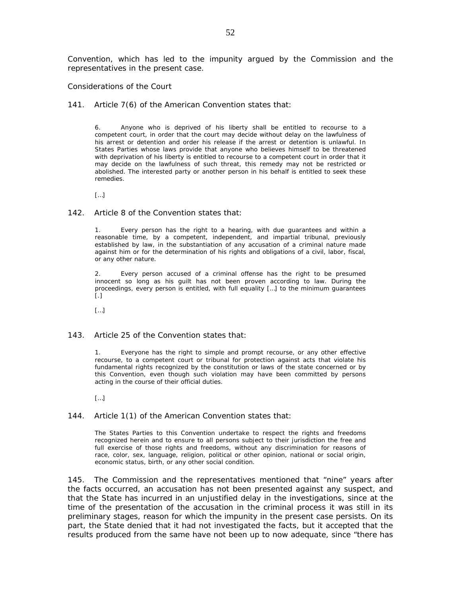Convention, which has led to the impunity argued by the Commission and the representatives in the present case.

#### *Considerations of the Court*

141. Article 7(6) of the American Convention states that:

6. Anyone who is deprived of his liberty shall be entitled to recourse to a competent court, in order that the court may decide without delay on the lawfulness of his arrest or detention and order his release if the arrest or detention is unlawful. In States Parties whose laws provide that anyone who believes himself to be threatened with deprivation of his liberty is entitled to recourse to a competent court in order that it may decide on the lawfulness of such threat, this remedy may not be restricted or abolished. The interested party or another person in his behalf is entitled to seek these remedies.

[…]

#### 142. Article 8 of the Convention states that:

1. Every person has the right to a hearing, with due guarantees and within a reasonable time, by a competent, independent, and impartial tribunal, previously established by law, in the substantiation of any accusation of a criminal nature made against him or for the determination of his rights and obligations of a civil, labor, fiscal, or any other nature.

2. Every person accused of a criminal offense has the right to be presumed innocent so long as his guilt has not been proven according to law. During the proceedings, every person is entitled, with full equality […] to the minimum guarantees  $\lceil . \rceil$ 

[…]

#### 143. Article 25 of the Convention states that:

1. Everyone has the right to simple and prompt recourse, or any other effective recourse, to a competent court or tribunal for protection against acts that violate his fundamental rights recognized by the constitution or laws of the state concerned or by this Convention, even though such violation may have been committed by persons acting in the course of their official duties.

[…]

#### 144. Article 1(1) of the American Convention states that:

The States Parties to this Convention undertake to respect the rights and freedoms recognized herein and to ensure to all persons subject to their jurisdiction the free and full exercise of those rights and freedoms, without any discrimination for reasons of race, color, sex, language, religion, political or other opinion, national or social origin, economic status, birth, or any other social condition.

145. The Commission and the representatives mentioned that "nine" years after the facts occurred, an accusation has not been presented against any suspect, and that the State has incurred in an unjustified delay in the investigations, since at the time of the presentation of the accusation in the criminal process it was still in its preliminary stages, reason for which the impunity in the present case persists. On its part, the State denied that it had not investigated the facts, but it accepted that the results produced from the same have not been up to now adequate, since "there has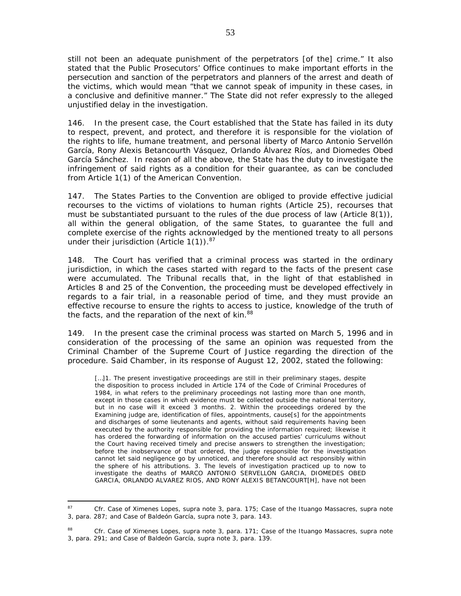still not been an adequate punishment of the perpetrators [of the] crime." It also stated that the Public Prosecutors' Office continues to make important efforts in the persecution and sanction of the perpetrators and planners of the arrest and death of the victims, which would mean "that we cannot speak of impunity in these cases, in a conclusive and definitive manner." The State did not refer expressly to the alleged unjustified delay in the investigation.

146. In the present case, the Court established that the State has failed in its duty to respect, prevent, and protect, and therefore it is responsible for the violation of the rights to life, humane treatment, and personal liberty of Marco Antonio Servellón García, Rony Alexis Betancourth Vásquez, Orlando Álvarez Ríos, and Diomedes Obed García Sánchez. In reason of all the above, the State has the duty to investigate the infringement of said rights as a condition for their guarantee, as can be concluded from Article 1(1) of the American Convention.

147. The States Parties to the Convention are obliged to provide effective judicial recourses to the victims of violations to human rights (Article 25), recourses that must be substantiated pursuant to the rules of the due process of law (Article 8(1)), all within the general obligation, of the same States, to guarantee the full and complete exercise of the rights acknowledged by the mentioned treaty to all persons under their jurisdiction (Article  $1(1)$ ).<sup>87</sup>

148. The Court has verified that a criminal process was started in the ordinary jurisdiction, in which the cases started with regard to the facts of the present case were accumulated. The Tribunal recalls that, in the light of that established in Articles 8 and 25 of the Convention, the proceeding must be developed effectively in regards to a fair trial, in a reasonable period of time, and they must provide an effective recourse to ensure the rights to access to justice, knowledge of the truth of the facts, and the reparation of the next of kin.<sup>88</sup>

149. In the present case the criminal process was started on March 5, 1996 and in consideration of the processing of the same an opinion was requested from the Criminal Chamber of the Supreme Court of Justice regarding the direction of the procedure. Said Chamber, in its response of August 12, 2002, stated the following:

[...]1. The present investigative proceedings are still in their preliminary stages, despite the disposition to process included in Article 174 of the Code of Criminal Procedures of 1984, in what refers to the preliminary proceedings not lasting more than one month, except in those cases in which evidence must be collected outside the national territory, but in no case will it exceed 3 months. 2. Within the proceedings ordered by the Examining judge are, identification of files, appointments, cause[s] for the appointments and discharges of some lieutenants and agents, without said requirements having been executed by the authority responsible for providing the information required; likewise it has ordered the forwarding of information on the accused parties' curriculums without the Court having received timely and precise answers to strengthen the investigation; before the inobservance of that ordered, the judge responsible for the investigation cannot let said negligence go by unnoticed, and therefore should act responsibly within the sphere of his attributions. 3. The levels of investigation practiced up to now to investigate the deaths of MARCO ANTONIO SERVELLON GARCIA, DIOMEDES OBED GARCIA, ORLANDO ALVAREZ RIOS, AND RONY ALEXIS BETANCOURT[H], have not been

<sup>87</sup> <sup>87</sup> *Cfr. Case of Ximenes Lopes, supra* note 3, para. 175; *Case of the Ituango Massacres, supra* note 3, para. 287; and *Case of Baldeón García, supra* note 3, para. 143.

<sup>88</sup> *Cfr. Case of Ximenes Lopes, supra* note 3, para. 171; *Case of the Ituango Massacres, supra* note 3, para. 291; and *Case of Baldeón García, supra* note 3, para. 139.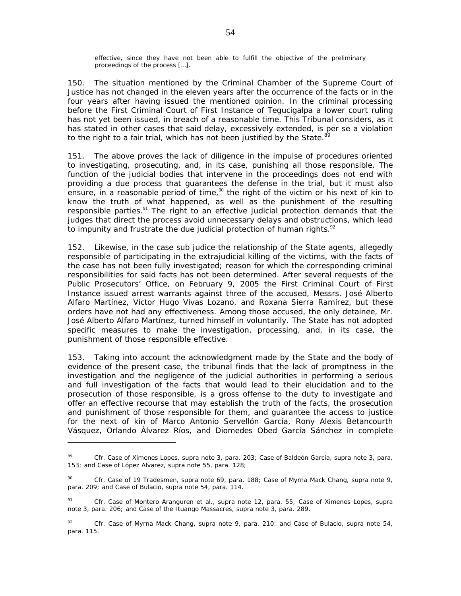effective, since they have not been able to fulfill the objective of the preliminary proceedings of the process […].

150. The situation mentioned by the Criminal Chamber of the Supreme Court of Justice has not changed in the eleven years after the occurrence of the facts or in the four years after having issued the mentioned opinion. In the criminal processing before the First Criminal Court of First Instance of Tegucigalpa a lower court ruling has not yet been issued, in breach of a reasonable time. This Tribunal considers, as it has stated in other cases that said delay, excessively extended, is *per se* a violation to the right to a fair trial, which has not been justified by the State.<sup>89</sup>

151. The above proves the lack of diligence in the impulse of procedures oriented to investigating, prosecuting, and, in its case, punishing all those responsible. The function of the judicial bodies that intervene in the proceedings does not end with providing a due process that guarantees the defense in the trial, but it must also ensure, in a reasonable period of time, $90$  the right of the victim or his next of kin to know the truth of what happened, as well as the punishment of the resulting responsible parties.<sup>91</sup> The right to an effective judicial protection demands that the judges that direct the process avoid unnecessary delays and obstructions, which lead to impunity and frustrate the due judicial protection of human rights. $92$ 

152. Likewise, in the case *sub judice* the relationship of the State agents, allegedly responsible of participating in the extrajudicial killing of the victims, with the facts of the case has not been fully investigated; reason for which the corresponding criminal responsibilities for said facts has not been determined. After several requests of the Public Prosecutors' Office, on February 9, 2005 the First Criminal Court of First Instance issued arrest warrants against three of the accused, Messrs. José Alberto Alfaro Martínez, Víctor Hugo Vivas Lozano, and Roxana Sierra Ramírez, but these orders have not had any effectiveness. Among those accused, the only detainee, Mr. José Alberto Alfaro Martínez, turned himself in voluntarily. The State has not adopted specific measures to make the investigation, processing, and, in its case, the punishment of those responsible effective.

153. Taking into account the acknowledgment made by the State and the body of evidence of the present case, the tribunal finds that the lack of promptness in the investigation and the negligence of the judicial authorities in performing a serious and full investigation of the facts that would lead to their elucidation and to the prosecution of those responsible, is a gross offense to the duty to investigate and offer an effective recourse that may establish the truth of the facts, the prosecution and punishment of those responsible for them, and guarantee the access to justice for the next of kin of Marco Antonio Servellón García, Rony Alexis Betancourth Vásquez, Orlando Álvarez Ríos, and Diomedes Obed García Sánchez in complete

 $\overline{a}$ 

<sup>89</sup> *Cfr. Case of Ximenes Lopes, supra* note 3, para. 203; *Case of Baldeón García, supra* note 3, para. 153; and *Case of López Alvarez, supra* note 55, para. 128;

<sup>90</sup> *Cfr. Case of 19 Tradesmen*, *supra* note 69, para. 188; *Case of Myrna Mack Chang*, *supra* note 9, para. 209; and *Case of Bulacio, supra* note 54, para. 114.

<sup>91</sup> *Cfr. Case of Montero Aranguren et al., supra* note 12, para. 55; *Case of Ximenes Lopes, supra*  note 3, para. 206; and *Case of the Ituango Massacres, supra* note 3, para. 289.

<sup>92</sup> *Cfr. Case of Myrna Mack Chang, supra* note 9, para. 210; and *Case of Bulacio, supra* note 54, para. 115.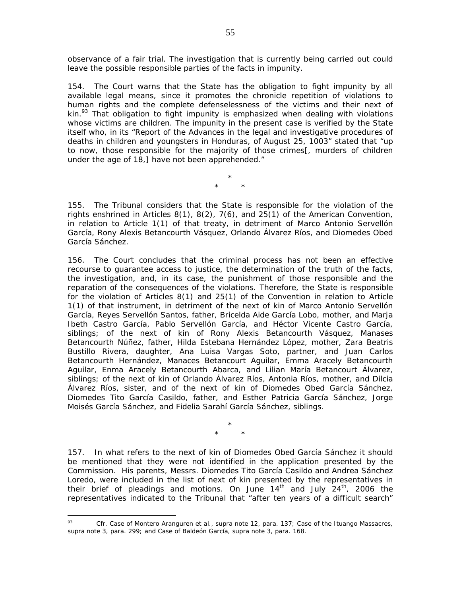observance of a fair trial. The investigation that is currently being carried out could leave the possible responsible parties of the facts in impunity.

154. The Court warns that the State has the obligation to fight impunity by all available legal means, since it promotes the chronicle repetition of violations to human rights and the complete defenselessness of the victims and their next of kin.<sup>93</sup> That obligation to fight impunity is emphasized when dealing with violations whose victims are children. The impunity in the present case is verified by the State itself who, in its "Report of the Advances in the legal and investigative procedures of deaths in children and youngsters in Honduras, of August 25, 1003" stated that "up to now, those responsible for the majority of those crimes[, murders of children under the age of 18,] have not been apprehended."

> \* \* \*

155. The Tribunal considers that the State is responsible for the violation of the rights enshrined in Articles 8(1), 8(2), 7(6), and 25(1) of the American Convention, in relation to Article 1(1) of that treaty, in detriment of Marco Antonio Servellón García, Rony Alexis Betancourth Vásquez, Orlando Álvarez Ríos, and Diomedes Obed García Sánchez.

156. The Court concludes that the criminal process has not been an effective recourse to guarantee access to justice, the determination of the truth of the facts, the investigation, and, in its case, the punishment of those responsible and the reparation of the consequences of the violations. Therefore, the State is responsible for the violation of Articles 8(1) and 25(1) of the Convention in relation to Article 1(1) of that instrument, in detriment of the next of kin of Marco Antonio Servellón García, Reyes Servellón Santos, father, Bricelda Aide García Lobo, mother, and Marja Ibeth Castro García, Pablo Servellón García, and Héctor Vicente Castro García, siblings; of the next of kin of Rony Alexis Betancourth Vásquez, Manases Betancourth Núñez, father, Hilda Estebana Hernández López, mother, Zara Beatris Bustillo Rivera, daughter, Ana Luisa Vargas Soto, partner, and Juan Carlos Betancourth Hernández, Manaces Betancourt Aguilar, Emma Aracely Betancourth Aguilar, Enma Aracely Betancourth Abarca, and Lilian María Betancourt Álvarez, siblings; of the next of kin of Orlando Álvarez Ríos, Antonia Ríos, mother, and Dilcia Álvarez Ríos, sister, and of the next of kin of Diomedes Obed García Sánchez, Diomedes Tito García Casildo, father, and Esther Patricia García Sánchez, Jorge Moisés García Sánchez, and Fidelia Sarahí García Sánchez, siblings.

> \* \* \*

157. In what refers to the next of kin of Diomedes Obed García Sánchez it should be mentioned that they were not identified in the application presented by the Commission. His parents, Messrs. Diomedes Tito García Casildo and Andrea Sánchez Loredo, were included in the list of next of kin presented by the representatives in their brief of pleadings and motions. On June  $14<sup>th</sup>$  and July  $24<sup>th</sup>$ , 2006 the representatives indicated to the Tribunal that "after ten years of a difficult search"

 $\overline{a}$ 

<sup>93</sup> *Cfr. Case of Montero Aranguren et al., supra* note 12, para. 137; *Case of the Ituango Massacres, supra* note 3, para. 299; and *Case of Baldeón García, supra* note 3, para. 168.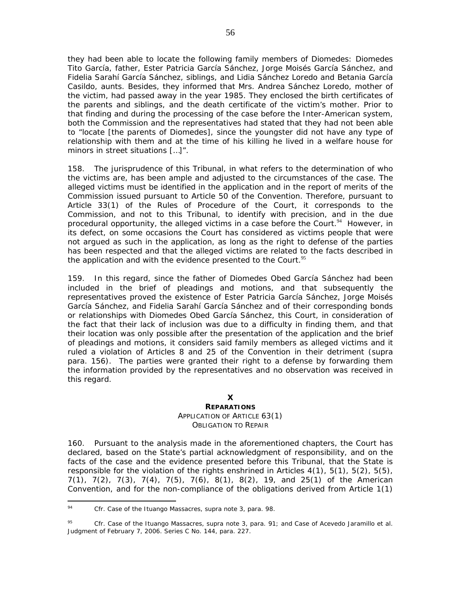they had been able to locate the following family members of Diomedes: Diomedes Tito García, father, Ester Patricia García Sánchez, Jorge Moisés García Sánchez, and Fidelia Sarahí García Sánchez, siblings, and Lidia Sánchez Loredo and Betania García Casildo, aunts. Besides, they informed that Mrs. Andrea Sánchez Loredo, mother of the victim, had passed away in the year 1985. They enclosed the birth certificates of the parents and siblings, and the death certificate of the victim's mother. Prior to that finding and during the processing of the case before the Inter-American system, both the Commission and the representatives had stated that they had not been able to "locate [the parents of Diomedes], since the youngster did not have any type of relationship with them and at the time of his killing he lived in a welfare house for minors in street situations […]".

158. The jurisprudence of this Tribunal, in what refers to the determination of who the victims are, has been ample and adjusted to the circumstances of the case. The alleged victims must be identified in the application and in the report of merits of the Commission issued pursuant to Article 50 of the Convention. Therefore, pursuant to Article 33(1) of the Rules of Procedure of the Court, it corresponds to the Commission, and not to this Tribunal, to identify with precision, and in the due procedural opportunity, the alleged victims in a case before the Court.<sup>94</sup> However, in its defect, on some occasions the Court has considered as victims people that were not argued as such in the application, as long as the right to defense of the parties has been respected and that the alleged victims are related to the facts described in the application and with the evidence presented to the Court. $95$ 

159. In this regard, since the father of Diomedes Obed García Sánchez had been included in the brief of pleadings and motions, and that subsequently the representatives proved the existence of Ester Patricia García Sánchez, Jorge Moisés García Sánchez, and Fidelia Sarahí García Sánchez and of their corresponding bonds or relationships with Diomedes Obed García Sánchez, this Court, in consideration of the fact that their lack of inclusion was due to a difficulty in finding them, and that their location was only possible after the presentation of the application and the brief of pleadings and motions, it considers said family members as alleged victims and it ruled a violation of Articles 8 and 25 of the Convention in their detriment (*supra* para. 156). The parties were granted their right to a defense by forwarding them the information provided by the representatives and no observation was received in this regard.

### **X**

#### **REPARATIONS**

### *APPLICATION OF ARTICLE 63(1) OBLIGATION TO REPAIR*

160. Pursuant to the analysis made in the aforementioned chapters, the Court has declared, based on the State's partial acknowledgment of responsibility, and on the facts of the case and the evidence presented before this Tribunal, that the State is responsible for the violation of the rights enshrined in Articles  $4(1)$ ,  $5(1)$ ,  $5(2)$ ,  $5(5)$ , 7(1), 7(2), 7(3), 7(4), 7(5), 7(6), 8(1), 8(2), 19, and 25(1) of the American Convention, and for the non-compliance of the obligations derived from Article 1(1)

<sup>94</sup> <sup>94</sup> *Cfr. Case of the Ituango Massacres*, *supra* note 3, para. 98.

<sup>95</sup> *Cfr. Case of the Ituango Massacres*, *supra* note 3, para. 91; and *Case of Acevedo Jaramillo et al.*  Judgment of February 7, 2006. Series C No. 144, para. 227.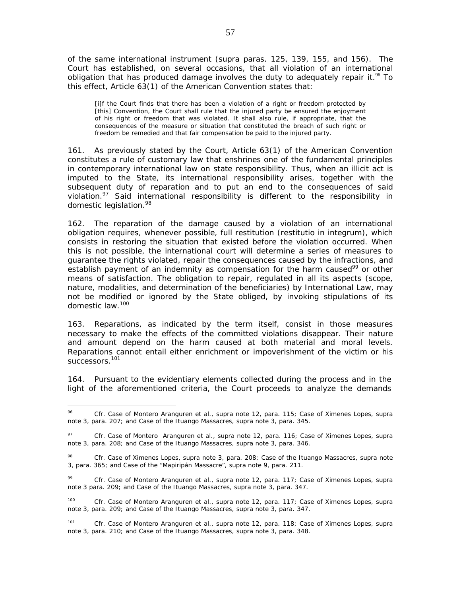of the same international instrument (*supra* paras. 125, 139, 155, and 156). The Court has established, on several occasions, that all violation of an international obligation that has produced damage involves the duty to adequately repair it.<sup>96</sup> To this effect, Article 63(1) of the American Convention states that:

[i]f the Court finds that there has been a violation of a right or freedom protected by [this] Convention, the Court shall rule that the injured party be ensured the enjoyment of his right or freedom that was violated. It shall also rule, if appropriate, that the consequences of the measure or situation that constituted the breach of such right or freedom be remedied and that fair compensation be paid to the injured party.

161. As previously stated by the Court, Article 63(1) of the American Convention constitutes a rule of customary law that enshrines one of the fundamental principles in contemporary international law on state responsibility. Thus, when an illicit act is imputed to the State, its international responsibility arises, together with the subsequent duty of reparation and to put an end to the consequences of said violation.<sup>97</sup> Said international responsibility is different to the responsibility in domestic legislation.<sup>98</sup>

162. The reparation of the damage caused by a violation of an international obligation requires, whenever possible, full restitution (*restitutio in integrum),* which consists in restoring the situation that existed before the violation occurred. When this is not possible, the international court will determine a series of measures to guarantee the rights violated, repair the consequences caused by the infractions, and establish payment of an indemnity as compensation for the harm caused<sup>99</sup> or other means of satisfaction. The obligation to repair, regulated in all its aspects (scope, nature, modalities, and determination of the beneficiaries) by International Law, may not be modified or ignored by the State obliged, by invoking stipulations of its domestic law.100

163. Reparations, as indicated by the term itself, consist in those measures necessary to make the effects of the committed violations disappear. Their nature and amount depend on the harm caused at both material and moral levels. Reparations cannot entail either enrichment or impoverishment of the victim or his successors.<sup>101</sup>

164. Pursuant to the evidentiary elements collected during the process and in the light of the aforementioned criteria, the Court proceeds to analyze the demands

 $\overline{a}$ 

<sup>96</sup> *Cfr. Case of Montero Aranguren et al., supra* note 12, para. 115; *Case of Ximenes Lopes, supra* note 3, para. 207; and *Case of the Ituango Massacres, supra* note 3, para. 345.

<sup>97</sup> *Cfr. Case of Montero Aranguren et al., supra* note 12, para. 116; *Case of Ximenes Lopes, supra*  note 3, para. 208; and *Case of the Ituango Massacres, supra* note 3, para. 346.

<sup>98</sup> *Cfr. Case of Ximenes Lopes, supra* note 3, para. 208; *Case of the Ituango Massacres, supra* note 3, para. 365; and *Case of the "Mapiripán Massacre", supra* note 9, para. 211.

<sup>99</sup> *Cfr. Case of Montero Aranguren et al., supra* note 12, para. 117; *Case of Ximenes Lopes, supra* note 3 para. 209; and *Case of the Ituango Massacres, supra* note 3, para. 347.

<sup>100</sup> *Cfr. Case of Montero Aranguren et al., supra* note 12, para. 117; *Case of Ximenes Lopes, supra* note 3, para. 209; and *Case of the Ituango Massacres, supra* note 3, para. 347.

<sup>101</sup> *Cfr. Case of Montero Aranguren et al., supra* note 12, para. 118; *Case of Ximenes Lopes, supra* note 3, para. 210; and *Case of the Ituango Massacres, supra* note 3, para. 348.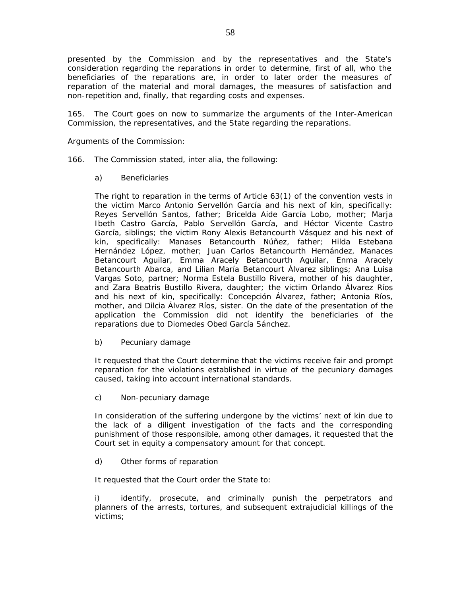presented by the Commission and by the representatives and the State's consideration regarding the reparations in order to determine, first of all, who the beneficiaries of the reparations are, in order to later order the measures of reparation of the material and moral damages, the measures of satisfaction and non-repetition and, finally, that regarding costs and expenses.

165. The Court goes on now to summarize the arguments of the Inter-American Commission, the representatives, and the State regarding the reparations.

*Arguments of the Commission:* 

- 166. The Commission stated, *inter alia*, the following:
	- a) Beneficiaries

The right to reparation in the terms of Article 63(1) of the convention vests in the victim Marco Antonio Servellón García and his next of kin, specifically: Reyes Servellón Santos, father; Bricelda Aide García Lobo, mother; Marja Ibeth Castro García, Pablo Servellón García, and Héctor Vicente Castro García, siblings; the victim Rony Alexis Betancourth Vásquez and his next of kin, specifically: Manases Betancourth Núñez, father; Hilda Estebana Hernández López, mother; Juan Carlos Betancourth Hernández, Manaces Betancourt Aguilar, Emma Aracely Betancourth Aguilar, Enma Aracely Betancourth Abarca, and Lilian María Betancourt Álvarez siblings; Ana Luisa Vargas Soto, partner; Norma Estela Bustillo Rivera, mother of his daughter, and Zara Beatris Bustillo Rivera, daughter; the victim Orlando Álvarez Ríos and his next of kin, specifically: Concepción Álvarez, father; Antonia Ríos, mother, and Dilcia Álvarez Ríos, sister. On the date of the presentation of the application the Commission did not identify the beneficiaries of the reparations due to Diomedes Obed García Sánchez.

b) Pecuniary damage

It requested that the Court determine that the victims receive fair and prompt reparation for the violations established in virtue of the pecuniary damages caused, taking into account international standards.

c) Non-pecuniary damage

In consideration of the suffering undergone by the victims' next of kin due to the lack of a diligent investigation of the facts and the corresponding punishment of those responsible, among other damages, it requested that the Court set in equity a compensatory amount for that concept.

d) Other forms of reparation

It requested that the Court order the State to:

i) identify, prosecute, and criminally punish the perpetrators and planners of the arrests, tortures, and subsequent extrajudicial killings of the victims;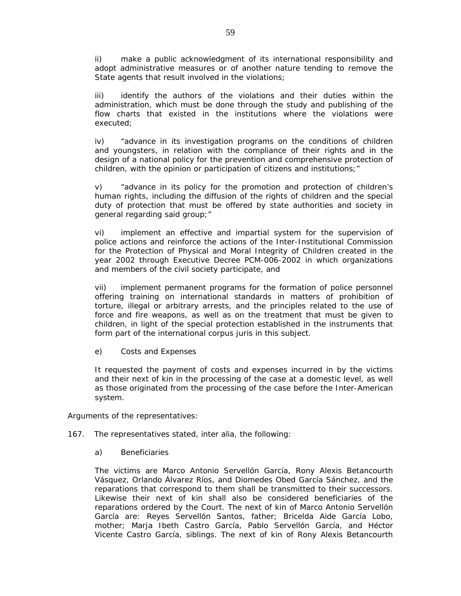ii) make a public acknowledgment of its international responsibility and adopt administrative measures or of another nature tending to remove the State agents that result involved in the violations;

iii) identify the authors of the violations and their duties within the administration, which must be done through the study and publishing of the flow charts that existed in the institutions where the violations were executed;

iv) "advance in its investigation programs on the conditions of children and youngsters, in relation with the compliance of their rights and in the design of a national policy for the prevention and comprehensive protection of children, with the opinion or participation of citizens and institutions;"

v) "advance in its policy for the promotion and protection of children's human rights, including the diffusion of the rights of children and the special duty of protection that must be offered by state authorities and society in general regarding said group;"

vi) implement an effective and impartial system for the supervision of police actions and reinforce the actions of the Inter-Institutional Commission for the Protection of Physical and Moral Integrity of Children created in the year 2002 through Executive Decree PCM-006-2002 in which organizations and members of the civil society participate, and

vii) implement permanent programs for the formation of police personnel offering training on international standards in matters of prohibition of torture, illegal or arbitrary arrests, and the principles related to the use of force and fire weapons, as well as on the treatment that must be given to children, in light of the special protection established in the instruments that form part of the international *corpus juris* in this subject.

e) Costs and Expenses

It requested the payment of costs and expenses incurred in by the victims and their next of kin in the processing of the case at a domestic level, as well as those originated from the processing of the case before the Inter-American system.

*Arguments of the representatives:* 

- 167. The representatives stated, *inter alia,* the following:
	- a) Beneficiaries

The victims are Marco Antonio Servellón García, Rony Alexis Betancourth Vásquez, Orlando Álvarez Ríos, and Diomedes Obed García Sánchez, and the reparations that correspond to them shall be transmitted to their successors. Likewise their next of kin shall also be considered beneficiaries of the reparations ordered by the Court. The next of kin of Marco Antonio Servellón García are: Reyes Servellón Santos, father; Bricelda Aide García Lobo, mother; Marja Ibeth Castro García, Pablo Servellón García, and Héctor Vicente Castro García, siblings. The next of kin of Rony Alexis Betancourth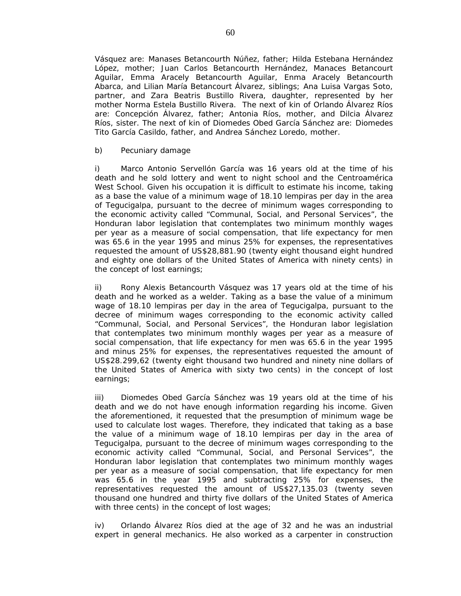Vásquez are: Manases Betancourth Núñez, father; Hilda Estebana Hernández López, mother; Juan Carlos Betancourth Hernández, Manaces Betancourt Aguilar, Emma Aracely Betancourth Aguilar, Enma Aracely Betancourth Abarca, and Lilian María Betancourt Álvarez, siblings; Ana Luisa Vargas Soto, partner, and Zara Beatris Bustillo Rivera, daughter, represented by her mother Norma Estela Bustillo Rivera. The next of kin of Orlando Álvarez Ríos are: Concepción Álvarez, father; Antonia Ríos, mother, and Dilcia Álvarez Ríos, sister. The next of kin of Diomedes Obed García Sánchez are: Diomedes Tito García Casildo, father, and Andrea Sánchez Loredo, mother.

b) Pecuniary damage

i) Marco Antonio Servellón García was 16 years old at the time of his death and he sold lottery and went to night school and the Centroamérica West School. Given his occupation it is difficult to estimate his income, taking as a base the value of a minimum wage of 18.10 lempiras per day in the area of Tegucigalpa, pursuant to the decree of minimum wages corresponding to the economic activity called "Communal, Social, and Personal Services", the Honduran labor legislation that contemplates two minimum monthly wages per year as a measure of social compensation, that life expectancy for men was 65.6 in the year 1995 and minus 25% for expenses, the representatives requested the amount of US\$28,881.90 (twenty eight thousand eight hundred and eighty one dollars of the United States of America with ninety cents) in the concept of lost earnings;

ii) Rony Alexis Betancourth Vásquez was 17 years old at the time of his death and he worked as a welder. Taking as a base the value of a minimum wage of 18.10 lempiras per day in the area of Tegucigalpa, pursuant to the decree of minimum wages corresponding to the economic activity called "Communal, Social, and Personal Services", the Honduran labor legislation that contemplates two minimum monthly wages per year as a measure of social compensation, that life expectancy for men was 65.6 in the year 1995 and minus 25% for expenses, the representatives requested the amount of US\$28.299,62 (twenty eight thousand two hundred and ninety nine dollars of the United States of America with sixty two cents) in the concept of lost earnings;

iii) Diomedes Obed García Sánchez was 19 years old at the time of his death and we do not have enough information regarding his income. Given the aforementioned, it requested that the presumption of minimum wage be used to calculate lost wages. Therefore, they indicated that taking as a base the value of a minimum wage of 18.10 lempiras per day in the area of Tegucigalpa, pursuant to the decree of minimum wages corresponding to the economic activity called "Communal, Social, and Personal Services", the Honduran labor legislation that contemplates two minimum monthly wages per year as a measure of social compensation, that life expectancy for men was 65.6 in the year 1995 and subtracting 25% for expenses, the representatives requested the amount of US\$27,135.03 (twenty seven thousand one hundred and thirty five dollars of the United States of America with three cents) in the concept of lost wages;

iv) Orlando Álvarez Ríos died at the age of 32 and he was an industrial expert in general mechanics. He also worked as a carpenter in construction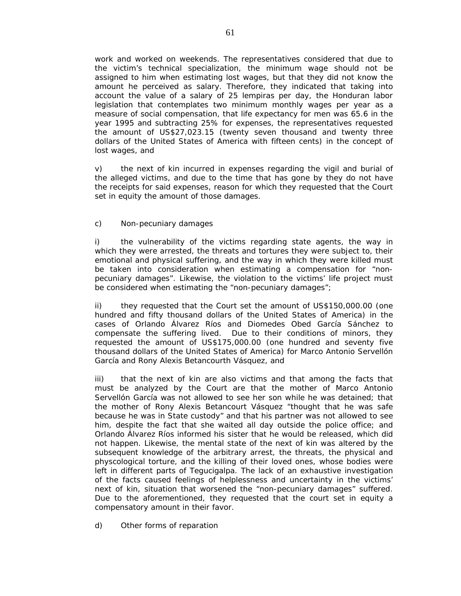work and worked on weekends. The representatives considered that due to the victim's technical specialization, the minimum wage should not be assigned to him when estimating lost wages, but that they did not know the amount he perceived as salary. Therefore, they indicated that taking into account the value of a salary of 25 lempiras per day, the Honduran labor legislation that contemplates two minimum monthly wages per year as a measure of social compensation, that life expectancy for men was 65.6 in the year 1995 and subtracting 25% for expenses, the representatives requested the amount of US\$27,023.15 (twenty seven thousand and twenty three dollars of the United States of America with fifteen cents) in the concept of lost wages, and

v) the next of kin incurred in expenses regarding the vigil and burial of the alleged victims, and due to the time that has gone by they do not have the receipts for said expenses, reason for which they requested that the Court set in equity the amount of those damages.

c) Non-pecuniary damages

i) the vulnerability of the victims regarding state agents, the way in which they were arrested, the threats and tortures they were subject to, their emotional and physical suffering, and the way in which they were killed must be taken into consideration when estimating a compensation for "nonpecuniary damages". Likewise, the violation to the victims' life project must be considered when estimating the "non-pecuniary damages";

ii) they requested that the Court set the amount of US\$150,000.00 (one hundred and fifty thousand dollars of the United States of America) in the cases of Orlando Álvarez Ríos and Diomedes Obed García Sánchez to compensate the suffering lived. Due to their conditions of minors, they requested the amount of US\$175,000.00 (one hundred and seventy five thousand dollars of the United States of America) for Marco Antonio Servellón García and Rony Alexis Betancourth Vásquez, and

iii) that the next of kin are also victims and that among the facts that must be analyzed by the Court are that the mother of Marco Antonio Servellón García was not allowed to see her son while he was detained; that the mother of Rony Alexis Betancourt Vásquez "thought that he was safe because he was in State custody" and that his partner was not allowed to see him, despite the fact that she waited all day outside the police office; and Orlando Álvarez Ríos informed his sister that he would be released, which did not happen. Likewise, the mental state of the next of kin was altered by the subsequent knowledge of the arbitrary arrest, the threats, the physical and physcological torture, and the killing of their loved ones, whose bodies were left in different parts of Tegucigalpa. The lack of an exhaustive investigation of the facts caused feelings of helplessness and uncertainty in the victims' next of kin, situation that worsened the "non-pecuniary damages" suffered. Due to the aforementioned, they requested that the court set in equity a compensatory amount in their favor.

d) Other forms of reparation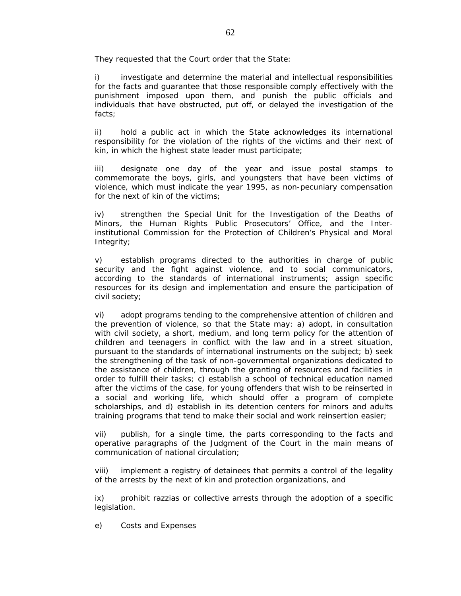They requested that the Court order that the State:

investigate and determine the material and intellectual responsibilities for the facts and guarantee that those responsible comply effectively with the punishment imposed upon them, and punish the public officials and individuals that have obstructed, put off, or delayed the investigation of the facts;

ii) hold a public act in which the State acknowledges its international responsibility for the violation of the rights of the victims and their next of kin, in which the highest state leader must participate;

iii) designate one day of the year and issue postal stamps to commemorate the boys, girls, and youngsters that have been victims of violence, which must indicate the year 1995, as non-pecuniary compensation for the next of kin of the victims;

iv) strengthen the Special Unit for the Investigation of the Deaths of Minors, the Human Rights Public Prosecutors' Office, and the Interinstitutional Commission for the Protection of Children's Physical and Moral Integrity;

v) establish programs directed to the authorities in charge of public security and the fight against violence, and to social communicators, according to the standards of international instruments; assign specific resources for its design and implementation and ensure the participation of civil society;

vi) adopt programs tending to the comprehensive attention of children and the prevention of violence, so that the State may: a) adopt, in consultation with civil society, a short, medium, and long term policy for the attention of children and teenagers in conflict with the law and in a street situation, pursuant to the standards of international instruments on the subject; b) seek the strengthening of the task of non-governmental organizations dedicated to the assistance of children, through the granting of resources and facilities in order to fulfill their tasks; c) establish a school of technical education named after the victims of the case, for young offenders that wish to be reinserted in a social and working life, which should offer a program of complete scholarships, and d) establish in its detention centers for minors and adults training programs that tend to make their social and work reinsertion easier;

vii) publish, for a single time, the parts corresponding to the facts and operative paragraphs of the Judgment of the Court in the main means of communication of national circulation;

viii) implement a registry of detainees that permits a control of the legality of the arrests by the next of kin and protection organizations, and

ix) prohibit razzias or collective arrests through the adoption of a specific legislation.

e) Costs and Expenses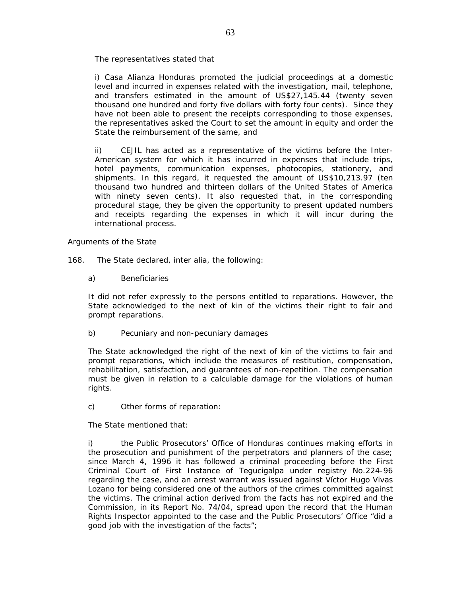The representatives stated that

i) Casa Alianza Honduras promoted the judicial proceedings at a domestic level and incurred in expenses related with the investigation, mail, telephone, and transfers estimated in the amount of US\$27,145.44 (twenty seven thousand one hundred and forty five dollars with forty four cents). Since they have not been able to present the receipts corresponding to those expenses, the representatives asked the Court to set the amount in equity and order the State the reimbursement of the same, and

ii) CEJIL has acted as a representative of the victims before the Inter-American system for which it has incurred in expenses that include trips, hotel payments, communication expenses, photocopies, stationery, and shipments. In this regard, it requested the amount of US\$10,213.97 (ten thousand two hundred and thirteen dollars of the United States of America with ninety seven cents). It also requested that, in the corresponding procedural stage, they be given the opportunity to present updated numbers and receipts regarding the expenses in which it will incur during the international process.

### *Arguments of the State*

- 168. The State declared, *inter alia*, the following:
	- a) Beneficiaries

It did not refer expressly to the persons entitled to reparations. However, the State acknowledged to the next of kin of the victims their right to fair and prompt reparations.

b) Pecuniary and non-pecuniary damages

The State acknowledged the right of the next of kin of the victims to fair and prompt reparations, which include the measures of restitution, compensation, rehabilitation, satisfaction, and guarantees of non-repetition. The compensation must be given in relation to a calculable damage for the violations of human rights.

c) Other forms of reparation:

The State mentioned that:

i) the Public Prosecutors' Office of Honduras continues making efforts in the prosecution and punishment of the perpetrators and planners of the case; since March 4, 1996 it has followed a criminal proceeding before the First Criminal Court of First Instance of Tegucigalpa under registry No.224-96 regarding the case, and an arrest warrant was issued against Víctor Hugo Vivas Lozano for being considered one of the authors of the crimes committed against the victims. The criminal action derived from the facts has not expired and the Commission, in its Report No. 74/04, spread upon the record that the Human Rights Inspector appointed to the case and the Public Prosecutors' Office "did a good job with the investigation of the facts";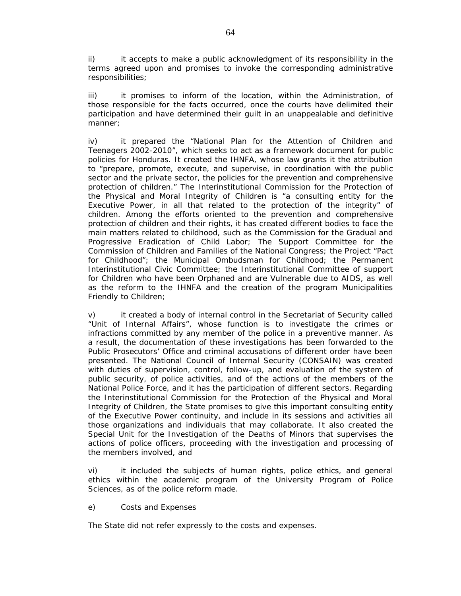ii) it accepts to make a public acknowledgment of its responsibility in the terms agreed upon and promises to invoke the corresponding administrative responsibilities;

iii) it promises to inform of the location, within the Administration, of those responsible for the facts occurred, once the courts have delimited their participation and have determined their guilt in an unappealable and definitive manner;

iv) it prepared the "National Plan for the Attention of Children and Teenagers 2002-2010", which seeks to act as a framework document for public policies for Honduras. It created the IHNFA, whose law grants it the attribution to "prepare, promote, execute, and supervise, in coordination with the public sector and the private sector, the policies for the prevention and comprehensive protection of children." The Interinstitutional Commission for the Protection of the Physical and Moral Integrity of Children is "a consulting entity for the Executive Power, in all that related to the protection of the integrity" of children. Among the efforts oriented to the prevention and comprehensive protection of children and their rights, it has created different bodies to face the main matters related to childhood, such as the Commission for the Gradual and Progressive Eradication of Child Labor; The Support Committee for the Commission of Children and Families of the National Congress; the Project "Pact for Childhood"; the Municipal Ombudsman for Childhood; the Permanent Interinstitutional Civic Committee; the Interinstitutional Committee of support for Children who have been Orphaned and are Vulnerable due to AIDS, as well as the reform to the IHNFA and the creation of the program Municipalities Friendly to Children;

v) it created a body of internal control in the Secretariat of Security called "Unit of Internal Affairs", whose function is to investigate the crimes or infractions committed by any member of the police in a preventive manner. As a result, the documentation of these investigations has been forwarded to the Public Prosecutors' Office and criminal accusations of different order have been presented. The National Council of Internal Security (CONSAIN) was created with duties of supervision, control, follow-up, and evaluation of the system of public security, of police activities, and of the actions of the members of the National Police Force, and it has the participation of different sectors. Regarding the Interinstitutional Commission for the Protection of the Physical and Moral Integrity of Children, the State promises to give this important consulting entity of the Executive Power continuity, and include in its sessions and activities all those organizations and individuals that may collaborate. It also created the Special Unit for the Investigation of the Deaths of Minors that supervises the actions of police officers, proceeding with the investigation and processing of the members involved, and

vi) it included the subjects of human rights, police ethics, and general ethics within the academic program of the University Program of Police Sciences, as of the police reform made.

e) Costs and Expenses

The State did not refer expressly to the costs and expenses.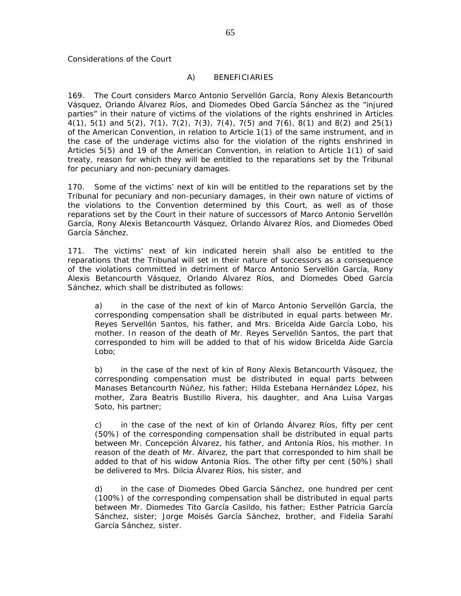# *A) BENEFICIARIES*

169. The Court considers Marco Antonio Servellón García, Rony Alexis Betancourth Vásquez, Orlando Álvarez Ríos, and Diomedes Obed García Sánchez as the "injured parties" in their nature of victims of the violations of the rights enshrined in Articles 4(1), 5(1) and 5(2), 7(1), 7(2), 7(3), 7(4), 7(5) and 7(6), 8(1) and 8(2) and 25(1) of the American Convention, in relation to Article 1(1) of the same instrument, and in the case of the underage victims also for the violation of the rights enshrined in Articles 5(5) and 19 of the American Convention, in relation to Article 1(1) of said treaty, reason for which they will be entitled to the reparations set by the Tribunal for pecuniary and non-pecuniary damages.

170. Some of the victims' next of kin will be entitled to the reparations set by the Tribunal for pecuniary and non-pecuniary damages, in their own nature of victims of the violations to the Convention determined by this Court, as well as of those reparations set by the Court in their nature of successors of Marco Antonio Servellón García, Rony Alexis Betancourth Vásquez, Orlando Álvarez Ríos, and Diomedes Obed García Sánchez.

171. The victims' next of kin indicated herein shall also be entitled to the reparations that the Tribunal will set in their nature of successors as a consequence of the violations committed in detriment of Marco Antonio Servellón García, Rony Alexis Betancourth Vásquez, Orlando Álvarez Ríos, and Diomedes Obed García Sánchez, which shall be distributed as follows:

a) in the case of the next of kin of Marco Antonio Servellón García, the corresponding compensation shall be distributed in equal parts between Mr. Reyes Servellón Santos, his father, and Mrs. Bricelda Aide García Lobo, his mother. In reason of the death of Mr. Reyes Servellón Santos, the part that corresponded to him will be added to that of his widow Bricelda Aide García Lobo;

b) in the case of the next of kin of Rony Alexis Betancourth Vásquez, the corresponding compensation must be distributed in equal parts between Manases Betancourth Núñez, his father; Hilda Estebana Hernández López, his mother, Zara Beatris Bustillo Rivera, his daughter, and Ana Luisa Vargas Soto, his partner;

c) in the case of the next of kin of Orlando Álvarez Ríos, fifty per cent (50%) of the corresponding compensation shall be distributed in equal parts between Mr. Concepción Álvarez, his father, and Antonia Ríos, his mother. In reason of the death of Mr. Álvarez, the part that corresponded to him shall be added to that of his widow Antonia Ríos. The other fifty per cent (50%) shall be delivered to Mrs. Dilcia Álvarez Ríos, his sister, and

d) in the case of Diomedes Obed García Sánchez, one hundred per cent (100%) of the corresponding compensation shall be distributed in equal parts between Mr. Diomedes Tito García Casildo, his father; Esther Patricia García Sánchez, sister; Jorge Moisés García Sánchez, brother, and Fidelia Sarahí García Sánchez, sister.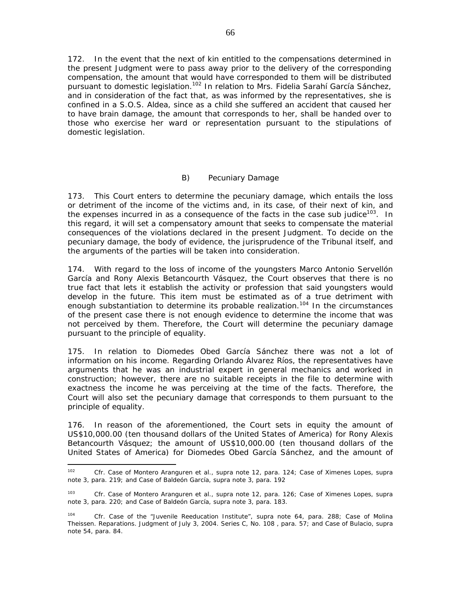172. In the event that the next of kin entitled to the compensations determined in the present Judgment were to pass away prior to the delivery of the corresponding compensation, the amount that would have corresponded to them will be distributed pursuant to domestic legislation.<sup>102</sup> In relation to Mrs. Fidelia Sarahí García Sánchez, and in consideration of the fact that, as was informed by the representatives, she is confined in a S.O.S. Aldea, since as a child she suffered an accident that caused her to have brain damage, the amount that corresponds to her, shall be handed over to those who exercise her ward or representation pursuant to the stipulations of domestic legislation.

# *B) Pecuniary Damage*

173. This Court enters to determine the pecuniary damage, which entails the loss or detriment of the income of the victims and, in its case, of their next of kin, and the expenses incurred in as a consequence of the facts in the case sub judice<sup>103</sup>. In this regard, it will set a compensatory amount that seeks to compensate the material consequences of the violations declared in the present Judgment. To decide on the pecuniary damage, the body of evidence, the jurisprudence of the Tribunal itself, and the arguments of the parties will be taken into consideration.

174. With regard to the loss of income of the youngsters Marco Antonio Servellón García and Rony Alexis Betancourth Vásquez, the Court observes that there is no true fact that lets it establish the activity or profession that said youngsters would develop in the future. This item must be estimated as of a true detriment with enough substantiation to determine its probable realization.<sup>104</sup> In the circumstances of the present case there is not enough evidence to determine the income that was not perceived by them. Therefore, the Court will determine the pecuniary damage pursuant to the principle of equality.

175. In relation to Diomedes Obed García Sánchez there was not a lot of information on his income. Regarding Orlando Álvarez Ríos, the representatives have arguments that he was an industrial expert in general mechanics and worked in construction; however, there are no suitable receipts in the file to determine with exactness the income he was perceiving at the time of the facts. Therefore, the Court will also set the pecuniary damage that corresponds to them pursuant to the principle of equality.

176. In reason of the aforementioned, the Court sets in equity the amount of US\$10,000.00 (ten thousand dollars of the United States of America) for Rony Alexis Betancourth Vásquez; the amount of US\$10,000.00 (ten thousand dollars of the United States of America) for Diomedes Obed García Sánchez, and the amount of

 $102$ <sup>102</sup> *Cfr. Case of Montero Aranguren et al., supra* note 12, para. 124; *Case of Ximenes Lopes, supra* note 3, para. 219; and *Case of Baldeón García, supra* note 3, para. 192

<sup>103</sup> *Cfr. Case of Montero Aranguren et al., supra* note 12, para. 126; *Case of Ximenes Lopes, supra* note 3, para. 220; and *Case of Baldeón García, supra* note 3, para. 183.

<sup>104</sup> *Cfr. Case of the "Juvenile Reeducation Institute"*, *supra* note 64, para. 288; Case of *Molina Theissen.* Reparations. Judgment of July 3, 2004. Series C, No. 108 , para. 57; and *Case of Bulacio*, *supra*  note 54, para. 84.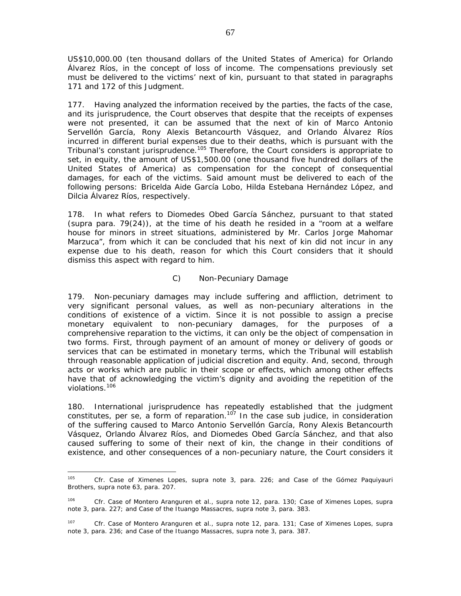US\$10,000.00 (ten thousand dollars of the United States of America) for Orlando Álvarez Ríos, in the concept of loss of income. The compensations previously set must be delivered to the victims' next of kin, pursuant to that stated in paragraphs 171 and 172 of this Judgment.

177. Having analyzed the information received by the parties, the facts of the case, and its jurisprudence, the Court observes that despite that the receipts of expenses were not presented, it can be assumed that the next of kin of Marco Antonio Servellón García, Rony Alexis Betancourth Vásquez, and Orlando Álvarez Ríos incurred in different burial expenses due to their deaths, which is pursuant with the Tribunal's constant jurisprudence.<sup>105</sup> Therefore, the Court considers is appropriate to set, in equity, the amount of US\$1,500.00 (one thousand five hundred dollars of the United States of America) as compensation for the concept of consequential damages, for each of the victims. Said amount must be delivered to each of the following persons: Bricelda Aide García Lobo, Hilda Estebana Hernández López, and Dilcia Álvarez Ríos, respectively.

178. In what refers to Diomedes Obed García Sánchez, pursuant to that stated *(supra* para. 79(24)), at the time of his death he resided in a "room at a welfare house for minors in street situations, administered by Mr. Carlos Jorge Mahomar Marzuca", from which it can be concluded that his next of kin did not incur in any expense due to his death, reason for which this Court considers that it should dismiss this aspect with regard to him.

## *C) Non-Pecuniary Damage*

179. Non-pecuniary damages may include suffering and affliction, detriment to very significant personal values, as well as non-pecuniary alterations in the conditions of existence of a victim. Since it is not possible to assign a precise monetary equivalent to non-pecuniary damages, for the purposes of a comprehensive reparation to the victims, it can only be the object of compensation in two forms. First, through payment of an amount of money or delivery of goods or services that can be estimated in monetary terms, which the Tribunal will establish through reasonable application of judicial discretion and equity. And, second, through acts or works which are public in their scope or effects, which among other effects have that of acknowledging the victim's dignity and avoiding the repetition of the violations.<sup>106</sup>

180. International jurisprudence has repeatedly established that the judgment constitutes, *per se,* a form of reparation.107 In the case *sub judice,* in consideration of the suffering caused to Marco Antonio Servellón García, Rony Alexis Betancourth Vásquez, Orlando Álvarez Ríos, and Diomedes Obed García Sánchez, and that also caused suffering to some of their next of kin, the change in their conditions of existence, and other consequences of a non-pecuniary nature, the Court considers it

 $\overline{a}$ 

<sup>105</sup> *Cfr. Case of Ximenes Lopes, supra* note 3, para. 226; and *Case of the Gómez Paquiyauri Brothers, supra* note 63, para. 207.

<sup>106</sup> *Cfr. Case of Montero Aranguren et al., supra* note 12, para. 130; *Case of Ximenes Lopes, supra* note 3, para. 227; and *Case of the Ituango Massacres, supra* note 3, para. 383.

*<sup>107</sup> Cfr. Case of Montero Aranguren et al., supra* note 12, para. 131; *Case of Ximenes Lopes, supra* note 3, para. 236; and *Case of the Ituango Massacres, supra* note 3, para. 387.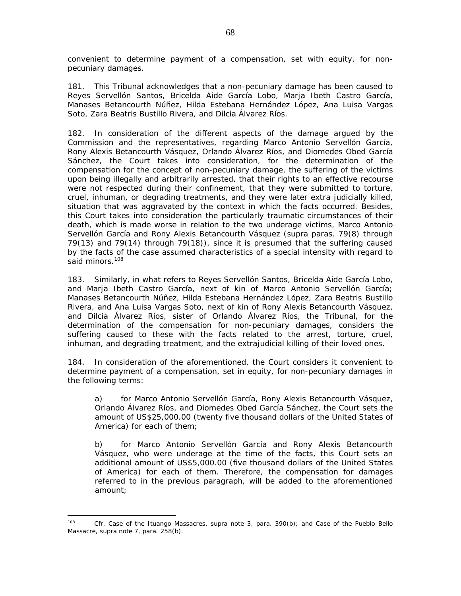convenient to determine payment of a compensation, set with equity, for nonpecuniary damages.

181. This Tribunal acknowledges that a non-pecuniary damage has been caused to Reyes Servellón Santos, Bricelda Aide García Lobo, Marja Ibeth Castro García, Manases Betancourth Núñez, Hilda Estebana Hernández López, Ana Luisa Vargas Soto, Zara Beatris Bustillo Rivera, and Dilcia Álvarez Ríos.

182. In consideration of the different aspects of the damage argued by the Commission and the representatives, regarding Marco Antonio Servellón García, Rony Alexis Betancourth Vásquez, Orlando Álvarez Ríos, and Diomedes Obed García Sánchez, the Court takes into consideration, for the determination of the compensation for the concept of non-pecuniary damage, the suffering of the victims upon being illegally and arbitrarily arrested, that their rights to an effective recourse were not respected during their confinement, that they were submitted to torture, cruel, inhuman, or degrading treatments, and they were later extra judicially killed, situation that was aggravated by the context in which the facts occurred. Besides, this Court takes into consideration the particularly traumatic circumstances of their death, which is made worse in relation to the two underage victims, Marco Antonio Servellón García and Rony Alexis Betancourth Vásquez *(supra* paras. 79(8) through 79(13) and 79(14) through 79(18)), since it is presumed that the suffering caused by the facts of the case assumed characteristics of a special intensity with regard to said minors.<sup>108</sup>

183. Similarly, in what refers to Reyes Servellón Santos, Bricelda Aide García Lobo, and Marja Ibeth Castro García, next of kin of Marco Antonio Servellón García; Manases Betancourth Núñez, Hilda Estebana Hernández López, Zara Beatris Bustillo Rivera, and Ana Luisa Vargas Soto, next of kin of Rony Alexis Betancourth Vásquez, and Dilcia Álvarez Ríos, sister of Orlando Álvarez Ríos, the Tribunal, for the determination of the compensation for non-pecuniary damages, considers the suffering caused to these with the facts related to the arrest, torture, cruel, inhuman, and degrading treatment, and the extrajudicial killing of their loved ones.

184. In consideration of the aforementioned, the Court considers it convenient to determine payment of a compensation, set in equity, for non-pecuniary damages in the following terms:

a) for Marco Antonio Servellón García, Rony Alexis Betancourth Vásquez, Orlando Álvarez Ríos, and Diomedes Obed García Sánchez, the Court sets the amount of US\$25,000.00 (twenty five thousand dollars of the United States of America) for each of them;

b) for Marco Antonio Servellón García and Rony Alexis Betancourth Vásquez, who were underage at the time of the facts, this Court sets an additional amount of US\$5,000.00 (five thousand dollars of the United States of America) for each of them. Therefore, the compensation for damages referred to in the previous paragraph, will be added to the aforementioned amount;

 $\overline{a}$ 

<sup>108</sup> *Cfr. Case of the Ituango Massacres, supra* note 3, para. 390(b); and *Case of the Pueblo Bello Massacre, supra* note 7, para. 258(b).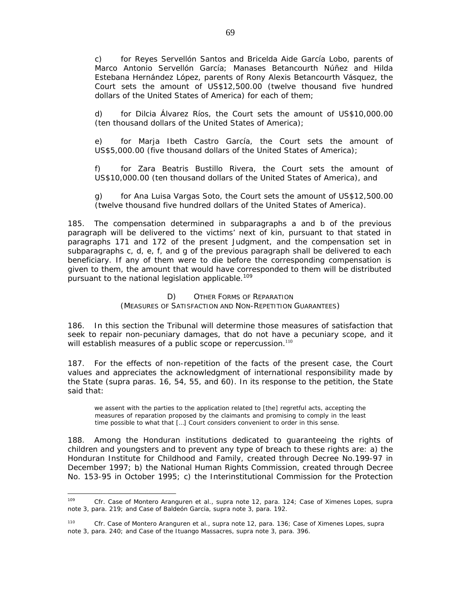c) for Reyes Servellón Santos and Bricelda Aide García Lobo, parents of Marco Antonio Servellón García; Manases Betancourth Núñez and Hilda Estebana Hernández López, parents of Rony Alexis Betancourth Vásquez, the Court sets the amount of US\$12,500.00 (twelve thousand five hundred dollars of the United States of America) for each of them;

d) for Dilcia Álvarez Ríos, the Court sets the amount of US\$10,000.00 (ten thousand dollars of the United States of America);

e) for Marja Ibeth Castro García, the Court sets the amount of US\$5,000.00 (five thousand dollars of the United States of America);

f) for Zara Beatris Bustillo Rivera, the Court sets the amount of US\$10,000.00 (ten thousand dollars of the United States of America), and

g) for Ana Luisa Vargas Soto, the Court sets the amount of US\$12,500.00 (twelve thousand five hundred dollars of the United States of America).

185. The compensation determined in subparagraphs a and b of the previous paragraph will be delivered to the victims' next of kin, pursuant to that stated in paragraphs 171 and 172 of the present Judgment, and the compensation set in subparagraphs c, d, e, f, and g of the previous paragraph shall be delivered to each beneficiary. If any of them were to die before the corresponding compensation is given to them, the amount that would have corresponded to them will be distributed pursuant to the national legislation applicable.<sup>109</sup>

# *D) OTHER FORMS OF REPARATION (MEASURES OF SATISFACTION AND NON-REPETITION GUARANTEES)*

186. In this section the Tribunal will determine those measures of satisfaction that seek to repair non-pecuniary damages, that do not have a pecuniary scope, and it will establish measures of a public scope or repercussion.<sup>110</sup>

187. For the effects of non-repetition of the facts of the present case, the Court values and appreciates the acknowledgment of international responsibility made by the State (*supra* paras. 16, 54, 55, and 60). In its response to the petition, the State said that:

we assent with the parties to the application related to [the] regretful acts, accepting the measures of reparation proposed by the claimants and promising to comply in the least time possible to what that […] Court considers convenient to order in this sense.

188. Among the Honduran institutions dedicated to guaranteeing the rights of children and youngsters and to prevent any type of breach to these rights are: a) the Honduran Institute for Childhood and Family, created through Decree No.199-97 in December 1997; b) the National Human Rights Commission, created through Decree No. 153-95 in October 1995; c) the Interinstitutional Commission for the Protection

 $100$ <sup>109</sup> *Cfr. Case of Montero Aranguren et al., supra* note 12, para. 124; *Case of Ximenes Lopes, supra* note 3, para. 219; and *Case of Baldeón García, supra* note 3, para. 192.

<sup>110</sup> *Cfr. Case of Montero Aranguren et al., supra* note 12, para. 136; *Case of Ximenes Lopes, supra* note 3, para. 240; and *Case of the Ituango Massacres, supra* note 3, para. 396.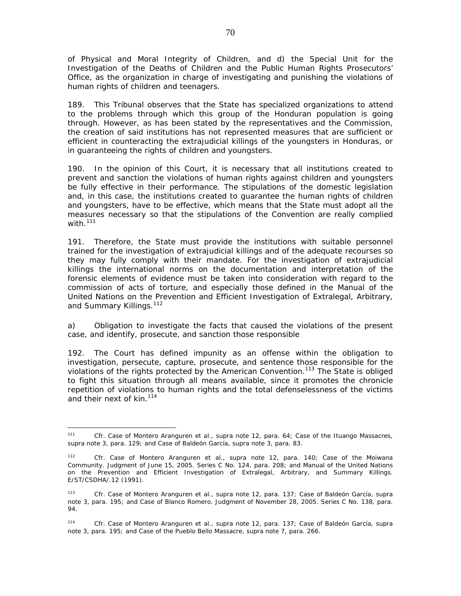of Physical and Moral Integrity of Children, and d) the Special Unit for the Investigation of the Deaths of Children and the Public Human Rights Prosecutors' Office, as the organization in charge of investigating and punishing the violations of human rights of children and teenagers.

189. This Tribunal observes that the State has specialized organizations to attend to the problems through which this group of the Honduran population is going through. However, as has been stated by the representatives and the Commission, the creation of said institutions has not represented measures that are sufficient or efficient in counteracting the extrajudicial killings of the youngsters in Honduras, or in guaranteeing the rights of children and youngsters.

190. In the opinion of this Court, it is necessary that all institutions created to prevent and sanction the violations of human rights against children and youngsters be fully effective in their performance. The stipulations of the domestic legislation and, in this case, the institutions created to guarantee the human rights of children and youngsters, have to be effective, which means that the State must adopt all the measures necessary so that the stipulations of the Convention are really complied with. $111$ 

191. Therefore, the State must provide the institutions with suitable personnel trained for the investigation of extrajudicial killings and of the adequate recourses so they may fully comply with their mandate. For the investigation of extrajudicial killings the international norms on the documentation and interpretation of the forensic elements of evidence must be taken into consideration with regard to the commission of acts of torture, and especially those defined in the Manual of the United Nations on the Prevention and Efficient Investigation of Extralegal, Arbitrary, and Summary Killings.<sup>112</sup>

### a) *Obligation to investigate the facts that caused the violations of the present case, and identify, prosecute, and sanction those responsible*

192. The Court has defined impunity as an offense within the obligation to investigation, persecute, capture, prosecute, and sentence those responsible for the violations of the rights protected by the American Convention.<sup>113</sup> The State is obliged to fight this situation through all means available, since it promotes the chronicle repetition of violations to human rights and the total defenselessness of the victims and their next of kin.<sup>114</sup>

 $\overline{a}$ <sup>111</sup> *Cfr. Case of Montero Aranguren et al., supra* note 12, para. 64; *Case of the Ituango Massacres, supra* note 3, para. 129; and *Case of Baldeón García, supra* note 3, para. 83.

<sup>112</sup> *Cfr. Case of Montero Aranguren et al.*, *supra* note 12, para. 140; *Case of the Moiwana Community*. Judgment of June 15, 2005. Series C No. 124, para. 208; and Manual of the United Nations on the Prevention and Efficient Investigation of Extralegal, Arbitrary, and Summary Killings. E/ST/CSDHA/.12 (1991).

<sup>113</sup> *Cfr. Case of Montero Aranguren et al., supra* note 12, para. 137; *Case of Baldeón García, supra* note 3, para. 195; and *Case of Blanco Romero*. Judgment of November 28, 2005. Series C No. 138*,* para. 94.

<sup>114</sup> *Cfr. Case of Montero Aranguren et al., supra* note 12, para. 137; *Case of Baldeón García, supra* note 3, para. 195; and *Case of the Pueblo Bello Massacre, supra* note 7, para. 266.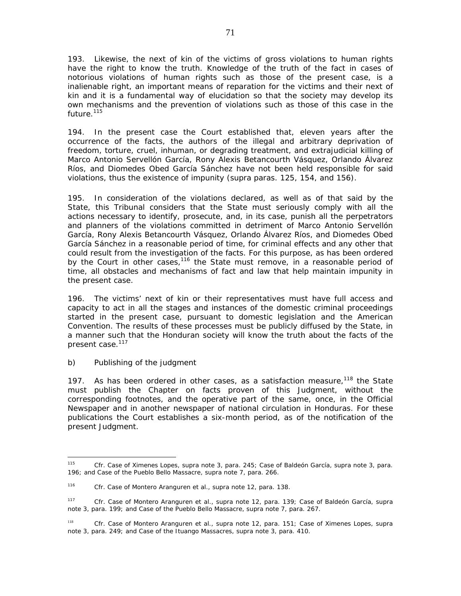193. Likewise, the next of kin of the victims of gross violations to human rights have the right to know the truth. Knowledge of the truth of the fact in cases of notorious violations of human rights such as those of the present case, is a inalienable right, an important means of reparation for the victims and their next of kin and it is a fundamental way of elucidation so that the society may develop its own mechanisms and the prevention of violations such as those of this case in the future.<sup>115</sup>

194. In the present case the Court established that, eleven years after the occurrence of the facts, the authors of the illegal and arbitrary deprivation of freedom, torture, cruel, inhuman, or degrading treatment, and extrajudicial killing of Marco Antonio Servellón García, Rony Alexis Betancourth Vásquez, Orlando Álvarez Ríos, and Diomedes Obed García Sánchez have not been held responsible for said violations, thus the existence of impunity (*supra* paras. 125, 154, and 156).

195. In consideration of the violations declared, as well as of that said by the State, this Tribunal considers that the State must seriously comply with all the actions necessary to identify, prosecute, and, in its case, punish all the perpetrators and planners of the violations committed in detriment of Marco Antonio Servellón García, Rony Alexis Betancourth Vásquez, Orlando Álvarez Ríos, and Diomedes Obed García Sánchez in a reasonable period of time, for criminal effects and any other that could result from the investigation of the facts. For this purpose, as has been ordered by the Court in other cases,<sup>116</sup> the State must remove, in a reasonable period of time, all obstacles and mechanisms of fact and law that help maintain impunity in the present case.

196. The victims' next of kin or their representatives must have full access and capacity to act in all the stages and instances of the domestic criminal proceedings started in the present case, pursuant to domestic legislation and the American Convention. The results of these processes must be publicly diffused by the State, in a manner such that the Honduran society will know the truth about the facts of the present case.<sup>117</sup>

# *b) Publishing of the judgment*

197. As has been ordered in other cases, as a satisfaction measure, $118$  the State must publish the Chapter on facts proven of this Judgment, without the corresponding footnotes, and the operative part of the same, once, in the Official Newspaper and in another newspaper of national circulation in Honduras. For these publications the Court establishes a six-month period, as of the notification of the present Judgment.

<sup>115</sup> <sup>115</sup> *Cfr. Case of Ximenes Lopes, supra* note 3, para. 245; *Case of Baldeón García, supra* note 3, para. 196; and *Case of the Pueblo Bello Massacre, supra* note 7, para. 266.

<sup>116</sup> *Cfr. Case of Montero Aranguren et al.*, *supra* note 12, para. 138.

<sup>117</sup> *Cfr. Case of Montero Aranguren et al.*, *supra* note 12, para. 139; *Case of Baldeón García*, *supra*  note 3, para. 199; and *Case of the Pueblo Bello Massacre,* s*upra* note 7, para. 267.

<sup>118</sup> *Cfr*. *Case of Montero Aranguren et al., supra* note 12, para. 151; *Case of Ximenes Lopes, supra* note 3, para. 249; and *Case of the Ituango Massacres, supra* note 3, para. 410.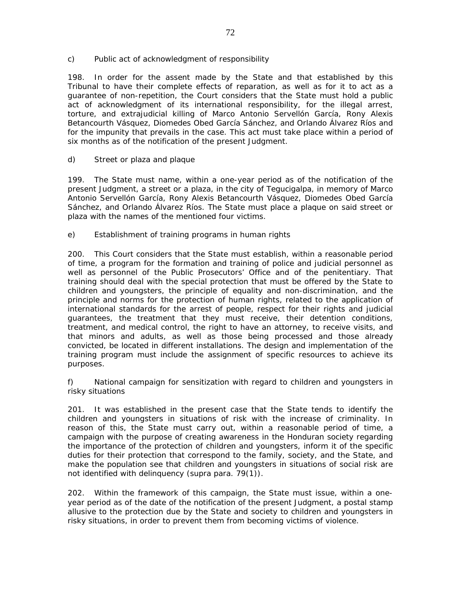## *c) Public act of acknowledgment of responsibility*

198. In order for the assent made by the State and that established by this Tribunal to have their complete effects of reparation, as well as for it to act as a guarantee of non-repetition, the Court considers that the State must hold a public act of acknowledgment of its international responsibility, for the illegal arrest, torture, and extrajudicial killing of Marco Antonio Servellón García, Rony Alexis Betancourth Vásquez, Diomedes Obed García Sánchez, and Orlando Álvarez Ríos and for the impunity that prevails in the case. This act must take place within a period of six months as of the notification of the present Judgment.

## d) *Street or plaza and plaque*

199. The State must name, within a one-year period as of the notification of the present Judgment, a street or a plaza, in the city of Tegucigalpa, in memory of Marco Antonio Servellón García, Rony Alexis Betancourth Vásquez, Diomedes Obed García Sánchez, and Orlando Álvarez Ríos. The State must place a plaque on said street or plaza with the names of the mentioned four victims.

## *e) Establishment of training programs in human rights*

200. This Court considers that the State must establish, within a reasonable period of time, a program for the formation and training of police and judicial personnel as well as personnel of the Public Prosecutors' Office and of the penitentiary. That training should deal with the special protection that must be offered by the State to children and youngsters, the principle of equality and non-discrimination, and the principle and norms for the protection of human rights, related to the application of international standards for the arrest of people, respect for their rights and judicial guarantees, the treatment that they must receive, their detention conditions, treatment, and medical control, the right to have an attorney, to receive visits, and that minors and adults, as well as those being processed and those already convicted, be located in different installations. The design and implementation of the training program must include the assignment of specific resources to achieve its purposes.

### *f) National campaign for sensitization with regard to children and youngsters in risky situations*

201. It was established in the present case that the State tends to identify the children and youngsters in situations of risk with the increase of criminality. In reason of this, the State must carry out, within a reasonable period of time, a campaign with the purpose of creating awareness in the Honduran society regarding the importance of the protection of children and youngsters, inform it of the specific duties for their protection that correspond to the family, society, and the State, and make the population see that children and youngsters in situations of social risk are not identified with delinquency (*supra* para. 79(1)).

202. Within the framework of this campaign, the State must issue, within a oneyear period as of the date of the notification of the present Judgment, a postal stamp allusive to the protection due by the State and society to children and youngsters in risky situations, in order to prevent them from becoming victims of violence.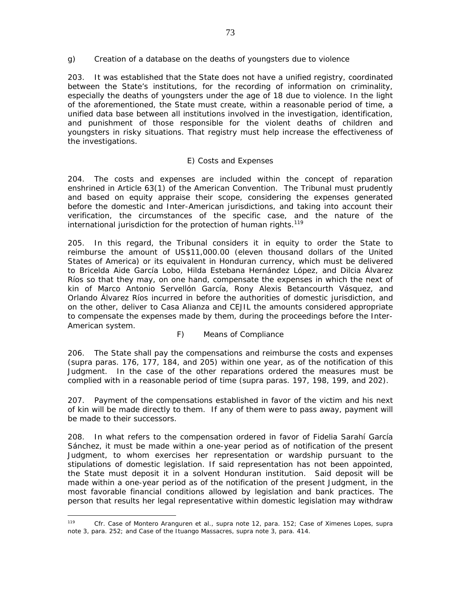*g) Creation of a database on the deaths of youngsters due to violence* 

203. It was established that the State does not have a unified registry, coordinated between the State's institutions, for the recording of information on criminality, especially the deaths of youngsters under the age of 18 due to violence. In the light of the aforementioned, the State must create, within a reasonable period of time, a unified data base between all institutions involved in the investigation, identification, and punishment of those responsible for the violent deaths of children and youngsters in risky situations. That registry must help increase the effectiveness of the investigations.

## *E) Costs and Expenses*

204. The costs and expenses are included within the concept of reparation enshrined in Article 63(1) of the American Convention. The Tribunal must prudently and based on equity appraise their scope, considering the expenses generated before the domestic and Inter-American jurisdictions, and taking into account their verification, the circumstances of the specific case, and the nature of the international jurisdiction for the protection of human rights.<sup>119</sup>

205. In this regard, the Tribunal considers it in equity to order the State to reimburse the amount of US\$11,000.00 (eleven thousand dollars of the United States of America) or its equivalent in Honduran currency, which must be delivered to Bricelda Aide García Lobo, Hilda Estebana Hernández López, and Dilcia Álvarez Ríos so that they may, on one hand, compensate the expenses in which the next of kin of Marco Antonio Servellón García, Rony Alexis Betancourth Vásquez, and Orlando Álvarez Ríos incurred in before the authorities of domestic jurisdiction, and on the other, deliver to Casa Alianza and CEJIL the amounts considered appropriate to compensate the expenses made by them, during the proceedings before the Inter-American system.

## *F) Means of Compliance*

206. The State shall pay the compensations and reimburse the costs and expenses (*supra* paras. 176, 177, 184, and 205) within one year, as of the notification of this Judgment. In the case of the other reparations ordered the measures must be complied with in a reasonable period of time (*supra* paras. 197, 198, 199, and 202).

207. Payment of the compensations established in favor of the victim and his next of kin will be made directly to them. If any of them were to pass away, payment will be made to their successors.

208. In what refers to the compensation ordered in favor of Fidelia Sarahí García Sánchez, it must be made within a one-year period as of notification of the present Judgment, to whom exercises her representation or wardship pursuant to the stipulations of domestic legislation. If said representation has not been appointed, the State must deposit it in a solvent Honduran institution. Said deposit will be made within a one-year period as of the notification of the present Judgment, in the most favorable financial conditions allowed by legislation and bank practices. The person that results her legal representative within domestic legislation may withdraw

 $\overline{a}$ <sup>119</sup> *Cfr. Case of Montero Aranguren et al., supra* note 12, para. 152; *Case of Ximenes Lopes, supra* note 3, para. 252; and *Case of the Ituango Massacres, supra* note 3, para. 414.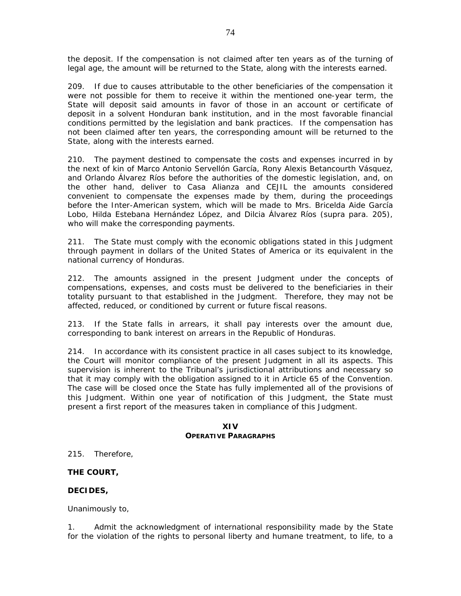the deposit. If the compensation is not claimed after ten years as of the turning of legal age, the amount will be returned to the State, along with the interests earned.

209. If due to causes attributable to the other beneficiaries of the compensation it were not possible for them to receive it within the mentioned one-year term, the State will deposit said amounts in favor of those in an account or certificate of deposit in a solvent Honduran bank institution, and in the most favorable financial conditions permitted by the legislation and bank practices. If the compensation has not been claimed after ten years, the corresponding amount will be returned to the State, along with the interests earned.

210. The payment destined to compensate the costs and expenses incurred in by the next of kin of Marco Antonio Servellón García, Rony Alexis Betancourth Vásquez, and Orlando Álvarez Ríos before the authorities of the domestic legislation, and, on the other hand, deliver to Casa Alianza and CEJIL the amounts considered convenient to compensate the expenses made by them, during the proceedings before the Inter-American system, which will be made to Mrs. Bricelda Aide García Lobo, Hilda Estebana Hernández López, and Dilcia Álvarez Ríos (*supra* para. 205), who will make the corresponding payments.

211. The State must comply with the economic obligations stated in this Judgment through payment in dollars of the United States of America or its equivalent in the national currency of Honduras.

212. The amounts assigned in the present Judgment under the concepts of compensations, expenses, and costs must be delivered to the beneficiaries in their totality pursuant to that established in the Judgment. Therefore, they may not be affected, reduced, or conditioned by current or future fiscal reasons.

213. If the State falls in arrears, it shall pay interests over the amount due, corresponding to bank interest on arrears in the Republic of Honduras.

214. In accordance with its consistent practice in all cases subject to its knowledge, the Court will monitor compliance of the present Judgment in all its aspects. This supervision is inherent to the Tribunal's jurisdictional attributions and necessary so that it may comply with the obligation assigned to it in Article 65 of the Convention. The case will be closed once the State has fully implemented all of the provisions of this Judgment. Within one year of notification of this Judgment, the State must present a first report of the measures taken in compliance of this Judgment.

#### **XIV OPERATIVE PARAGRAPHS**

215. Therefore,

## **THE COURT,**

## **DECIDES,**

Unanimously to,

1. Admit the acknowledgment of international responsibility made by the State for the violation of the rights to personal liberty and humane treatment, to life, to a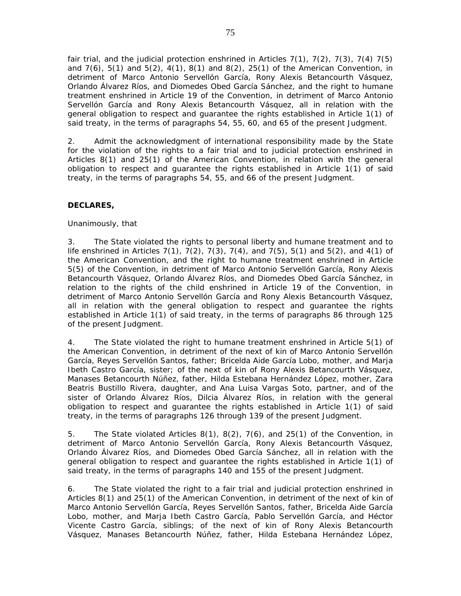fair trial, and the judicial protection enshrined in Articles  $7(1)$ ,  $7(2)$ ,  $7(3)$ ,  $7(4)$   $7(5)$ and 7(6), 5(1) and 5(2), 4(1), 8(1) and 8(2), 25(1) of the American Convention, in detriment of Marco Antonio Servellón García, Rony Alexis Betancourth Vásquez, Orlando Álvarez Ríos, and Diomedes Obed García Sánchez, and the right to humane treatment enshrined in Article 19 of the Convention, in detriment of Marco Antonio Servellón García and Rony Alexis Betancourth Vásquez, all in relation with the general obligation to respect and guarantee the rights established in Article 1(1) of said treaty, in the terms of paragraphs 54, 55, 60, and 65 of the present Judgment.

2. Admit the acknowledgment of international responsibility made by the State for the violation of the rights to a fair trial and to judicial protection enshrined in Articles 8(1) and 25(1) of the American Convention, in relation with the general obligation to respect and guarantee the rights established in Article 1(1) of said treaty, in the terms of paragraphs 54, 55, and 66 of the present Judgment.

# **DECLARES,**

## Unanimously, that

3. The State violated the rights to personal liberty and humane treatment and to life enshrined in Articles 7(1), 7(2), 7(3), 7(4), and 7(5), 5(1) and 5(2), and 4(1) of the American Convention, and the right to humane treatment enshrined in Article 5(5) of the Convention, in detriment of Marco Antonio Servellón García, Rony Alexis Betancourth Vásquez, Orlando Álvarez Ríos, and Diomedes Obed García Sánchez, in relation to the rights of the child enshrined in Article 19 of the Convention, in detriment of Marco Antonio Servellón García and Rony Alexis Betancourth Vásquez, all in relation with the general obligation to respect and guarantee the rights established in Article 1(1) of said treaty, in the terms of paragraphs 86 through 125 of the present Judgment.

4. The State violated the right to humane treatment enshrined in Article 5(1) of the American Convention, in detriment of the next of kin of Marco Antonio Servellón García, Reyes Servellón Santos, father; Bricelda Aide García Lobo, mother, and Marja Ibeth Castro García, sister; of the next of kin of Rony Alexis Betancourth Vásquez, Manases Betancourth Núñez, father, Hilda Estebana Hernández López, mother, Zara Beatris Bustillo Rivera, daughter, and Ana Luisa Vargas Soto, partner, and of the sister of Orlando Álvarez Ríos, Dilcia Álvarez Ríos, in relation with the general obligation to respect and guarantee the rights established in Article 1(1) of said treaty, in the terms of paragraphs 126 through 139 of the present Judgment.

5. The State violated Articles 8(1), 8(2), 7(6), and 25(1) of the Convention, in detriment of Marco Antonio Servellón García, Rony Alexis Betancourth Vásquez, Orlando Álvarez Ríos, and Diomedes Obed García Sánchez, all in relation with the general obligation to respect and guarantee the rights established in Article 1(1) of said treaty, in the terms of paragraphs 140 and 155 of the present Judgment.

6. The State violated the right to a fair trial and judicial protection enshrined in Articles 8(1) and 25(1) of the American Convention, in detriment of the next of kin of Marco Antonio Servellón García, Reyes Servellón Santos, father, Bricelda Aide García Lobo, mother, and Marja Ibeth Castro García, Pablo Servellón García, and Héctor Vicente Castro García, siblings; of the next of kin of Rony Alexis Betancourth Vásquez, Manases Betancourth Núñez, father, Hilda Estebana Hernández López,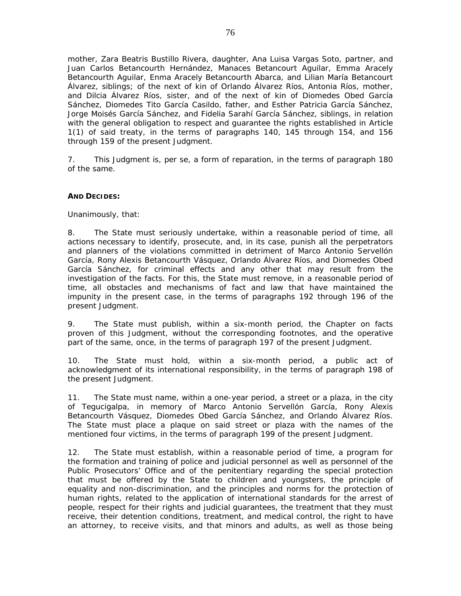mother, Zara Beatris Bustillo Rivera, daughter, Ana Luisa Vargas Soto, partner, and Juan Carlos Betancourth Hernández, Manaces Betancourt Aguilar, Emma Aracely Betancourth Aguilar, Enma Aracely Betancourth Abarca, and Lilian María Betancourt Álvarez, siblings; of the next of kin of Orlando Álvarez Ríos, Antonia Ríos, mother, and Dilcia Álvarez Ríos, sister, and of the next of kin of Diomedes Obed García Sánchez, Diomedes Tito García Casildo, father, and Esther Patricia García Sánchez, Jorge Moisés García Sánchez, and Fidelia Sarahí García Sánchez, siblings, in relation with the general obligation to respect and guarantee the rights established in Article 1(1) of said treaty, in the terms of paragraphs 140, 145 through 154, and 156 through 159 of the present Judgment.

7. This Judgment is, *per se,* a form of reparation, in the terms of paragraph 180 of the same.

#### **AND DECIDES:**

Unanimously, that:

8. The State must seriously undertake, within a reasonable period of time, all actions necessary to identify, prosecute, and, in its case, punish all the perpetrators and planners of the violations committed in detriment of Marco Antonio Servellón García, Rony Alexis Betancourth Vásquez, Orlando Álvarez Ríos, and Diomedes Obed García Sánchez, for criminal effects and any other that may result from the investigation of the facts. For this, the State must remove, in a reasonable period of time, all obstacles and mechanisms of fact and law that have maintained the impunity in the present case, in the terms of paragraphs 192 through 196 of the present Judgment.

9. The State must publish, within a six-month period, the Chapter on facts proven of this Judgment, without the corresponding footnotes, and the operative part of the same, once, in the terms of paragraph 197 of the present Judgment.

10. The State must hold, within a six-month period, a public act of acknowledgment of its international responsibility, in the terms of paragraph 198 of the present Judgment.

11. The State must name, within a one-year period, a street or a plaza, in the city of Tegucigalpa, in memory of Marco Antonio Servellón García, Rony Alexis Betancourth Vásquez, Diomedes Obed García Sánchez, and Orlando Álvarez Ríos. The State must place a plaque on said street or plaza with the names of the mentioned four victims, in the terms of paragraph 199 of the present Judgment.

12. The State must establish, within a reasonable period of time, a program for the formation and training of police and judicial personnel as well as personnel of the Public Prosecutors' Office and of the penitentiary regarding the special protection that must be offered by the State to children and youngsters, the principle of equality and non-discrimination, and the principles and norms for the protection of human rights, related to the application of international standards for the arrest of people, respect for their rights and judicial guarantees, the treatment that they must receive, their detention conditions, treatment, and medical control, the right to have an attorney, to receive visits, and that minors and adults, as well as those being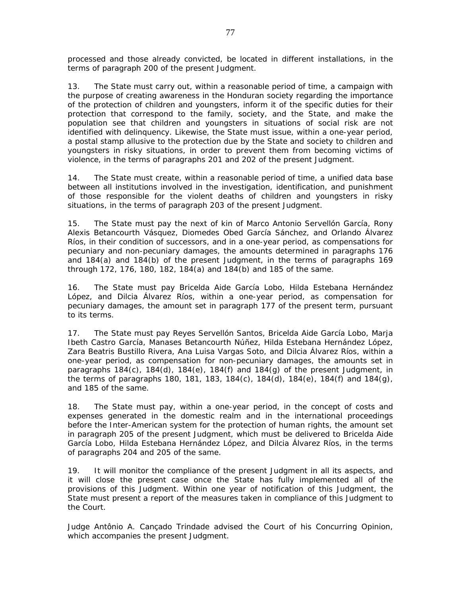processed and those already convicted, be located in different installations, in the terms of paragraph 200 of the present Judgment.

13. The State must carry out, within a reasonable period of time, a campaign with the purpose of creating awareness in the Honduran society regarding the importance of the protection of children and youngsters, inform it of the specific duties for their protection that correspond to the family, society, and the State, and make the population see that children and youngsters in situations of social risk are not identified with delinquency. Likewise, the State must issue, within a one-year period, a postal stamp allusive to the protection due by the State and society to children and youngsters in risky situations, in order to prevent them from becoming victims of violence, in the terms of paragraphs 201 and 202 of the present Judgment.

14. The State must create, within a reasonable period of time, a unified data base between all institutions involved in the investigation, identification, and punishment of those responsible for the violent deaths of children and youngsters in risky situations, in the terms of paragraph 203 of the present Judgment.

15. The State must pay the next of kin of Marco Antonio Servellón García, Rony Alexis Betancourth Vásquez, Diomedes Obed García Sánchez, and Orlando Álvarez Ríos, in their condition of successors, and in a one-year period, as compensations for pecuniary and non-pecuniary damages, the amounts determined in paragraphs 176 and 184(a) and 184(b) of the present Judgment, in the terms of paragraphs 169 through 172, 176, 180, 182, 184(a) and 184(b) and 185 of the same.

16. The State must pay Bricelda Aide García Lobo, Hilda Estebana Hernández López, and Dilcia Álvarez Ríos, within a one-year period, as compensation for pecuniary damages, the amount set in paragraph 177 of the present term, pursuant to its terms.

17. The State must pay Reyes Servellón Santos, Bricelda Aide García Lobo, Marja Ibeth Castro García, Manases Betancourth Núñez, Hilda Estebana Hernández López, Zara Beatris Bustillo Rivera, Ana Luisa Vargas Soto, and Dilcia Álvarez Ríos, within a one-year period, as compensation for non-pecuniary damages, the amounts set in paragraphs 184(c), 184(d), 184(e), 184(f) and 184(g) of the present Judgment, in the terms of paragraphs 180, 181, 183, 184(c), 184(d), 184(e), 184(f) and 184(g), and 185 of the same.

18. The State must pay, within a one-year period, in the concept of costs and expenses generated in the domestic realm and in the international proceedings before the Inter-American system for the protection of human rights, the amount set in paragraph 205 of the present Judgment, which must be delivered to Bricelda Aide García Lobo, Hilda Estebana Hernández López, and Dilcia Álvarez Ríos, in the terms of paragraphs 204 and 205 of the same.

19. It will monitor the compliance of the present Judgment in all its aspects, and it will close the present case once the State has fully implemented all of the provisions of this Judgment. Within one year of notification of this Judgment, the State must present a report of the measures taken in compliance of this Judgment to the Court.

Judge Antônio A. Cançado Trindade advised the Court of his Concurring Opinion, which accompanies the present Judgment.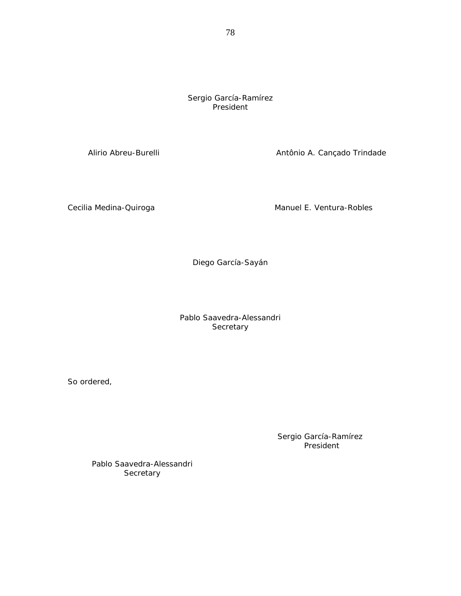Sergio García-Ramírez President

Alirio Abreu-Burelli **Antônio A.** Cançado Trindade

Cecilia Medina-Quiroga **Manuel E. Ventura-Robles** Manuel E. Ventura-Robles

Diego García-Sayán

Pablo Saavedra-Alessandri **Secretary** 

So ordered,

Sergio García-Ramírez President

Pablo Saavedra-Alessandri **Secretary**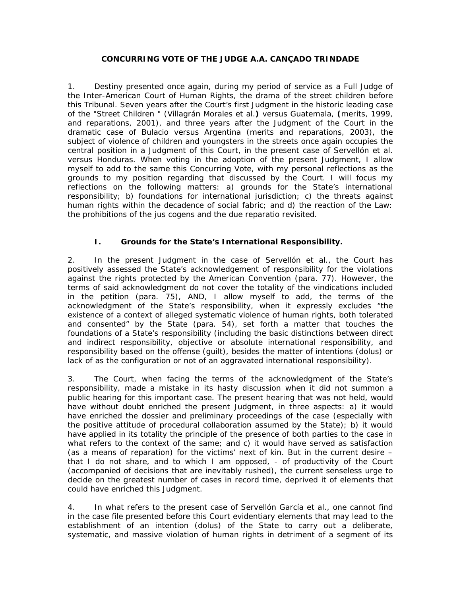## **CONCURRING VOTE OF THE JUDGE A.A. CANÇADO TRINDADE**

1. Destiny presented once again, during my period of service as a Full Judge of the Inter-American Court of Human Rights, the drama of the street children before this Tribunal. Seven years after the Court's first Judgment in the historic leading case of the "*Street Children* " (*Villagrán Morales et al.) versus Guatemala*, **(**merits, 1999, and reparations, 2001), and three years after the Judgment of the Court in the dramatic case of *Bulacio versus Argentina* (merits and reparations, 2003), the subject of violence of children and youngsters in the streets once again occupies the central position in a Judgment of this Court, in the present case of *Servellón et al. versus Honduras*. When voting in the adoption of the present Judgment, I allow myself to add to the same this Concurring Vote, with my personal reflections as the grounds to my position regarding that discussed by the Court. I will focus my reflections on the following matters: a) grounds for the State's international responsibility; b) foundations for international jurisdiction; c) the threats against human rights within the decadence of social fabric; and d) the reaction of the Law: the prohibitions of the *jus cogens* and the due *reparatio* revisited.

# **I. Grounds for the State's International Responsibility.**

2. In the present Judgment in the case of *Servellón et al.,* the Court has positively assessed the State's acknowledgement of responsibility for the violations against the rights protected by the American Convention (para. 77). However, the terms of said acknowledgment do not cover the totality of the vindications included in the petition (para. 75), AND, I allow myself to add, the terms of the acknowledgment of the State's responsibility, when it expressly excludes "the existence of a context of alleged systematic violence of human rights, both tolerated and consented" by the State (para. 54), set forth a matter that touches the foundations of a State's responsibility (including the basic distinctions between direct and indirect responsibility, objective or absolute international responsibility, and responsibility based on the offense (*guilt*), besides the matter of intentions (*dolus*) or lack of as the configuration or not of an aggravated international responsibility).

3. The Court, when facing the terms of the acknowledgment of the State's responsibility, made a mistake in its hasty discussion when it did not summon a public hearing for this important case. The present hearing that was not held, would have without doubt enriched the present Judgment, in three aspects: a) it would have enriched the dossier and preliminary proceedings of the case (especially with the positive attitude of procedural collaboration assumed by the State); b) it would have applied in its totality the principle of the presence of both parties to the case in what refers to the context of the same; and c) it would have served as satisfaction (as a means of reparation) for the victims' next of kin. But in the current desire – that I do not share, and to which I am opposed, - of *productivity* of the Court (accompanied of decisions that are inevitably rushed), the current senseless urge to decide on the greatest number of cases in record time, deprived it of elements that could have enriched this Judgment.

4. In what refers to the present case of *Servellón García et al.*, one cannot find in the case file presented before this Court evidentiary elements that may lead to the establishment of an *intention (dolus)* of the State to carry out a deliberate, systematic, and massive violation of human rights in detriment of a segment of its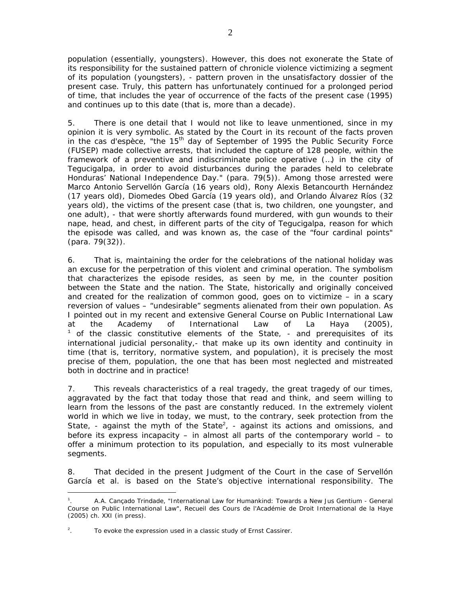population (essentially, youngsters). However, this does not exonerate the State of its responsibility for the *sustained pattern of chronicle violence* victimizing a segment of its population (youngsters), - pattern proven in the unsatisfactory dossier of the present case. Truly, this pattern has unfortunately continued for a prolonged period of time, that includes the year of occurrence of the facts of the present case (1995) and continues up to this date (that is, more than a decade).

5. There is one detail that I would not like to leave unmentioned, since in my opinion it is very symbolic. As stated by the Court in its recount of the facts proven in the *cas d'espèce*, "the 15<sup>th</sup> day of September of 1995 the Public Security Force (FUSEP) made collective arrests, that included the capture of 128 people, within the framework of a preventive and indiscriminate police operative (…) in the city of Tegucigalpa, in order to avoid disturbances during the parades held to celebrate Honduras' National Independence Day." (para. 79(5)). Among those arrested were Marco Antonio Servellón García (16 years old), Rony Alexis Betancourth Hernández (17 years old), Diomedes Obed García (19 years old), and Orlando Álvarez Ríos (32 years old), the victims of the present case (that is, two children, one youngster, and one adult), - that were shortly afterwards found murdered, with gun wounds to their nape, head, and chest, in different parts of the city of Tegucigalpa, reason for which the episode was called, and was known as, the case of the "four cardinal points" (para. 79(32)).

6. That is, maintaining the order for the celebrations of the national holiday was an excuse for the perpetration of this violent and criminal operation. The symbolism that characterizes the episode resides, as seen by me, in the *counter position between the State and the nation.* The State, historically and originally conceived and created for the realization of common good, goes on to victimize – in a scary reversion of values – "undesirable" segments alienated from their own population. As I pointed out in my recent and extensive *General Course on Public International Law*  at the Academy of International Law of La Haya (2005),  $1$  of the classic constitutive elements of the State,  $-$  and prerequisites of its international judicial personality,- that make up its own identity and continuity in time (that is, territory, normative system, and population), it is precisely the most precise of them, *population,* the one that has been most neglected and mistreated both in doctrine and in practice!

7. This reveals characteristics of a real tragedy, the great tragedy of our times, aggravated by the fact that today those that read and think, and seem willing to learn from the lessons of the past are constantly reduced. In the extremely violent world in which we live in today, we must, to the contrary, seek protection *from* the State, - against the myth of the State<sup>2</sup>, - against its actions and omissions, and before its express incapacity – in almost all parts of the contemporary world – to offer a minimum protection to its population, and especially to its most vulnerable segments.

8. That decided in the present Judgment of the Court in the case of *Servellón García et al.* is based on the State's objective international responsibility. The

<sup>1</sup> . A.A. Cançado Trindade, "International Law for Humankind: Towards a New *Jus Gentium* - General Course on Public International Law", *Recueil des Cours de l'Académie de Droit International de la Haye* (2005) ch. XXI (in press).

 $\overline{a}$ . . To evoke the expression used in a classic study of Ernst Cassirer.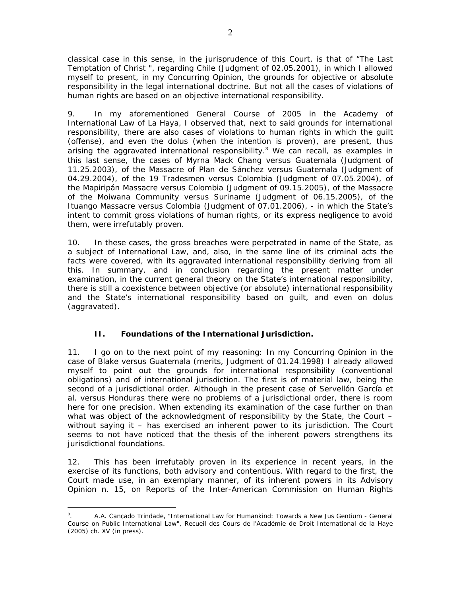classical case in this sense, in the jurisprudence of this Court, is that of "*The Last Temptation of Christ "*, regarding Chile (Judgment of 02.05.2001), in which I allowed myself to present, in my Concurring Opinion, the grounds for objective or absolute responsibility in the legal international doctrine. But not all the cases of violations of human rights are based on an objective international responsibility.

9. In my aforementioned *General Course* of 2005 in the Academy of International Law of La Haya, I observed that, next to said grounds for international responsibility, there are also cases of violations to human rights in which the *guilt*  (offense), and even the *dolus* (when the intention is proven), are present, thus arising the *aggravated* international responsibility.<sup>3</sup> We can recall, as examples in this last sense, the cases of *Myrna Mack Chang versus Guatemala* (Judgment of 11.25.2003), of the *Massacre of Plan de Sánchez versus Guatemala* (Judgment of 04.29.2004), of the *19 Tradesmen versus Colombia* (Judgment of 07.05.2004), of the *Mapiripán Massacre versus Colombia* (Judgment of 09.15.2005), of the Massacre of the *Moiwana Community versus Suriname* (Judgment of 06.15.2005), of the *Ituango Massacre versus Colombia* (Judgment of 07.01.2006), - in which the State's *intent* to commit *gross* violations of human rights, or its express negligence to avoid them, were irrefutably proven.

10. In these cases, the gross breaches were perpetrated in name of the State, as a subject of International Law, and, also, in the same line of its criminal acts the facts were covered, with its *aggravated* international responsibility deriving from all this. In summary, and in conclusion regarding the present matter under examination, in the current general theory on the State's international responsibility, there is still a coexistence between objective (or absolute) international responsibility and the State's international responsibility based on *guilt,* and even on *dolus* (aggravated).

# **II. Foundations of the International Jurisdiction.**

11. I go on to the next point of my reasoning: In my Concurring Opinion in the case of *Blake versus Guatemala* (merits, Judgment of 01.24.1998) I already allowed myself to point out the grounds for international responsibility (conventional obligations) and of international jurisdiction. The first is of material law, being the second of a jurisdictional order. Although in the present case of *Servellón García et al. versus Honduras* there were no problems of a jurisdictional order, there is room here for one precision. When extending its examination of the case further on than what was object of the acknowledgment of responsibility by the State, the Court – without saying it – has exercised an *inherent power* to its jurisdiction. The Court seems to not have noticed that the thesis of the *inherent powers* strengthens its jurisdictional foundations.

12. This has been irrefutably proven in its experience in recent years, in the exercise of its functions, both advisory and contentious. With regard to the first, the Court made use, in an exemplary manner, of its inherent powers in its Advisory Opinion n. 15, on *Reports of the Inter-American Commission on Human Rights* 

 $\overline{a}$ 3 . A.A. Cançado Trindade, "International Law for Humankind: Towards a New *Jus Gentium* - General Course on Public International Law", *Recueil des Cours de l'Académie de Droit International de la Haye* (2005) ch. XV (in press).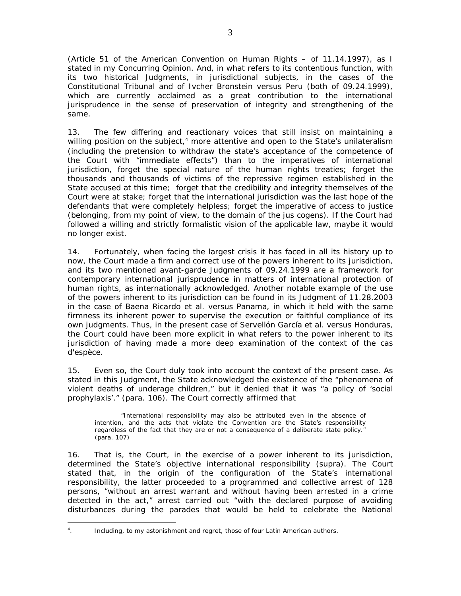(*Article 51 of the American Convention on Human Rights* – of 11.14.1997), as I stated in my Concurring Opinion. And, in what refers to its contentious function, with its two historical Judgments, in jurisdictional subjects, in the cases of the *Constitutional Tribunal* and of *Ivcher Bronstein versus Peru* (both of 09.24.1999), which are currently acclaimed as a great contribution to the international jurisprudence in the sense of preservation of integrity and strengthening of the same.

13. The few differing and reactionary voices that still insist on maintaining a willing position on the subject, $4$  more attentive and open to the State's unilateralism (including the pretension to withdraw the state's acceptance of the competence of the Court with "immediate effects") than to the imperatives of international jurisdiction, forget the special nature of the human rights treaties; forget the thousands and thousands of victims of the repressive regimen established in the State accused at this time; forget that the credibility and integrity themselves of the Court were at stake; forget that the international jurisdiction was the last hope of the defendants that were completely helpless; forget the imperative of access to justice (belonging, from my point of view, to the domain of the *jus cogens*). If the Court had followed a willing and strictly formalistic vision of the applicable law, maybe it would no longer exist.

14. Fortunately, when facing the largest crisis it has faced in all its history up to now, the Court made a firm and correct use of the powers inherent to its jurisdiction, and its two mentioned avant-garde Judgments of 09.24.1999 are a framework for contemporary international jurisprudence in matters of international protection of human rights, as internationally acknowledged. Another notable example of the use of the powers inherent to its jurisdiction can be found in its Judgment of 11.28.2003 in the case of *Baena Ricardo et al. versus Panama*, in which it held with the same firmness its inherent power to supervise the execution or faithful compliance of its own judgments. Thus, in the present case of *Servellón García et al. versus Honduras*, the Court could have been more explicit in what refers to the power inherent to its jurisdiction of having made a more deep examination of the context of the *cas d'espèce*.

15. Even so, the Court duly took into account the context of the present case. As stated in this Judgment, the State acknowledged the existence of the "phenomena of violent deaths of underage children," but it denied that it was "a policy of 'social prophylaxis'." (para. 106). The Court correctly affirmed that

"International responsibility may also be attributed even in the absence of intention, and the acts that violate the Convention are the State's responsibility regardless of the fact that they are or not a consequence of a deliberate state policy." (para. 107)

16. That is, the Court, in the exercise of a *power inherent* to its jurisdiction, determined the State's objective international responsibility (*supra*). The Court stated that, in the origin of the configuration of the State's international responsibility, the latter proceeded to a programmed and collective arrest of 128 persons, "without an arrest warrant and without having been arrested in a crime detected in the act," arrest carried out "with the declared purpose of avoiding disturbances during the parades that would be held to celebrate the National

 $\overline{a}$ 4 . Including, to my astonishment and regret, those of four Latin American authors.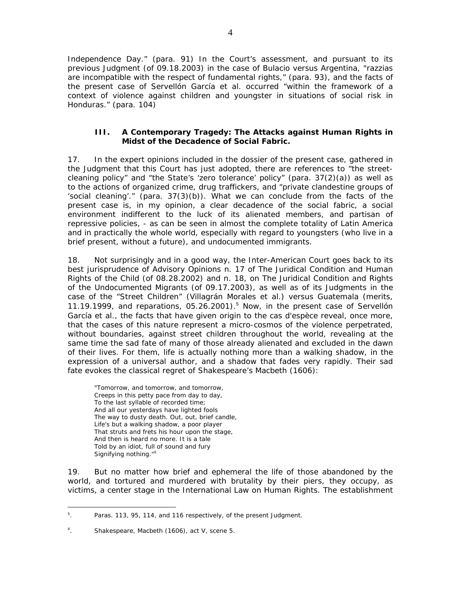Independence Day." (para. 91) In the Court's assessment, and pursuant to its previous Judgment (of 09.18.2003) in the case of *Bulacio versus Argentina*, "*razzias* are incompatible with the respect of fundamental rights," (para. 93), and the facts of the present case of *Servellón García et al.* occurred "within the framework of a context of violence against children and youngster in situations of social risk in Honduras." (para. 104)

## **III. A Contemporary Tragedy: The Attacks against Human Rights in Midst of the Decadence of Social Fabric.**

17. In the expert opinions included in the dossier of the present case, gathered in the Judgment that this Court has just adopted, there are references to "the streetcleaning policy" and "the State's 'zero tolerance' policy" (para. 37(2)(a)) as well as to the actions of organized crime, drug traffickers, and "private clandestine groups of 'social cleaning'." (para.  $37(3)(b)$ ). What we can conclude from the facts of the present case is, in my opinion, a clear decadence of the social fabric, a social environment indifferent to the luck of its alienated members, and partisan of repressive policies, - as can be seen in almost the complete totality of Latin America and in practically the whole world, especially with regard to youngsters (who live in a brief present, without a future), and undocumented immigrants.

18. Not surprisingly and in a good way, the Inter-American Court goes back to its best jurisprudence of Advisory Opinions n. 17 of *The Juridical Condition and Human Rights of the Child* (of 08.28.2002) and n. 18, on *The Juridical Condition and Rights of the Undocumented Migrants* (of 09.17.2003), as well as of its Judgments in the case of the *"Street Children" (Villagrán Morales et al.) versus Guatemala* (merits, 11.19.1999, and reparations, 05.26.2001).<sup>5</sup> Now, in the present case of *Servellón García et al.*, the facts that have given origin to the *cas d'espèce* reveal, once more, that the cases of this nature represent a micro-cosmos of the violence perpetrated, without boundaries, against street children throughout the world, revealing at the same time the sad fate of many of those already alienated and excluded in the dawn of their lives. For them, life is actually nothing more than a walking shadow, in the expression of a universal author, and a shadow that fades very rapidly. Their sad fate evokes the classical regret of Shakespeare's *Macbeth* (1606):

 "Tomorrow, and tomorrow, and tomorrow, Creeps in this petty pace from day to day, To the last syllable of recorded time; And all our yesterdays have lighted fools The way to dusty death. Out, out, brief candle, Life's but a walking shadow, a poor player That struts and frets his hour upon the stage, And then is heard no more. It is a tale Told by an idiot, full of sound and fury Signifying nothing."<sup>6</sup>

19. But no matter how brief and ephemeral the life of those abandoned by the world, and tortured and murdered with brutality by their piers, they occupy, as victims, *a center stage* in the International Law on Human Rights. The establishment

 $\overline{a}$ 5 . Paras. 113, 95, 114, and 116 respectively, of the present Judgment.

<sup>6</sup> . Shakespeare, *Macbeth* (1606), act V, scene 5.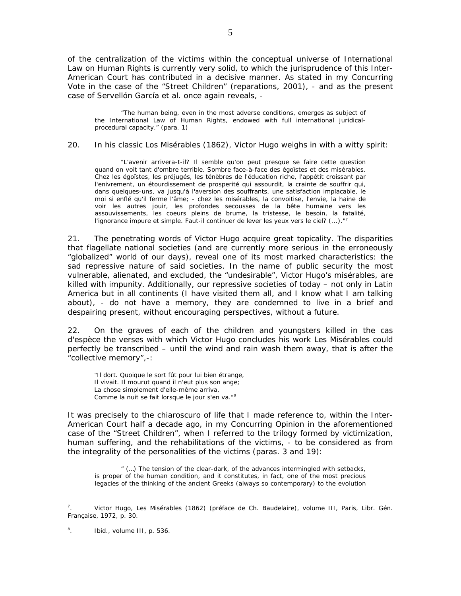of the centralization of the victims within the conceptual universe of International Law on Human Rights is currently very solid, to which the jurisprudence of this Inter-American Court has contributed in a decisive manner. As stated in my Concurring Vote in the case of the *"Street Children"* (reparations, 2001), - and as the present case of *Servellón García et al.* once again reveals, -

"The human being, even in the most adverse conditions, emerges as subject of the International Law of Human Rights, endowed with full international juridicalprocedural capacity." (para. 1)

#### 20. In his classic *Los Misérables* (1862), Victor Hugo weighs in with a witty spirit:

 "L'avenir arrivera-t-il? Il semble qu'on peut presque se faire cette question quand on voit tant d'ombre terrible. Sombre face-à-face des égoïstes et des misérables. Chez les égoïstes, les préjugés, les ténèbres de l'éducation riche, l'appétit croissant par l'enivrement, un étourdissement de prosperité qui assourdit, la crainte de souffrir qui, dans quelques-uns, va jusqu'à l'aversion des souffrants, une satisfaction implacable, le moi si enflé qu'il ferme l'âme; - chez les misérables, la convoitise, l'envie, la haine de voir les autres jouir, les profondes secousses de la bête humaine vers les assouvissements, les coeurs pleins de brume, la tristesse, le besoin, la fatalité, l'ignorance impure et simple. Faut-il continuer de lever les yeux vers le ciel? (...)."<sup>7</sup>

21. The penetrating words of Victor Hugo acquire great topicality. The disparities that flagellate national societies (and are currently more serious in the erroneously "globalized" world of our days), reveal one of its most marked characteristics: the sad *repressive* nature of said societies. In the name of public security the most vulnerable, alienated, and excluded, the "undesirable", Victor Hugo's *misérables,* are killed with impunity. Additionally, our repressive societies of today – not only in Latin America but in all continents (I have visited them all, and I know what I am talking about), - do not have a memory, they are condemned to live in a brief and despairing present, without encouraging perspectives, without a future.

22. On the graves of each of the children and youngsters killed in the *cas d'espèce* the verses with which Victor Hugo concludes his work *Les Misérables* could perfectly be transcribed – until the wind and rain wash them away, that is after the "collective memory",-:

 "Il dort. Quoique le sort fût pour lui bien étrange, Il vivait. Il mourut quand il n'eut plus son ange; La chose simplement d'elle-même arriva, Comme la nuit se fait lorsque le jour s'en va."<sup>8</sup>

It was precisely to the *chiaroscuro* of life that I made reference to, within the Inter-American Court half a decade ago, in my Concurring Opinion in the aforementioned case of the "*Street Children",* when I referred to the trilogy formed by victimization, human suffering, and the rehabilitations of the victims, - to be considered as from the integrality of the personalities of the victims (paras. 3 and 19):

" (…) The tension of the clear-dark, of the advances intermingled with setbacks, is proper of the human condition, and it constitutes, in fact, one of the most precious legacies of the thinking of the ancient Greeks (always so contemporary) to the evolution

<sup>7</sup> . Victor Hugo, *Les Misérables* (1862) (préface de Ch. Baudelaire), volume III, Paris, Libr. Gén. Française, 1972, p. 30.

<sup>8</sup> . *Ibid*., volume III, p. 536.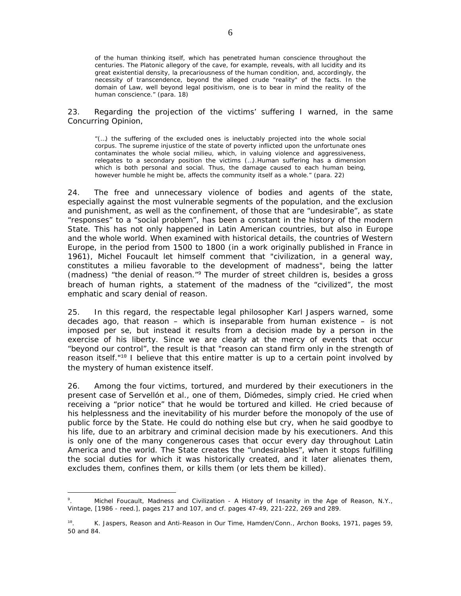of the human thinking itself, which has penetrated human conscience throughout the centuries. The Platonic allegory of the cave, for example, reveals, with all lucidity and its great existential density, la precariousness of the human condition, and, accordingly, the necessity of transcendence, beyond the alleged crude "reality" of the facts. In the domain of Law, well beyond legal positivism, one is to bear in mind the reality of the *human conscience*." (para. 18)

23. Regarding the projection of the victims' suffering I warned, in the same Concurring Opinion,

"(…) the suffering of the excluded ones is ineluctably projected into the whole social corpus. The supreme injustice of the state of poverty inflicted upon the unfortunate ones contaminates the whole social milieu, which, in valuing violence and aggressiveness, relegates to a secondary position the victims (…).Human suffering has a dimension which is both personal and social. Thus, the damage caused to each human being, however humble he might be, affects the community itself as a whole." (para. 22)

24. The free and unnecessary violence of bodies and agents of the state, especially against the most vulnerable segments of the population, and the exclusion and punishment, as well as the confinement, of those that are "undesirable", as state "responses" to a "social problem", has been a constant in the history of the modern State. This has not only happened in Latin American countries, but also in Europe and the whole world. When examined with historical details, the countries of Western Europe, in the period from 1500 to 1800 (in a work originally published in France in 1961), Michel Foucault let himself comment that "civilization, in a general way, constitutes a *milieu* favorable to the development of madness", being the latter (madness) "the denial of reason."<sup>9</sup> The murder of street children is, besides a gross breach of human rights, a statement of the madness of the "civilized", the most emphatic and scary denial of reason.

25. In this regard, the respectable legal philosopher Karl Jaspers warned, some decades ago, that reason – which is inseparable from human existence – is not imposed *per se*, but instead it results from a decision made by a person in the exercise of his liberty. Since we are clearly at the mercy of events that occur "beyond our control", the result is that "reason can stand firm only in the strength of reason itself."<sup>10</sup> I believe that this entire matter is up to a certain point involved by the mystery of human existence itself.

26. Among the four victims, tortured, and murdered by their executioners in the present case of *Servellón et al.*, one of them, Diómedes, simply cried. He cried when receiving a "prior notice" that he would be tortured and killed. He cried because of his helplessness and the inevitability of his murder before the monopoly of the use of public force by the State. He could do nothing else but cry, when he said goodbye to his life, due to an arbitrary and criminal decision made by his executioners. And this is only one of the many congenerous cases that occur every day throughout Latin America and the world. The State creates the "undesirables", when it stops fulfilling the social duties for which it was historically created, and it later alienates them, excludes them, confines them, or kills them (or lets them be killed).

<sup>9</sup> . Michel Foucault, *Madness and Civilization - A History of Insanity in the Age of Reason*, N.Y., Vintage, [1986 - reed.], pages 217 and 107, and cf. pages 47-49, 221-222, 269 and 289.

<sup>10</sup>. K. Jaspers, *Reason and Anti-Reason in Our Time*, Hamden/Conn., Archon Books, 1971, pages 59, 50 and 84.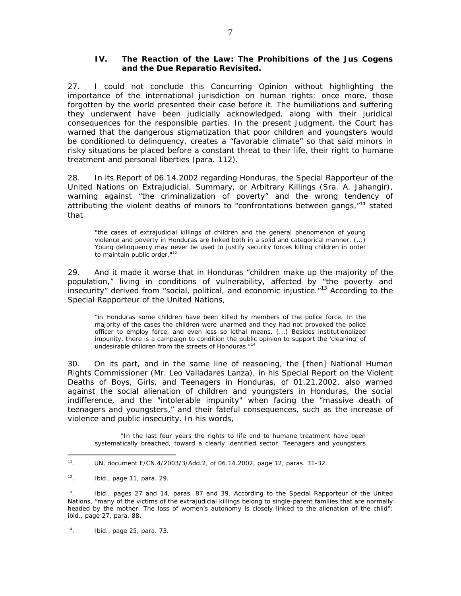## **IV. The Reaction of the Law: The Prohibitions of the** *Jus Cogens* **and the Due** *Reparatio* **Revisited.**

27. I could not conclude this Concurring Opinion without highlighting the importance of the international jurisdiction on human rights: once more, those forgotten by the world presented their case before it. The humiliations and suffering they underwent have been judicially acknowledged, along with their juridical consequences for the responsible parties. In the present Judgment, the Court has warned that the dangerous stigmatization that poor children and youngsters would be conditioned to delinquency, creates a "favorable climate" so that said minors in risky situations be placed before a constant threat to their life, their right to humane treatment and personal liberties (para. 112).

28. In its *Report* of 06.14.2002 regarding Honduras, the Special Rapporteur of the United Nations on Extrajudicial, Summary, or Arbitrary Killings (Sra. A. Jahangir), warning against "the criminalization of poverty" and the wrong tendency of attributing the violent deaths of minors to "confrontations between gangs, $n<sup>11</sup>$  stated that

"the cases of extrajudicial killings of children and the general phenomenon of young violence and poverty in Honduras are linked both in a solid and categorical manner. (...) Young delinquency may never be used to justify security forces killing children in order to maintain public order."<sup>12</sup>

29. And it made it worse that in Honduras "children make up the majority of the population," living in conditions of vulnerability, affected by "the poverty and insecurity" derived from "social, political, and economic injustice."<sup>13</sup> According to the Special Rapporteur of the United Nations,

"in Honduras some children have been killed by members of the police force. In the majority of the cases the children were unarmed and they had not provoked the police officer to employ force, and even less so lethal means. (...) Besides institutionalized impunity, there is a campaign to condition the public opinion to support the 'cleaning' of undesirable children from the streets of Honduras."14

30. On its part, and in the same line of reasoning, the [then] National Human Rights Commissioner (Mr. Leo Valladares Lanza), in his *Special Report on the Violent Deaths of Boys, Girls, and Teenagers in Honduras*, of 01.21.2002, also warned against the social alienation of children and youngsters in Honduras, the social indifference, and the "intolerable impunity" when facing the "massive death of teenagers and youngsters," and their fateful consequences, such as the increase of violence and public insecurity. In his words,

 "In the last four years the rights to life and to humane treatment have been systematically breached, toward a clearly identified sector. Teenagers and youngsters

 $\overline{a}$ 

14. *Ibid*., page 25, para. 73.

 $11.$  UN, document E/CN.4/2003/3/Add.2, of 06.14.2002, page 12, paras. 31-32.

<sup>12</sup>. *Ibid*., page 11, para. 29.

 $13.$  Ibid., pages 27 and 14, paras. 87 and 39. According to the Special Rapporteur of the United Nations, "many of the victims of the extrajudicial killings belong to single-parent families that are normally headed by the mother. The loss of women's autonomy is closely linked to the alienation of the child"; *ibid*., page 27, para. 88.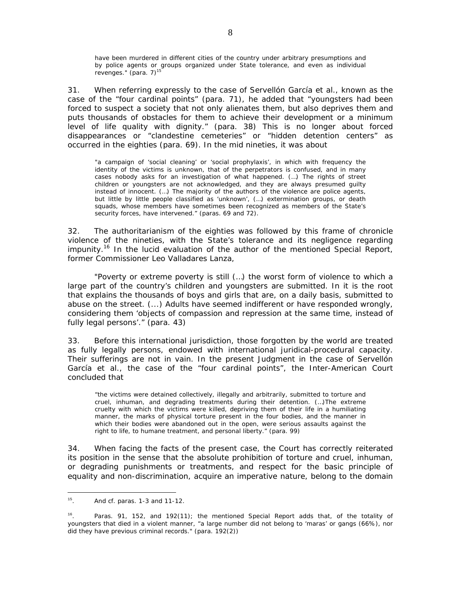have been murdered in different cities of the country under arbitrary presumptions and by police agents or groups organized under State tolerance, and even as individual revenges." (para. 7)<sup>15</sup>

31. When referring expressly to the case of *Servellón García et al.*, known as the case of the "four cardinal points" (para. 71), he added that "youngsters had been forced to suspect a society that not only alienates them, but also deprives them and puts thousands of obstacles for them to achieve their development or a minimum level of life quality with dignity." (para. 38) This is no longer about forced disappearances or "clandestine cemeteries" or "hidden detention centers" as occurred in the eighties (para. 69). In the mid nineties, it was about

"a campaign of 'social cleaning' or 'social prophylaxis', in which with frequency the identity of the victims is unknown, that of the perpetrators is confused, and in many cases nobody asks for an investigation of what happened. (…) The rights of street children or youngsters are not acknowledged, and they are always presumed guilty instead of innocent. (…) The majority of the authors of the violence are police agents, but little by little people classified as 'unknown', (…) extermination groups, or death squads, whose members have sometimes been recognized as members of the State's security forces, have intervened." (paras. 69 and 72).

32. The authoritarianism of the eighties was followed by this frame of chronicle violence of the nineties, with the State's tolerance and its negligence regarding impunity.16 In the lucid evaluation of the author of the mentioned *Special Report,* former Commissioner Leo Valladares Lanza,

 "Poverty or extreme poverty is still (…) the worst form of violence to which a large part of the country's children and youngsters are submitted. In it is the root that explains the thousands of boys and girls that are, on a daily basis, submitted to abuse on the street. (...) Adults have seemed indifferent or have responded wrongly, considering them 'objects of compassion and repression at the same time, instead of fully legal persons'." (para. 43)

33. Before this international jurisdiction, those forgotten by the world are treated as fully legally persons, endowed with international juridical-procedural capacity. Their sufferings are not in vain. In the present Judgment in the case of *Servellón García et al.*, the case of the "four cardinal points", the Inter-American Court concluded that

"the victims were detained collectively, illegally and arbitrarily, submitted to torture and cruel, inhuman, and degrading treatments during their detention. (…)The extreme cruelty with which the victims were killed, depriving them of their life in a humiliating manner, the marks of physical torture present in the four bodies, and the manner in which their bodies were abandoned out in the open, were serious assaults against the right to life, to humane treatment, and personal liberty." (para. 99)

34. When facing the facts of the present case, the Court has correctly reiterated its position in the sense that the absolute prohibition of torture and cruel, inhuman, or degrading punishments or treatments, and respect for the basic principle of equality and non-discrimination, acquire an imperative nature, belong to the domain

 $\overline{a}$  $15.$  And cf. paras. 1-3 and 11-12.

<sup>16</sup>. Paras. 91, 152, and 192(11); the mentioned *Special Report* adds that, of the totality of youngsters that died in a violent manner, "a large number did not belong to 'maras' or gangs (66%), nor did they have previous criminal records." (para. 192(2))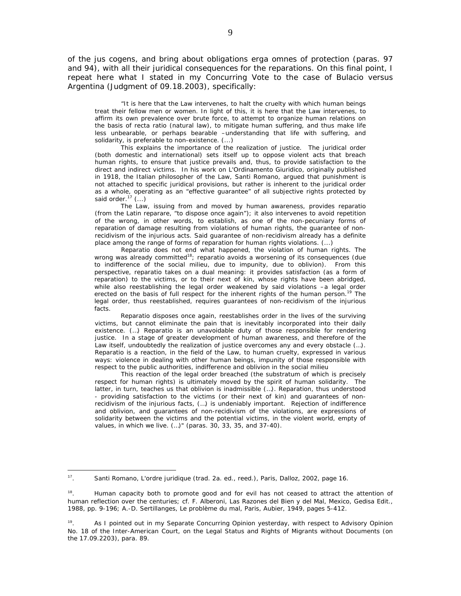of the *jus cogens*, and bring about obligations *erga omnes* of protection (paras. 97 and 94), with all their juridical consequences for the reparations. On this final point, I repeat here what I stated in my Concurring Vote to the case of *Bulacio versus Argentina* (Judgment of 09.18.2003), specifically:

"It is here that the Law intervenes, to halt the cruelty with which human beings treat their fellow men or women. In light of this, it is here that the Law intervenes, to affirm its own prevalence over brute force, to attempt to organize human relations on the basis of recta ratio (natural law), to mitigate human suffering, and thus make life less unbearable, or perhaps bearable –understanding that life with suffering, and solidarity, is preferable to non-existence. (...)

 This explains the importance of the realization of justice. The juridical order (both domestic and international) sets itself up to oppose violent acts that breach human rights, to ensure that justice prevails and, thus, to provide satisfaction to the direct and indirect victims. In his work on L'Ordinamento Giuridico, originally published in 1918, the Italian philosopher of the Law, Santi Romano, argued that punishment is not attached to specific juridical provisions, but rather is inherent to the juridical order as a whole, operating as an "effective guarantee" of all subjective rights protected by said order.<sup>17</sup>  $($ ...)

 The Law, issuing from and moved by human awareness, provides reparatio (from the Latin reparare, "to dispose once again"); it also intervenes to avoid repetition of the wrong, in other words, to establish, as one of the non-pecuniary forms of reparation of damage resulting from violations of human rights, the guarantee of nonrecidivism of the injurious acts. Said guarantee of non-recidivism already has a definite place among the range of forms of reparation for human rights violations. (...)

Reparatio does not end what happened, the violation of human rights. The wrong was already committed<sup>18</sup>; *reparatio* avoids a worsening of its consequences (due to indifference of the social milieu, due to impunity, due to oblivion). From this perspective, *reparatio* takes on a dual meaning: it provides satisfaction (as a form of reparation) to the victims, or to their next of kin, whose rights have been abridged, while also reestablishing the legal order weakened by said violations –a legal order erected on the basis of full respect for the inherent rights of the human person.<sup>19</sup> The legal order, thus reestablished, requires guarantees of non-recidivism of the injurious facts.

*Reparatio* disposes once again, reestablishes order in the lives of the surviving victims, but cannot eliminate the pain that is inevitably incorporated into their daily existence. (…) *Reparatio* is an unavoidable duty of those responsible for rendering justice. In a stage of greater development of human awareness, and therefore of the Law itself, undoubtedly the realization of justice overcomes any and every obstacle  $(...)$ . *Reparatio* is a reaction, in the field of the Law, to human cruelty, expressed in various ways: violence in dealing with other human beings, impunity of those responsible with respect to the public authorities, indifference and oblivion in the social milieu

This reaction of the legal order breached (the *substratum* of which is precisely respect for human rights) is ultimately moved by the spirit of human solidarity. The latter, in turn, teaches us that oblivion is inadmissible (…). Reparation, thus understood - providing satisfaction to the victims (or their next of kin) and guarantees of nonrecidivism of the injurious facts, (…) is undeniably important. Rejection of indifference and oblivion, and guarantees of non-recidivism of the violations, are expressions of solidarity between the victims and the potential victims, in the violent world, empty of values, in which we live. (…)" (paras. 30, 33, 35, and 37-40).

<sup>17</sup>. Santi Romano, *L'ordre juridique* (trad. 2a. ed., reed.), Paris, Dalloz, 2002, page 16.

 $18.$  Human capacity both to promote good and for evil has not ceased to attract the attention of human reflection over the centuries; cf. F. Alberoni, *Las Razones del Bien y del Mal*, Mexico, Gedisa Edit., 1988, pp. 9-196; A.-D. Sertillanges, *Le problème du mal*, Paris, Aubier, 1949, pages 5-412.

<sup>&</sup>lt;sup>19</sup>. As I pointed out in my Separate Concurring Opinion yesterday, with respect to Advisory Opinion No. 18 of the Inter-American Court, on the *Legal Status and Rights of Migrants without Documents* (on the 17.09.2203), para. 89.